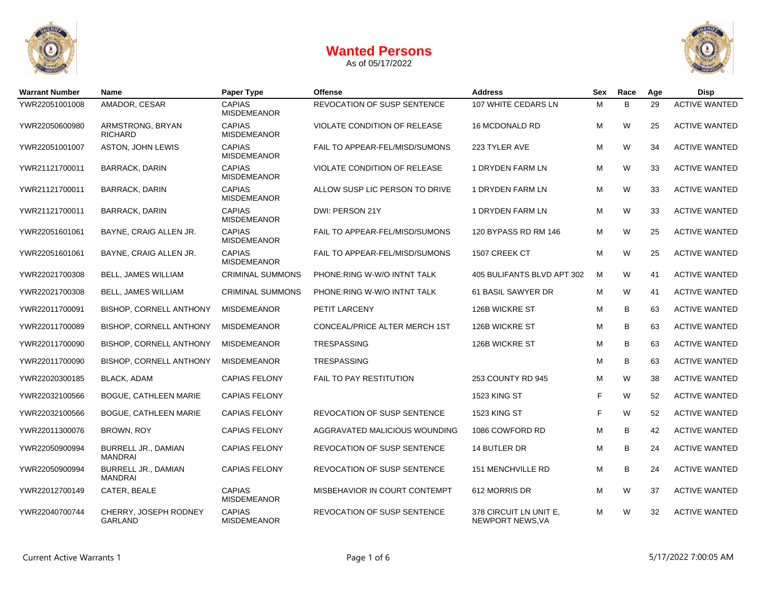

As of 05/17/2022



| <b>Warrant Number</b> | Name                                         | Paper Type                          | <b>Offense</b>                     | <b>Address</b>                             |   | Race    | Age | <b>Disp</b>          |
|-----------------------|----------------------------------------------|-------------------------------------|------------------------------------|--------------------------------------------|---|---------|-----|----------------------|
| YWR22051001008        | AMADOR, CESAR                                | <b>CAPIAS</b><br><b>MISDEMEANOR</b> | REVOCATION OF SUSP SENTENCE        | 107 WHITE CEDARS LN                        | м | B       | 29  | <b>ACTIVE WANTED</b> |
| YWR22050600980        | ARMSTRONG, BRYAN<br><b>RICHARD</b>           | <b>CAPIAS</b><br><b>MISDEMEANOR</b> | VIOLATE CONDITION OF RELEASE       | 16 MCDONALD RD                             | М | W       | 25  | <b>ACTIVE WANTED</b> |
| YWR22051001007        | ASTON, JOHN LEWIS                            | <b>CAPIAS</b><br><b>MISDEMEANOR</b> | FAIL TO APPEAR-FEL/MISD/SUMONS     | 223 TYLER AVE                              | М | W       | 34  | <b>ACTIVE WANTED</b> |
| YWR21121700011        | <b>BARRACK, DARIN</b>                        | <b>CAPIAS</b><br><b>MISDEMEANOR</b> | VIOLATE CONDITION OF RELEASE       | 1 DRYDEN FARM LN                           | м | W       | 33  | <b>ACTIVE WANTED</b> |
| YWR21121700011        | <b>BARRACK, DARIN</b>                        | <b>CAPIAS</b><br><b>MISDEMEANOR</b> | ALLOW SUSP LIC PERSON TO DRIVE     | 1 DRYDEN FARM LN                           | М | W       | 33  | <b>ACTIVE WANTED</b> |
| YWR21121700011        | <b>BARRACK, DARIN</b>                        | <b>CAPIAS</b><br><b>MISDEMEANOR</b> | DWI: PERSON 21Y                    | 1 DRYDEN FARM LN                           | М | W       | 33  | <b>ACTIVE WANTED</b> |
| YWR22051601061        | BAYNE, CRAIG ALLEN JR.                       | <b>CAPIAS</b><br><b>MISDEMEANOR</b> | FAIL TO APPEAR-FEL/MISD/SUMONS     | 120 BYPASS RD RM 146                       | м | W       | 25  | <b>ACTIVE WANTED</b> |
| YWR22051601061        | BAYNE, CRAIG ALLEN JR.                       | <b>CAPIAS</b><br><b>MISDEMEANOR</b> | FAIL TO APPEAR-FEL/MISD/SUMONS     | 1507 CREEK CT                              | М | W       | 25  | <b>ACTIVE WANTED</b> |
| YWR22021700308        | <b>BELL, JAMES WILLIAM</b>                   | <b>CRIMINAL SUMMONS</b>             | PHONE: RING W-W/O INTNT TALK       | 405 BULIFANTS BLVD APT 302                 | М | W       | 41  | <b>ACTIVE WANTED</b> |
| YWR22021700308        | <b>BELL, JAMES WILLIAM</b>                   | <b>CRIMINAL SUMMONS</b>             | PHONE: RING W-W/O INTNT TALK       | 61 BASIL SAWYER DR                         | М | W       | 41  | <b>ACTIVE WANTED</b> |
| YWR22011700091        | <b>BISHOP, CORNELL ANTHONY</b>               | <b>MISDEMEANOR</b>                  | PETIT LARCENY                      | 126B WICKRE ST                             | М | B       | 63  | <b>ACTIVE WANTED</b> |
| YWR22011700089        | BISHOP, CORNELL ANTHONY                      | <b>MISDEMEANOR</b>                  | CONCEAL/PRICE ALTER MERCH 1ST      | 126B WICKRE ST                             | м | В       | 63  | <b>ACTIVE WANTED</b> |
| YWR22011700090        | <b>BISHOP, CORNELL ANTHONY</b>               | <b>MISDEMEANOR</b>                  | <b>TRESPASSING</b>                 | 126B WICKRE ST                             | М | B       | 63  | <b>ACTIVE WANTED</b> |
| YWR22011700090        | <b>BISHOP, CORNELL ANTHONY</b>               | MISDEMEANOR                         | <b>TRESPASSING</b>                 |                                            | М | B       | 63  | <b>ACTIVE WANTED</b> |
| YWR22020300185        | <b>BLACK, ADAM</b>                           | <b>CAPIAS FELONY</b>                | FAIL TO PAY RESTITUTION            | 253 COUNTY RD 945                          | М | W       | 38  | <b>ACTIVE WANTED</b> |
| YWR22032100566        | <b>BOGUE, CATHLEEN MARIE</b>                 | <b>CAPIAS FELONY</b>                |                                    | <b>1523 KING ST</b>                        | F | W       | 52  | <b>ACTIVE WANTED</b> |
| YWR22032100566        | <b>BOGUE, CATHLEEN MARIE</b>                 | <b>CAPIAS FELONY</b>                | <b>REVOCATION OF SUSP SENTENCE</b> | <b>1523 KING ST</b>                        | F | W       | 52  | <b>ACTIVE WANTED</b> |
| YWR22011300076        | <b>BROWN, ROY</b>                            | <b>CAPIAS FELONY</b>                | AGGRAVATED MALICIOUS WOUNDING      | 1086 COWFORD RD                            | М | в       | 42  | <b>ACTIVE WANTED</b> |
| YWR22050900994        | <b>BURRELL JR., DAMIAN</b><br><b>MANDRAI</b> | <b>CAPIAS FELONY</b>                | <b>REVOCATION OF SUSP SENTENCE</b> | 14 BUTLER DR                               | М | B<br>24 |     | <b>ACTIVE WANTED</b> |
| YWR22050900994        | BURRELL JR., DAMIAN<br><b>MANDRAI</b>        | <b>CAPIAS FELONY</b>                | REVOCATION OF SUSP SENTENCE        | 151 MENCHVILLE RD                          | М | B<br>24 |     | <b>ACTIVE WANTED</b> |
| YWR22012700149        | CATER, BEALE                                 | <b>CAPIAS</b><br><b>MISDEMEANOR</b> | MISBEHAVIOR IN COURT CONTEMPT      | 612 MORRIS DR                              | М | W<br>37 |     | <b>ACTIVE WANTED</b> |
| YWR22040700744        | CHERRY, JOSEPH RODNEY<br><b>GARLAND</b>      | <b>CAPIAS</b><br><b>MISDEMEANOR</b> | REVOCATION OF SUSP SENTENCE        | 378 CIRCUIT LN UNIT E,<br>NEWPORT NEWS, VA | М | W<br>32 |     | <b>ACTIVE WANTED</b> |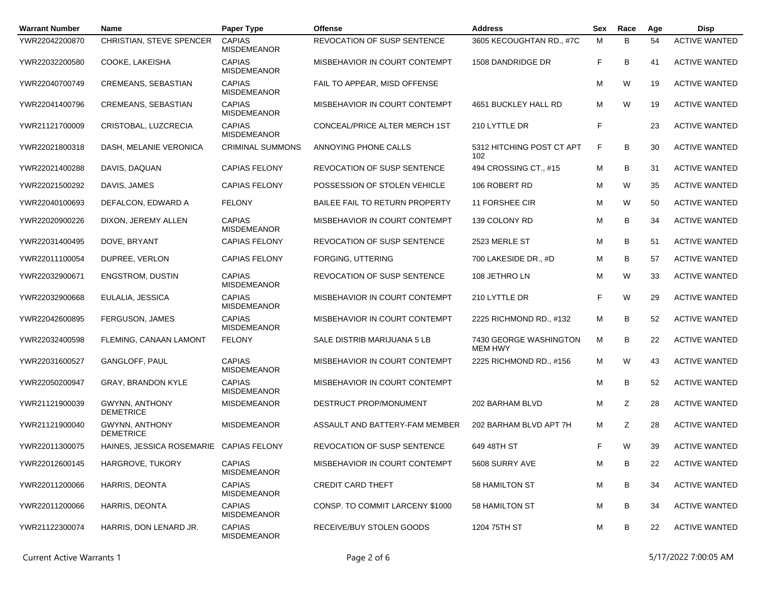| <b>Warrant Number</b> | <b>Name</b>                               | Paper Type                          | <b>Offense</b>                     | <b>Address</b>                           | Sex | Race    | Age | <b>Disp</b>          |
|-----------------------|-------------------------------------------|-------------------------------------|------------------------------------|------------------------------------------|-----|---------|-----|----------------------|
| YWR22042200870        | CHRISTIAN, STEVE SPENCER                  | <b>CAPIAS</b><br><b>MISDEMEANOR</b> | <b>REVOCATION OF SUSP SENTENCE</b> | 3605 KECOUGHTAN RD., #7C                 | M   | B       | 54  | <b>ACTIVE WANTED</b> |
| YWR22032200580        | COOKE, LAKEISHA                           | <b>CAPIAS</b><br><b>MISDEMEANOR</b> | MISBEHAVIOR IN COURT CONTEMPT      | 1508 DANDRIDGE DR                        | F   | B       | 41  | <b>ACTIVE WANTED</b> |
| YWR22040700749        | <b>CREMEANS, SEBASTIAN</b>                | <b>CAPIAS</b><br><b>MISDEMEANOR</b> | FAIL TO APPEAR, MISD OFFENSE       |                                          | M   | W       | 19  | <b>ACTIVE WANTED</b> |
| YWR22041400796        | CREMEANS, SEBASTIAN                       | <b>CAPIAS</b><br><b>MISDEMEANOR</b> | MISBEHAVIOR IN COURT CONTEMPT      | 4651 BUCKLEY HALL RD                     | м   | W       | 19  | <b>ACTIVE WANTED</b> |
| YWR21121700009        | CRISTOBAL, LUZCRECIA                      | <b>CAPIAS</b><br><b>MISDEMEANOR</b> | CONCEAL/PRICE ALTER MERCH 1ST      | 210 LYTTLE DR                            | F   |         | 23  | <b>ACTIVE WANTED</b> |
| YWR22021800318        | DASH, MELANIE VERONICA                    | <b>CRIMINAL SUMMONS</b>             | ANNOYING PHONE CALLS               | 5312 HITCHING POST CT APT<br>102         | F   | B       | 30  | <b>ACTIVE WANTED</b> |
| YWR22021400288        | DAVIS, DAQUAN                             | <b>CAPIAS FELONY</b>                | <b>REVOCATION OF SUSP SENTENCE</b> | 494 CROSSING CT., #15                    | м   | B       | 31  | <b>ACTIVE WANTED</b> |
| YWR22021500292        | DAVIS, JAMES                              | <b>CAPIAS FELONY</b>                | POSSESSION OF STOLEN VEHICLE       | 106 ROBERT RD                            | M   | W       | 35  | <b>ACTIVE WANTED</b> |
| YWR22040100693        | DEFALCON, EDWARD A                        | <b>FELONY</b>                       | BAILEE FAIL TO RETURN PROPERTY     | 11 FORSHEE CIR                           | м   | W       | 50  | <b>ACTIVE WANTED</b> |
| YWR22020900226        | DIXON, JEREMY ALLEN                       | <b>CAPIAS</b><br><b>MISDEMEANOR</b> | MISBEHAVIOR IN COURT CONTEMPT      | 139 COLONY RD                            | M   | B       | 34  | <b>ACTIVE WANTED</b> |
| YWR22031400495        | DOVE, BRYANT                              | <b>CAPIAS FELONY</b>                | <b>REVOCATION OF SUSP SENTENCE</b> | 2523 MERLE ST                            | M   | В       | 51  | <b>ACTIVE WANTED</b> |
| YWR22011100054        | DUPREE, VERLON                            | <b>CAPIAS FELONY</b>                | FORGING, UTTERING                  | 700 LAKESIDE DR., #D                     | M   | B       | 57  | <b>ACTIVE WANTED</b> |
| YWR22032900671        | <b>ENGSTROM, DUSTIN</b>                   | <b>CAPIAS</b><br><b>MISDEMEANOR</b> | <b>REVOCATION OF SUSP SENTENCE</b> | 108 JETHRO LN                            | M   | W       | 33  | <b>ACTIVE WANTED</b> |
| YWR22032900668        | EULALIA, JESSICA                          | <b>CAPIAS</b><br><b>MISDEMEANOR</b> | MISBEHAVIOR IN COURT CONTEMPT      | 210 LYTTLE DR                            | F   | W       | 29  | <b>ACTIVE WANTED</b> |
| YWR22042600895        | FERGUSON, JAMES                           | <b>CAPIAS</b><br><b>MISDEMEANOR</b> | MISBEHAVIOR IN COURT CONTEMPT      | 2225 RICHMOND RD., #132                  | M   | B       | 52  | <b>ACTIVE WANTED</b> |
| YWR22032400598        | FLEMING, CANAAN LAMONT                    | <b>FELONY</b>                       | SALE DISTRIB MARIJUANA 5 LB        | 7430 GEORGE WASHINGTON<br><b>MEM HWY</b> | M   | В       | 22  | <b>ACTIVE WANTED</b> |
| YWR22031600527        | GANGLOFF, PAUL                            | <b>CAPIAS</b><br><b>MISDEMEANOR</b> | MISBEHAVIOR IN COURT CONTEMPT      | 2225 RICHMOND RD., #156                  | M   | W       | 43  | <b>ACTIVE WANTED</b> |
| YWR22050200947        | GRAY, BRANDON KYLE                        | <b>CAPIAS</b><br><b>MISDEMEANOR</b> | MISBEHAVIOR IN COURT CONTEMPT      |                                          | M   | B       | 52  | <b>ACTIVE WANTED</b> |
| YWR21121900039        | <b>GWYNN, ANTHONY</b><br><b>DEMETRICE</b> | <b>MISDEMEANOR</b>                  | DESTRUCT PROP/MONUMENT             | 202 BARHAM BLVD                          | М   | Ζ       | 28  | <b>ACTIVE WANTED</b> |
| YWR21121900040        | <b>GWYNN, ANTHONY</b><br><b>DEMETRICE</b> | <b>MISDEMEANOR</b>                  | ASSAULT AND BATTERY-FAM MEMBER     | 202 BARHAM BLVD APT 7H                   | м   | Z       | 28  | <b>ACTIVE WANTED</b> |
| YWR22011300075        | HAINES, JESSICA ROSEMARIE CAPIAS FELONY   |                                     | <b>REVOCATION OF SUSP SENTENCE</b> | 649 48TH ST                              | F   | W       | 39  | <b>ACTIVE WANTED</b> |
| YWR22012600145        | HARGROVE, TUKORY                          | <b>CAPIAS</b><br><b>MISDEMEANOR</b> | MISBEHAVIOR IN COURT CONTEMPT      | 5608 SURRY AVE                           | M   | В       | 22  | <b>ACTIVE WANTED</b> |
| YWR22011200066        | HARRIS, DEONTA                            | <b>CAPIAS</b><br><b>MISDEMEANOR</b> | <b>CREDIT CARD THEFT</b>           | 58 HAMILTON ST                           | М   | В<br>34 |     | <b>ACTIVE WANTED</b> |
| YWR22011200066        | HARRIS, DEONTA                            | <b>CAPIAS</b><br><b>MISDEMEANOR</b> | CONSP. TO COMMIT LARCENY \$1000    | 58 HAMILTON ST                           | м   | В       | 34  | <b>ACTIVE WANTED</b> |
| YWR21122300074        | HARRIS, DON LENARD JR.                    | <b>CAPIAS</b><br><b>MISDEMEANOR</b> | RECEIVE/BUY STOLEN GOODS           | 1204 75TH ST                             | М   | В       | 22  | <b>ACTIVE WANTED</b> |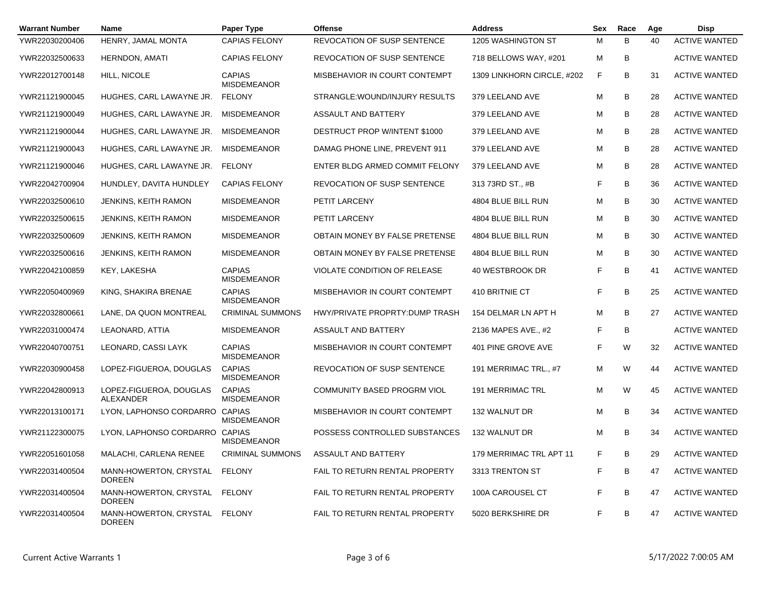| <b>Warrant Number</b> | Name                                           | Paper Type                          | <b>Offense</b>                       | <b>Address</b>             |   | Race    | Age | Disp                 |
|-----------------------|------------------------------------------------|-------------------------------------|--------------------------------------|----------------------------|---|---------|-----|----------------------|
| YWR22030200406        | HENRY, JAMAL MONTA                             | <b>CAPIAS FELONY</b>                | <b>REVOCATION OF SUSP SENTENCE</b>   | 1205 WASHINGTON ST         | M | B       | 40  | <b>ACTIVE WANTED</b> |
| YWR22032500633        | <b>HERNDON, AMATI</b>                          | <b>CAPIAS FELONY</b>                | REVOCATION OF SUSP SENTENCE          | 718 BELLOWS WAY, #201      | M | В       |     | <b>ACTIVE WANTED</b> |
| YWR22012700148        | HILL, NICOLE                                   | <b>CAPIAS</b><br><b>MISDEMEANOR</b> | MISBEHAVIOR IN COURT CONTEMPT        | 1309 LINKHORN CIRCLE, #202 | F | B<br>31 |     | <b>ACTIVE WANTED</b> |
| YWR21121900045        | HUGHES, CARL LAWAYNE JR.                       | <b>FELONY</b>                       | STRANGLE: WOUND/INJURY RESULTS       | 379 LEELAND AVE            | M | B<br>28 |     | <b>ACTIVE WANTED</b> |
| YWR21121900049        | HUGHES, CARL LAWAYNE JR.                       | <b>MISDEMEANOR</b>                  | ASSAULT AND BATTERY                  | 379 LEELAND AVE            | M | B       | 28  | <b>ACTIVE WANTED</b> |
| YWR21121900044        | HUGHES, CARL LAWAYNE JR.                       | <b>MISDEMEANOR</b>                  | <b>DESTRUCT PROP W/INTENT \$1000</b> | 379 LEELAND AVE            | M | B       | 28  | <b>ACTIVE WANTED</b> |
| YWR21121900043        | HUGHES, CARL LAWAYNE JR.                       | <b>MISDEMEANOR</b>                  | DAMAG PHONE LINE, PREVENT 911        | 379 LEELAND AVE            | M | B       | 28  | <b>ACTIVE WANTED</b> |
| YWR21121900046        | HUGHES, CARL LAWAYNE JR.                       | <b>FELONY</b>                       | ENTER BLDG ARMED COMMIT FELONY       | 379 LEELAND AVE            | M | B       | 28  | <b>ACTIVE WANTED</b> |
| YWR22042700904        | HUNDLEY, DAVITA HUNDLEY                        | <b>CAPIAS FELONY</b>                | <b>REVOCATION OF SUSP SENTENCE</b>   | 313 73RD ST., #B           | F | B       | 36  | <b>ACTIVE WANTED</b> |
| YWR22032500610        | <b>JENKINS, KEITH RAMON</b>                    | <b>MISDEMEANOR</b>                  | PETIT LARCENY                        | 4804 BLUE BILL RUN         | M | B       | 30  | <b>ACTIVE WANTED</b> |
| YWR22032500615        | <b>JENKINS, KEITH RAMON</b>                    | <b>MISDEMEANOR</b>                  | PETIT LARCENY                        | 4804 BLUE BILL RUN         | M | B       | 30  | <b>ACTIVE WANTED</b> |
| YWR22032500609        | <b>JENKINS, KEITH RAMON</b>                    | <b>MISDEMEANOR</b>                  | OBTAIN MONEY BY FALSE PRETENSE       | 4804 BLUE BILL RUN         | м | B       | 30  | <b>ACTIVE WANTED</b> |
| YWR22032500616        | <b>JENKINS, KEITH RAMON</b>                    | <b>MISDEMEANOR</b>                  | OBTAIN MONEY BY FALSE PRETENSE       | 4804 BLUE BILL RUN         | M | B       | 30  | <b>ACTIVE WANTED</b> |
| YWR22042100859        | KEY, LAKESHA                                   | <b>CAPIAS</b><br><b>MISDEMEANOR</b> | <b>VIOLATE CONDITION OF RELEASE</b>  | 40 WESTBROOK DR            | F | B       | 41  | <b>ACTIVE WANTED</b> |
| YWR22050400969        | KING, SHAKIRA BRENAE                           | <b>CAPIAS</b><br><b>MISDEMEANOR</b> | MISBEHAVIOR IN COURT CONTEMPT        | 410 BRITNIE CT             | F | B       | 25  | <b>ACTIVE WANTED</b> |
| YWR22032800661        | LANE, DA QUON MONTREAL                         | <b>CRIMINAL SUMMONS</b>             | HWY/PRIVATE PROPRTY: DUMP TRASH      | 154 DELMAR LN APT H        | M | B       | 27  | <b>ACTIVE WANTED</b> |
| YWR22031000474        | LEAONARD, ATTIA                                | <b>MISDEMEANOR</b>                  | ASSAULT AND BATTERY                  | 2136 MAPES AVE., #2        | F | B       |     | <b>ACTIVE WANTED</b> |
| YWR22040700751        | LEONARD, CASSI LAYK                            | <b>CAPIAS</b><br><b>MISDEMEANOR</b> | MISBEHAVIOR IN COURT CONTEMPT        | 401 PINE GROVE AVE         | F | W       | 32  | <b>ACTIVE WANTED</b> |
| YWR22030900458        | LOPEZ-FIGUEROA, DOUGLAS                        | <b>CAPIAS</b><br><b>MISDEMEANOR</b> | <b>REVOCATION OF SUSP SENTENCE</b>   | 191 MERRIMAC TRL., #7      | M | W       | 44  | <b>ACTIVE WANTED</b> |
| YWR22042800913        | LOPEZ-FIGUEROA, DOUGLAS<br>ALEXANDER           | <b>CAPIAS</b><br><b>MISDEMEANOR</b> | COMMUNITY BASED PROGRM VIOL          | <b>191 MERRIMAC TRL</b>    | M | W       | 45  | <b>ACTIVE WANTED</b> |
| YWR22013100171        | LYON, LAPHONSO CORDARRO CAPIAS                 | <b>MISDEMEANOR</b>                  | MISBEHAVIOR IN COURT CONTEMPT        | 132 WALNUT DR              | M | B       | 34  | <b>ACTIVE WANTED</b> |
| YWR21122300075        | LYON, LAPHONSO CORDARRO                        | CAPIAS<br><b>MISDEMEANOR</b>        | POSSESS CONTROLLED SUBSTANCES        | 132 WALNUT DR              | M | B       | 34  | <b>ACTIVE WANTED</b> |
| YWR22051601058        | MALACHI, CARLENA RENEE                         | <b>CRIMINAL SUMMONS</b>             | ASSAULT AND BATTERY                  | 179 MERRIMAC TRL APT 11    | F | B       | 29  | <b>ACTIVE WANTED</b> |
| YWR22031400504        | MANN-HOWERTON, CRYSTAL FELONY<br>DOREEN        |                                     | FAIL TO RETURN RENTAL PROPERTY       | 3313 TRENTON ST            | F | В       | 47  | <b>ACTIVE WANTED</b> |
| YWR22031400504        | MANN-HOWERTON, CRYSTAL FELONY<br><b>DOREEN</b> |                                     | FAIL TO RETURN RENTAL PROPERTY       | 100A CAROUSEL CT           |   | В       | 47  | <b>ACTIVE WANTED</b> |
| YWR22031400504        | MANN-HOWERTON, CRYSTAL FELONY<br><b>DOREEN</b> |                                     | FAIL TO RETURN RENTAL PROPERTY       | 5020 BERKSHIRE DR          | F | B       | 47  | <b>ACTIVE WANTED</b> |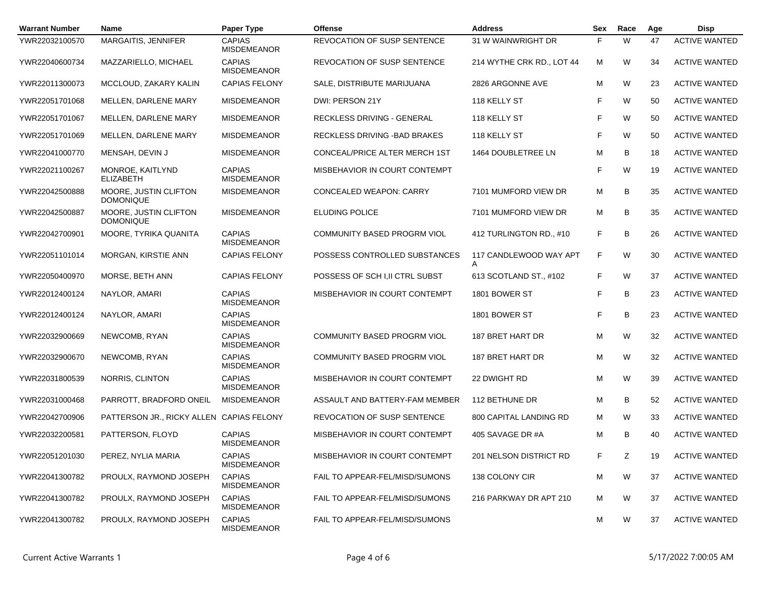| <b>Warrant Number</b> | <b>Name</b>                               | Paper Type                          | Offense                            | <b>Address</b>                | Sex | Race | Age                        | <b>Disp</b>          |
|-----------------------|-------------------------------------------|-------------------------------------|------------------------------------|-------------------------------|-----|------|----------------------------|----------------------|
| YWR22032100570        | MARGAITIS, JENNIFER                       | <b>CAPIAS</b><br><b>MISDEMEANOR</b> | REVOCATION OF SUSP SENTENCE        | 31 W WAINWRIGHT DR            | F   | W    | 47                         | <b>ACTIVE WANTED</b> |
| YWR22040600734        | MAZZARIELLO, MICHAEL                      | <b>CAPIAS</b><br><b>MISDEMEANOR</b> | REVOCATION OF SUSP SENTENCE        | 214 WYTHE CRK RD., LOT 44     | м   | W    | 34                         | <b>ACTIVE WANTED</b> |
| YWR22011300073        | MCCLOUD, ZAKARY KALIN                     | <b>CAPIAS FELONY</b>                | SALE, DISTRIBUTE MARIJUANA         | 2826 ARGONNE AVE              | М   | W    | 23                         | <b>ACTIVE WANTED</b> |
| YWR22051701068        | MELLEN, DARLENE MARY                      | <b>MISDEMEANOR</b>                  | DWI: PERSON 21Y                    | 118 KELLY ST                  | F   | W    | 50                         | <b>ACTIVE WANTED</b> |
| YWR22051701067        | MELLEN, DARLENE MARY                      | <b>MISDEMEANOR</b>                  | RECKLESS DRIVING - GENERAL         | 118 KELLY ST                  |     | W    | 50                         | <b>ACTIVE WANTED</b> |
| YWR22051701069        | MELLEN, DARLENE MARY                      | <b>MISDEMEANOR</b>                  | RECKLESS DRIVING - BAD BRAKES      | 118 KELLY ST                  | F   | W    | 50                         | <b>ACTIVE WANTED</b> |
| YWR22041000770        | MENSAH, DEVIN J                           | <b>MISDEMEANOR</b>                  | CONCEAL/PRICE ALTER MERCH 1ST      | 1464 DOUBLETREE LN            | М   | B    | 18                         | <b>ACTIVE WANTED</b> |
| YWR22021100267        | MONROE, KAITLYND<br><b>ELIZABETH</b>      | <b>CAPIAS</b><br><b>MISDEMEANOR</b> | MISBEHAVIOR IN COURT CONTEMPT      |                               | F   | W    | 19                         | <b>ACTIVE WANTED</b> |
| YWR22042500888        | MOORE, JUSTIN CLIFTON<br><b>DOMONIQUE</b> | <b>MISDEMEANOR</b>                  | CONCEALED WEAPON: CARRY            | 7101 MUMFORD VIEW DR          | М   | В    | 35                         | <b>ACTIVE WANTED</b> |
| YWR22042500887        | MOORE, JUSTIN CLIFTON<br><b>DOMONIQUE</b> | <b>MISDEMEANOR</b>                  | <b>ELUDING POLICE</b>              | 7101 MUMFORD VIEW DR          | м   | B    | 35                         | <b>ACTIVE WANTED</b> |
| YWR22042700901        | MOORE, TYRIKA QUANITA                     | <b>CAPIAS</b><br><b>MISDEMEANOR</b> | COMMUNITY BASED PROGRM VIOL        | 412 TURLINGTON RD., #10       | F.  | B    | 26                         | <b>ACTIVE WANTED</b> |
| YWR22051101014        | MORGAN, KIRSTIE ANN                       | <b>CAPIAS FELONY</b>                | POSSESS CONTROLLED SUBSTANCES      | 117 CANDLEWOOD WAY APT<br>A   | F.  | W    | 30                         | <b>ACTIVE WANTED</b> |
| YWR22050400970        | MORSE, BETH ANN                           | <b>CAPIAS FELONY</b>                | POSSESS OF SCH I.II CTRL SUBST     | 613 SCOTLAND ST., #102        | F.  | W    | 37                         | <b>ACTIVE WANTED</b> |
| YWR22012400124        | NAYLOR, AMARI                             | <b>CAPIAS</b><br><b>MISDEMEANOR</b> | MISBEHAVIOR IN COURT CONTEMPT      | 1801 BOWER ST                 | F   | B    | 23                         | <b>ACTIVE WANTED</b> |
| YWR22012400124        | NAYLOR, AMARI                             | <b>CAPIAS</b><br><b>MISDEMEANOR</b> |                                    | 1801 BOWER ST                 | F.  | B    | 23                         | <b>ACTIVE WANTED</b> |
| YWR22032900669        | NEWCOMB, RYAN                             | <b>CAPIAS</b><br><b>MISDEMEANOR</b> | <b>COMMUNITY BASED PROGRM VIOL</b> | 187 BRET HART DR              | М   | W    | 32                         | <b>ACTIVE WANTED</b> |
| YWR22032900670        | NEWCOMB, RYAN                             | <b>CAPIAS</b><br><b>MISDEMEANOR</b> | COMMUNITY BASED PROGRM VIOL        | 187 BRET HART DR              | М   | W    | 32                         | <b>ACTIVE WANTED</b> |
| YWR22031800539        | NORRIS, CLINTON                           | <b>CAPIAS</b><br><b>MISDEMEANOR</b> | MISBEHAVIOR IN COURT CONTEMPT      | 22 DWIGHT RD                  | М   | W    | 39                         | <b>ACTIVE WANTED</b> |
| YWR22031000468        | PARROTT, BRADFORD ONEIL                   | <b>MISDEMEANOR</b>                  | ASSAULT AND BATTERY-FAM MEMBER     | 112 BETHUNE DR                | М   | В    | 52                         | <b>ACTIVE WANTED</b> |
| YWR22042700906        | PATTERSON JR., RICKY ALLEN CAPIAS FELONY  |                                     | REVOCATION OF SUSP SENTENCE        | <b>800 CAPITAL LANDING RD</b> | м   | W    | 33                         | <b>ACTIVE WANTED</b> |
| YWR22032200581        | PATTERSON, FLOYD                          | <b>CAPIAS</b><br><b>MISDEMEANOR</b> | MISBEHAVIOR IN COURT CONTEMPT      | 405 SAVAGE DR #A              | м   | B    | 40                         | <b>ACTIVE WANTED</b> |
| YWR22051201030        | PEREZ, NYLIA MARIA                        | <b>CAPIAS</b><br><b>MISDEMEANOR</b> | MISBEHAVIOR IN COURT CONTEMPT      | 201 NELSON DISTRICT RD        | F.  | Z    | 19                         | <b>ACTIVE WANTED</b> |
| YWR22041300782        | PROULX, RAYMOND JOSEPH                    | <b>CAPIAS</b><br><b>MISDEMEANOR</b> | FAIL TO APPEAR-FEL/MISD/SUMONS     | 138 COLONY CIR                | М   | W    | <b>ACTIVE WANTED</b><br>37 |                      |
| YWR22041300782        | PROULX, RAYMOND JOSEPH                    | <b>CAPIAS</b><br><b>MISDEMEANOR</b> | FAIL TO APPEAR-FEL/MISD/SUMONS     | 216 PARKWAY DR APT 210        | M   | W    | 37                         | <b>ACTIVE WANTED</b> |
| YWR22041300782        | PROULX, RAYMOND JOSEPH                    | <b>CAPIAS</b><br><b>MISDEMEANOR</b> | FAIL TO APPEAR-FEL/MISD/SUMONS     |                               | м   | W    | 37                         | <b>ACTIVE WANTED</b> |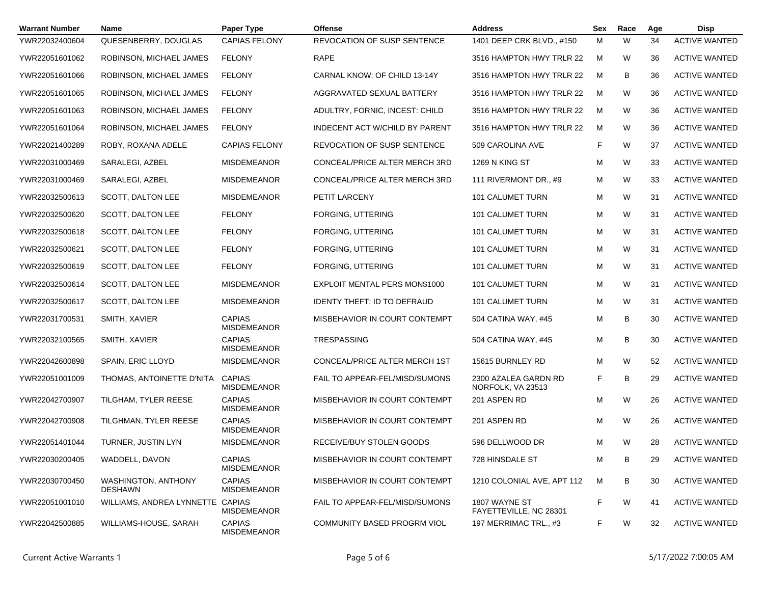| <b>Warrant Number</b> | <b>Name</b>                           | Paper Type                          | <b>Offense</b>                        | <b>Address</b>                            | <b>Sex</b> | Race    | Age | <b>Disp</b>          |
|-----------------------|---------------------------------------|-------------------------------------|---------------------------------------|-------------------------------------------|------------|---------|-----|----------------------|
| YWR22032400604        | QUESENBERRY, DOUGLAS                  | <b>CAPIAS FELONY</b>                | <b>REVOCATION OF SUSP SENTENCE</b>    | 1401 DEEP CRK BLVD., #150                 | M          | W       | 34  | <b>ACTIVE WANTED</b> |
| YWR22051601062        | ROBINSON, MICHAEL JAMES               | <b>FELONY</b>                       | <b>RAPE</b>                           | 3516 HAMPTON HWY TRLR 22                  | M          | W       | 36  | <b>ACTIVE WANTED</b> |
| YWR22051601066        | ROBINSON, MICHAEL JAMES               | <b>FELONY</b>                       | CARNAL KNOW: OF CHILD 13-14Y          | 3516 HAMPTON HWY TRLR 22                  | M          | В<br>36 |     | <b>ACTIVE WANTED</b> |
| YWR22051601065        | ROBINSON, MICHAEL JAMES               | <b>FELONY</b>                       | AGGRAVATED SEXUAL BATTERY             | 3516 HAMPTON HWY TRLR 22                  | M          | W       | 36  | <b>ACTIVE WANTED</b> |
| YWR22051601063        | ROBINSON, MICHAEL JAMES               | <b>FELONY</b>                       | ADULTRY, FORNIC, INCEST: CHILD        | 3516 HAMPTON HWY TRLR 22                  | M          | W       | 36  | <b>ACTIVE WANTED</b> |
| YWR22051601064        | ROBINSON, MICHAEL JAMES               | <b>FELONY</b>                       | <b>INDECENT ACT W/CHILD BY PARENT</b> | 3516 HAMPTON HWY TRLR 22                  | M          | W       | 36  | <b>ACTIVE WANTED</b> |
| YWR22021400289        | ROBY, ROXANA ADELE                    | <b>CAPIAS FELONY</b>                | <b>REVOCATION OF SUSP SENTENCE</b>    | 509 CAROLINA AVE                          | F          | W       | 37  | <b>ACTIVE WANTED</b> |
| YWR22031000469        | SARALEGI, AZBEL                       | <b>MISDEMEANOR</b>                  | CONCEAL/PRICE ALTER MERCH 3RD         | 1269 N KING ST                            | M          | W       | 33  | <b>ACTIVE WANTED</b> |
| YWR22031000469        | SARALEGI, AZBEL                       | <b>MISDEMEANOR</b>                  | CONCEAL/PRICE ALTER MERCH 3RD         | 111 RIVERMONT DR., #9                     | M          | W       | 33  | <b>ACTIVE WANTED</b> |
| YWR22032500613        | SCOTT, DALTON LEE                     | <b>MISDEMEANOR</b>                  | PETIT LARCENY                         | <b>101 CALUMET TURN</b>                   | M          | W       | 31  | <b>ACTIVE WANTED</b> |
| YWR22032500620        | SCOTT, DALTON LEE                     | <b>FELONY</b>                       | FORGING, UTTERING                     | 101 CALUMET TURN                          | M          | W       | 31  | <b>ACTIVE WANTED</b> |
| YWR22032500618        | SCOTT, DALTON LEE                     | <b>FELONY</b>                       | FORGING, UTTERING                     | <b>101 CALUMET TURN</b>                   | M          | W       | 31  | <b>ACTIVE WANTED</b> |
| YWR22032500621        | SCOTT, DALTON LEE                     | <b>FELONY</b>                       | FORGING, UTTERING                     | 101 CALUMET TURN                          | M          | W       | 31  | <b>ACTIVE WANTED</b> |
| YWR22032500619        | SCOTT, DALTON LEE                     | <b>FELONY</b>                       | FORGING, UTTERING                     | <b>101 CALUMET TURN</b>                   | M          | W       | 31  | <b>ACTIVE WANTED</b> |
| YWR22032500614        | SCOTT, DALTON LEE                     | <b>MISDEMEANOR</b>                  | EXPLOIT MENTAL PERS MON\$1000         | 101 CALUMET TURN                          | M          | W       | 31  | <b>ACTIVE WANTED</b> |
| YWR22032500617        | SCOTT, DALTON LEE                     | <b>MISDEMEANOR</b>                  | <b>IDENTY THEFT: ID TO DEFRAUD</b>    | 101 CALUMET TURN                          | M          | W       | 31  | <b>ACTIVE WANTED</b> |
| YWR22031700531        | SMITH, XAVIER                         | <b>CAPIAS</b><br><b>MISDEMEANOR</b> | MISBEHAVIOR IN COURT CONTEMPT         | 504 CATINA WAY, #45                       | M          | B       | 30  | <b>ACTIVE WANTED</b> |
| YWR22032100565        | SMITH, XAVIER                         | <b>CAPIAS</b><br><b>MISDEMEANOR</b> | <b>TRESPASSING</b>                    | 504 CATINA WAY, #45                       | M          | B       | 30  | <b>ACTIVE WANTED</b> |
| YWR22042600898        | <b>SPAIN, ERIC LLOYD</b>              | <b>MISDEMEANOR</b>                  | CONCEAL/PRICE ALTER MERCH 1ST         | 15615 BURNLEY RD                          | M          | W       | 52  | <b>ACTIVE WANTED</b> |
| YWR22051001009        | THOMAS, ANTOINETTE D'NITA             | <b>CAPIAS</b><br><b>MISDEMEANOR</b> | FAIL TO APPEAR-FEL/MISD/SUMONS        | 2300 AZALEA GARDN RD<br>NORFOLK, VA 23513 | F          | B       | 29  | <b>ACTIVE WANTED</b> |
| YWR22042700907        | TILGHAM, TYLER REESE                  | <b>CAPIAS</b><br><b>MISDEMEANOR</b> | MISBEHAVIOR IN COURT CONTEMPT         | 201 ASPEN RD                              | M          | W       | 26  | <b>ACTIVE WANTED</b> |
| YWR22042700908        | TILGHMAN, TYLER REESE                 | <b>CAPIAS</b><br><b>MISDEMEANOR</b> | MISBEHAVIOR IN COURT CONTEMPT         | 201 ASPEN RD                              | M          | W       | 26  | <b>ACTIVE WANTED</b> |
| YWR22051401044        | TURNER, JUSTIN LYN                    | <b>MISDEMEANOR</b>                  | RECEIVE/BUY STOLEN GOODS              | 596 DELLWOOD DR                           | M          | W       | 28  | <b>ACTIVE WANTED</b> |
| YWR22030200405        | WADDELL, DAVON                        | <b>CAPIAS</b><br><b>MISDEMEANOR</b> | MISBEHAVIOR IN COURT CONTEMPT         | 728 HINSDALE ST                           | M          | В       | 29  | <b>ACTIVE WANTED</b> |
| YWR22030700450        | WASHINGTON, ANTHONY<br><b>DESHAWN</b> | <b>CAPIAS</b><br><b>MISDEMEANOR</b> | MISBEHAVIOR IN COURT CONTEMPT         | 1210 COLONIAL AVE, APT 112                | М          | В       | 30  | <b>ACTIVE WANTED</b> |
| YWR22051001010        | WILLIAMS, ANDREA LYNNETTE CAPIAS      | <b>MISDEMEANOR</b>                  | FAIL TO APPEAR-FEL/MISD/SUMONS        | 1807 WAYNE ST<br>FAYETTEVILLE, NC 28301   | F          | W       | 41  | <b>ACTIVE WANTED</b> |
| YWR22042500885        | WILLIAMS-HOUSE, SARAH                 | <b>CAPIAS</b><br>MISDEMEANOR        | COMMUNITY BASED PROGRM VIOL           | 197 MERRIMAC TRL., #3                     | F          | W       | 32  | <b>ACTIVE WANTED</b> |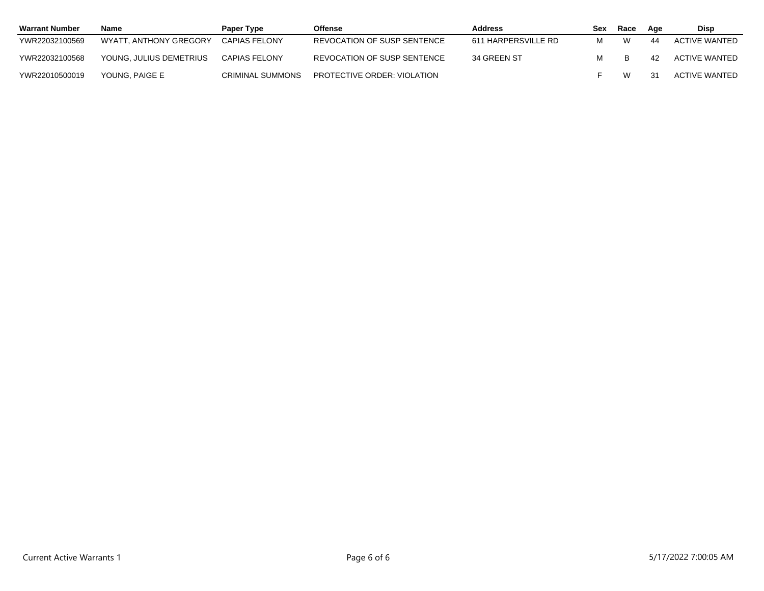| <b>Warrant Number</b> | Name                    | Paper Type           | Offense                     | <b>Address</b>      | Sex | Race | Aqe | Disp          |
|-----------------------|-------------------------|----------------------|-----------------------------|---------------------|-----|------|-----|---------------|
| YWR22032100569        | WYATT, ANTHONY GREGORY  | CAPIAS FELONY        | REVOCATION OF SUSP SENTENCE | 611 HARPERSVILLE RD | м   |      |     | ACTIVE WANTED |
| YWR22032100568        | YOUNG. JULIUS DEMETRIUS | <b>CAPIAS FELONY</b> | REVOCATION OF SUSP SENTENCE | 34 GREEN ST         | м   |      | 42  | ACTIVE WANTED |
| YWR22010500019        | YOUNG. PAIGE E          | CRIMINAL SUMMONS     | PROTECTIVE ORDER: VIOLATION |                     |     | W    |     | ACTIVE WANTED |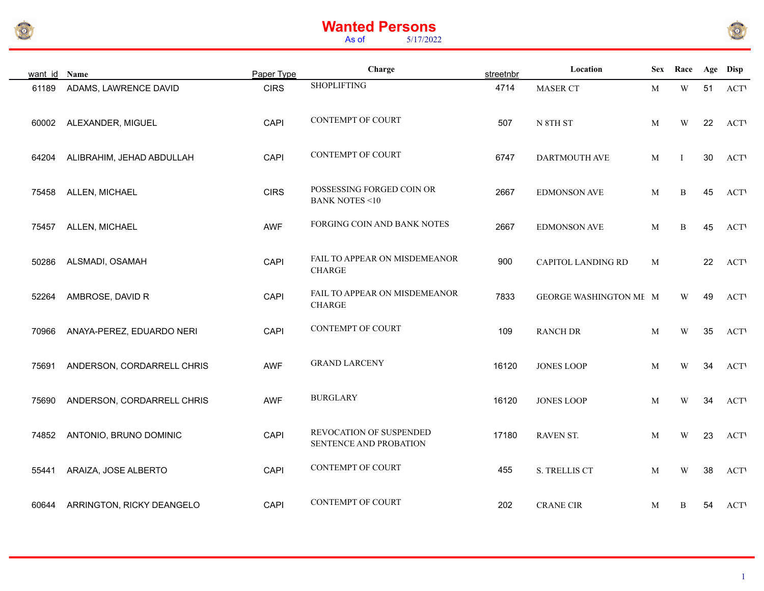





| want id Name |                            | Paper Type  | Charge                                                | streetnbr | Location               |   | Sex Race                |    | Age Disp    |
|--------------|----------------------------|-------------|-------------------------------------------------------|-----------|------------------------|---|-------------------------|----|-------------|
| 61189        | ADAMS, LAWRENCE DAVID      | <b>CIRS</b> | <b>SHOPLIFTING</b>                                    | 4714      | MASER CT               | M | $\ensuremath{\text{W}}$ | 51 | <b>ACTV</b> |
| 60002        | ALEXANDER, MIGUEL          | <b>CAPI</b> | <b>CONTEMPT OF COURT</b>                              | 507       | $N$ 8TH $ST$           | M | $\ensuremath{\text{W}}$ | 22 | <b>ACT</b>  |
| 64204        | ALIBRAHIM, JEHAD ABDULLAH  | CAPI        | <b>CONTEMPT OF COURT</b>                              | 6747      | DARTMOUTH AVE          | M | T                       | 30 | <b>ACTV</b> |
| 75458        | ALLEN, MICHAEL             | <b>CIRS</b> | POSSESSING FORGED COIN OR<br><b>BANK NOTES &lt;10</b> | 2667      | <b>EDMONSON AVE</b>    | M | B                       | 45 | <b>ACTV</b> |
| 75457        | ALLEN, MICHAEL             | AWF         | FORGING COIN AND BANK NOTES                           | 2667      | <b>EDMONSON AVE</b>    | M | B                       | 45 | <b>ACTV</b> |
| 50286        | ALSMADI, OSAMAH            | CAPI        | FAIL TO APPEAR ON MISDEMEANOR<br><b>CHARGE</b>        | 900       | CAPITOL LANDING RD     | M |                         | 22 | <b>ACT</b>  |
| 52264        | AMBROSE, DAVID R           | CAPI        | FAIL TO APPEAR ON MISDEMEANOR<br><b>CHARGE</b>        | 7833      | GEORGE WASHINGTON ME M |   | W                       | 49 | <b>ACTV</b> |
| 70966        | ANAYA-PEREZ, EDUARDO NERI  | CAPI        | <b>CONTEMPT OF COURT</b>                              | 109       | <b>RANCH DR</b>        | M | W                       | 35 | <b>ACTV</b> |
| 75691        | ANDERSON, CORDARRELL CHRIS | <b>AWF</b>  | <b>GRAND LARCENY</b>                                  | 16120     | <b>JONES LOOP</b>      | M | W                       | 34 | <b>ACTV</b> |
| 75690        | ANDERSON, CORDARRELL CHRIS | <b>AWF</b>  | <b>BURGLARY</b>                                       | 16120     | <b>JONES LOOP</b>      | М | W                       | 34 | <b>ACTV</b> |
| 74852        | ANTONIO, BRUNO DOMINIC     | CAPI        | REVOCATION OF SUSPENDED<br>SENTENCE AND PROBATION     | 17180     | RAVEN ST.              | М | W                       | 23 | <b>ACTV</b> |
| 55441        | ARAIZA, JOSE ALBERTO       | <b>CAPI</b> | <b>CONTEMPT OF COURT</b>                              | 455       | S. TRELLIS CT          | M | W                       | 38 | <b>ACT</b>  |
| 60644        | ARRINGTON, RICKY DEANGELO  | <b>CAPI</b> | <b>CONTEMPT OF COURT</b>                              | 202       | <b>CRANE CIR</b>       | M | B                       | 54 | <b>ACTV</b> |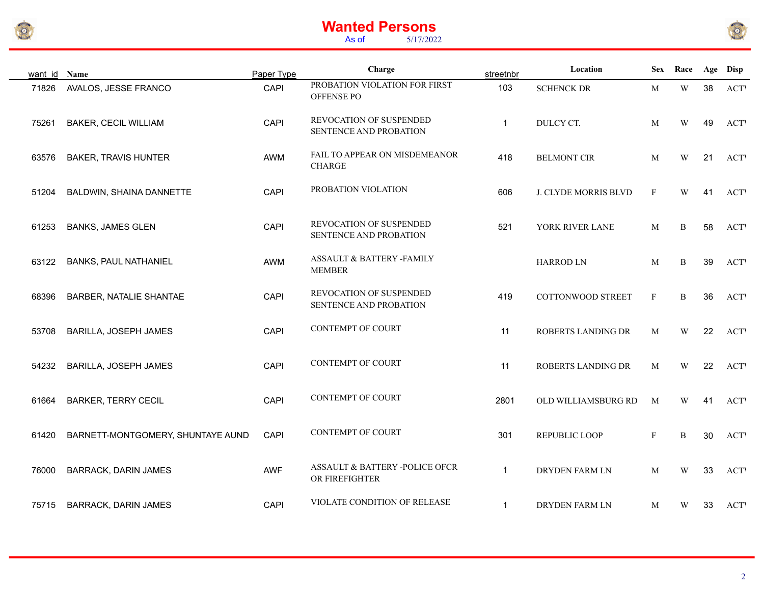



| want id | Name                              | Paper Type  | Charge                                                | streetnbr    | Location              | <b>Sex</b>   | Race        |    | Age Disp    |
|---------|-----------------------------------|-------------|-------------------------------------------------------|--------------|-----------------------|--------------|-------------|----|-------------|
| 71826   | AVALOS, JESSE FRANCO              | CAPI        | PROBATION VIOLATION FOR FIRST<br>OFFENSE PO           | 103          | <b>SCHENCK DR</b>     | M            | W           | 38 | <b>ACT</b>  |
| 75261   | <b>BAKER, CECIL WILLIAM</b>       | CAPI        | REVOCATION OF SUSPENDED<br>SENTENCE AND PROBATION     | $\mathbf{1}$ | DULCY CT.             | M            | W           | 49 | <b>ACT</b>  |
| 63576   | <b>BAKER, TRAVIS HUNTER</b>       | AWM         | FAIL TO APPEAR ON MISDEMEANOR<br><b>CHARGE</b>        | 418          | <b>BELMONT CIR</b>    | M            | W           | 21 | <b>ACT</b>  |
| 51204   | BALDWIN, SHAINA DANNETTE          | CAPI        | PROBATION VIOLATION                                   | 606          | J. CLYDE MORRIS BLVD  | $\mathbf{F}$ | W           | 41 | <b>ACT</b>  |
| 61253   | <b>BANKS, JAMES GLEN</b>          | CAPI        | REVOCATION OF SUSPENDED<br>SENTENCE AND PROBATION     | 521          | YORK RIVER LANE       | M            | B           | 58 | <b>ACT</b>  |
| 63122   | <b>BANKS, PAUL NATHANIEL</b>      | AWM         | <b>ASSAULT &amp; BATTERY -FAMILY</b><br><b>MEMBER</b> |              | <b>HARROD LN</b>      | M            | B           | 39 | <b>ACT</b>  |
| 68396   | <b>BARBER, NATALIE SHANTAE</b>    | CAPI        | REVOCATION OF SUSPENDED<br>SENTENCE AND PROBATION     | 419          | COTTONWOOD STREET     | $\mathbf{F}$ | $\mathbf B$ | 36 | <b>ACT</b>  |
| 53708   | BARILLA, JOSEPH JAMES             | CAPI        | <b>CONTEMPT OF COURT</b>                              | 11           | ROBERTS LANDING DR    | M            | W           | 22 | <b>ACT</b>  |
| 54232   | BARILLA, JOSEPH JAMES             | CAPI        | <b>CONTEMPT OF COURT</b>                              | 11           | ROBERTS LANDING DR    | M            | W           | 22 | <b>ACT</b>  |
| 61664   | <b>BARKER, TERRY CECIL</b>        | CAPI        | <b>CONTEMPT OF COURT</b>                              | 2801         | OLD WILLIAMSBURG RD   | M            | W           | 41 | <b>ACT</b>  |
| 61420   | BARNETT-MONTGOMERY, SHUNTAYE AUND | CAPI        | <b>CONTEMPT OF COURT</b>                              | 301          | REPUBLIC LOOP         | $_{\rm F}$   | B           | 30 | <b>ACT</b>  |
| 76000   | <b>BARRACK, DARIN JAMES</b>       | AWF         | ASSAULT & BATTERY -POLICE OFCR<br>OR FIREFIGHTER      | $\mathbf{1}$ | <b>DRYDEN FARM LN</b> | M            | W           | 33 | <b>ACT</b>  |
| 75715   | <b>BARRACK, DARIN JAMES</b>       | <b>CAPI</b> | VIOLATE CONDITION OF RELEASE                          | $\mathbf{1}$ | DRYDEN FARM LN        | M            | W           | 33 | <b>ACTV</b> |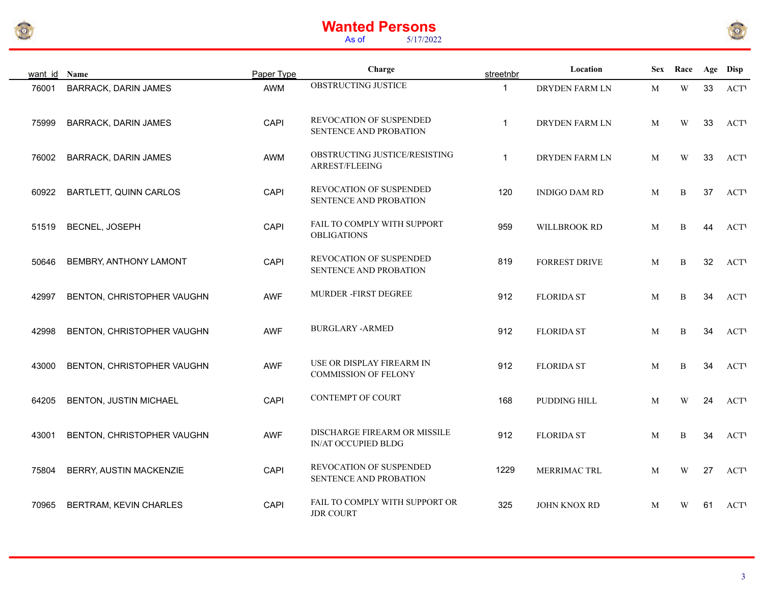



| want id Name |                             | Paper Type  | Charge                                                   | streetnbr    | Location             |   | Sex Race                |    | Age Disp    |
|--------------|-----------------------------|-------------|----------------------------------------------------------|--------------|----------------------|---|-------------------------|----|-------------|
| 76001        | <b>BARRACK, DARIN JAMES</b> | AWM         | OBSTRUCTING JUSTICE                                      | $\mathbf{1}$ | DRYDEN FARM LN       | M | W                       | 33 | <b>ACTV</b> |
| 75999        | <b>BARRACK, DARIN JAMES</b> | CAPI        | REVOCATION OF SUSPENDED<br>SENTENCE AND PROBATION        | $\mathbf{1}$ | DRYDEN FARM LN       | M | W                       | 33 | <b>ACTV</b> |
| 76002        | <b>BARRACK, DARIN JAMES</b> | AWM         | OBSTRUCTING JUSTICE/RESISTING<br>ARREST/FLEEING          | $\mathbf{1}$ | DRYDEN FARM LN       | M | W                       | 33 | <b>ACTV</b> |
| 60922        | BARTLETT, QUINN CARLOS      | CAPI        | REVOCATION OF SUSPENDED<br>SENTENCE AND PROBATION        | 120          | <b>INDIGO DAM RD</b> | M | B                       | 37 | <b>ACTV</b> |
| 51519        | BECNEL, JOSEPH              | <b>CAPI</b> | FAIL TO COMPLY WITH SUPPORT<br><b>OBLIGATIONS</b>        | 959          | WILLBROOK RD         | M | B                       | 44 | <b>ACTV</b> |
| 50646        | BEMBRY, ANTHONY LAMONT      | CAPI        | <b>REVOCATION OF SUSPENDED</b><br>SENTENCE AND PROBATION | 819          | <b>FORREST DRIVE</b> | M | B                       | 32 | <b>ACT</b>  |
| 42997        | BENTON, CHRISTOPHER VAUGHN  | AWF         | MURDER -FIRST DEGREE                                     | 912          | <b>FLORIDA ST</b>    | M | B                       | 34 | <b>ACTV</b> |
| 42998        | BENTON, CHRISTOPHER VAUGHN  | AWF         | <b>BURGLARY -ARMED</b>                                   | 912          | <b>FLORIDA ST</b>    | M | B                       | 34 | <b>ACTV</b> |
| 43000        | BENTON, CHRISTOPHER VAUGHN  | <b>AWF</b>  | USE OR DISPLAY FIREARM IN<br><b>COMMISSION OF FELONY</b> | 912          | <b>FLORIDA ST</b>    | M | B                       | 34 | <b>ACTV</b> |
| 64205        | BENTON, JUSTIN MICHAEL      | <b>CAPI</b> | <b>CONTEMPT OF COURT</b>                                 | 168          | PUDDING HILL         | M | W                       | 24 | <b>ACTV</b> |
| 43001        | BENTON, CHRISTOPHER VAUGHN  | AWF         | DISCHARGE FIREARM OR MISSILE<br>IN/AT OCCUPIED BLDG      | 912          | <b>FLORIDA ST</b>    | M | B                       | 34 | <b>ACT</b>  |
| 75804        | BERRY, AUSTIN MACKENZIE     | CAPI        | REVOCATION OF SUSPENDED<br>SENTENCE AND PROBATION        | 1229         | MERRIMAC TRL         | M | $\ensuremath{\text{W}}$ | 27 | <b>ACT</b>  |
| 70965        | BERTRAM, KEVIN CHARLES      | <b>CAPI</b> | FAIL TO COMPLY WITH SUPPORT OR<br><b>JDR COURT</b>       | 325          | JOHN KNOX RD         | M | W                       | 61 | <b>ACTV</b> |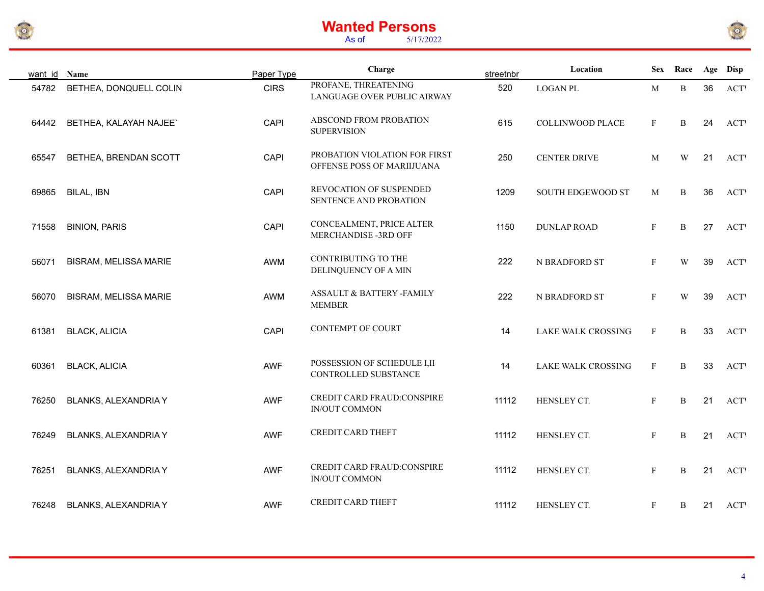



| want id Name |                              | Paper Type  | Charge                                                      | streetnbr | Location            |              | Sex Race                |    | Age Disp    |
|--------------|------------------------------|-------------|-------------------------------------------------------------|-----------|---------------------|--------------|-------------------------|----|-------------|
| 54782        | BETHEA, DONQUELL COLIN       | <b>CIRS</b> | PROFANE, THREATENING<br>LANGUAGE OVER PUBLIC AIRWAY         | 520       | <b>LOGAN PL</b>     | M            | B                       | 36 | <b>ACTV</b> |
| 64442        | BETHEA, KALAYAH NAJEE`       | CAPI        | ABSCOND FROM PROBATION<br><b>SUPERVISION</b>                | 615       | COLLINWOOD PLACE    | F            | B                       | 24 | <b>ACTV</b> |
| 65547        | BETHEA, BRENDAN SCOTT        | CAPI        | PROBATION VIOLATION FOR FIRST<br>OFFENSE POSS OF MARIIJUANA | 250       | <b>CENTER DRIVE</b> | M            | W                       | 21 | <b>ACTV</b> |
| 69865        | BILAL, IBN                   | CAPI        | REVOCATION OF SUSPENDED<br>SENTENCE AND PROBATION           | 1209      | SOUTH EDGEWOOD ST   | M            | B                       | 36 | <b>ACTV</b> |
| 71558        | <b>BINION, PARIS</b>         | CAPI        | CONCEALMENT, PRICE ALTER<br>MERCHANDISE -3RD OFF            | 1150      | <b>DUNLAP ROAD</b>  | $\mathbf{F}$ | $\, {\bf B}$            | 27 | <b>ACTV</b> |
| 56071        | <b>BISRAM, MELISSA MARIE</b> | AWM         | <b>CONTRIBUTING TO THE</b><br>DELINQUENCY OF A MIN          | 222       | N BRADFORD ST       | $\mathbf{F}$ | W                       | 39 | <b>ACT</b>  |
| 56070        | <b>BISRAM, MELISSA MARIE</b> | AWM         | ASSAULT & BATTERY -FAMILY<br><b>MEMBER</b>                  | 222       | N BRADFORD ST       | $\mathbf{F}$ | $\ensuremath{\text{W}}$ | 39 | <b>ACTV</b> |
| 61381        | <b>BLACK, ALICIA</b>         | CAPI        | <b>CONTEMPT OF COURT</b>                                    | 14        | LAKE WALK CROSSING  | $\mathbf{F}$ | $\, {\bf B}$            | 33 | <b>ACT</b>  |
| 60361        | <b>BLACK, ALICIA</b>         | AWF         | POSSESSION OF SCHEDULE I,II<br>CONTROLLED SUBSTANCE         | 14        | LAKE WALK CROSSING  | $\mathbf{F}$ | B                       | 33 | <b>ACTV</b> |
| 76250        | <b>BLANKS, ALEXANDRIA Y</b>  | AWF         | CREDIT CARD FRAUD:CONSPIRE<br><b>IN/OUT COMMON</b>          | 11112     | HENSLEY CT.         | F            | B                       | 21 | <b>ACTV</b> |
| 76249        | <b>BLANKS, ALEXANDRIA Y</b>  | AWF         | <b>CREDIT CARD THEFT</b>                                    | 11112     | HENSLEY CT.         | $\mathbf{F}$ | B                       | 21 | <b>ACTV</b> |
| 76251        | BLANKS, ALEXANDRIA Y         | AWF         | CREDIT CARD FRAUD:CONSPIRE<br>IN/OUT COMMON                 | 11112     | HENSLEY CT.         | $\mathbf{F}$ | B                       | 21 | <b>ACTV</b> |
| 76248        | BLANKS, ALEXANDRIA Y         | <b>AWF</b>  | <b>CREDIT CARD THEFT</b>                                    | 11112     | HENSLEY CT.         | $\mathbf{F}$ | B                       | 21 | <b>ACTV</b> |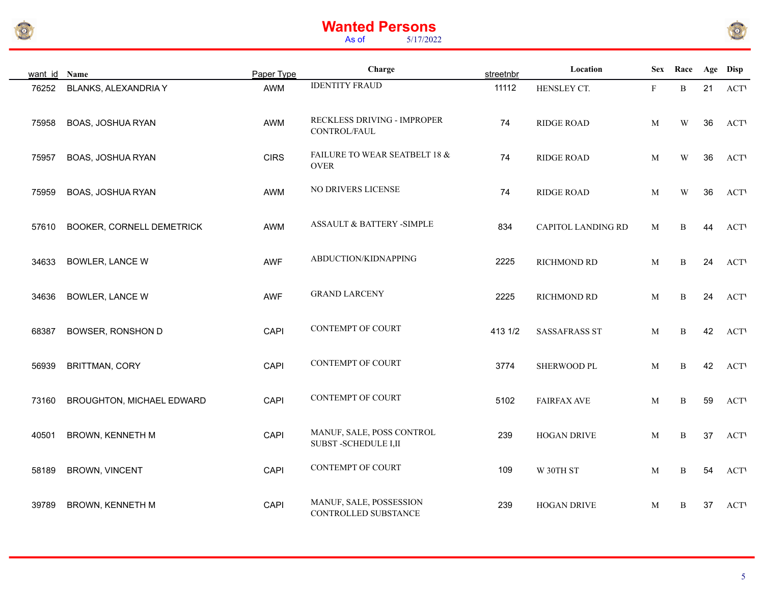



| want id | Name                             | Paper Type  | Charge                                           | streetnbr | Location                  |             | Sex Race     |    | Age Disp   |
|---------|----------------------------------|-------------|--------------------------------------------------|-----------|---------------------------|-------------|--------------|----|------------|
| 76252   | BLANKS, ALEXANDRIA Y             | AWM         | <b>IDENTITY FRAUD</b>                            | 11112     | HENSLEY CT.               | $\mathbf F$ | B            | 21 | <b>ACT</b> |
| 75958   | BOAS, JOSHUA RYAN                | AWM         | RECKLESS DRIVING - IMPROPER<br>CONTROL/FAUL      | 74        | <b>RIDGE ROAD</b>         | M           | W            | 36 | <b>ACT</b> |
| 75957   | BOAS, JOSHUA RYAN                | <b>CIRS</b> | FAILURE TO WEAR SEATBELT 18 &<br><b>OVER</b>     | 74        | RIDGE ROAD                | M           | W            | 36 | <b>ACT</b> |
| 75959   | BOAS, JOSHUA RYAN                | AWM         | NO DRIVERS LICENSE                               | 74        | RIDGE ROAD                | M           | W            | 36 | <b>ACT</b> |
| 57610   | <b>BOOKER, CORNELL DEMETRICK</b> | AWM         | ASSAULT & BATTERY -SIMPLE                        | 834       | <b>CAPITOL LANDING RD</b> | M           | B            | 44 | <b>ACT</b> |
| 34633   | <b>BOWLER, LANCE W</b>           | AWF         | ABDUCTION/KIDNAPPING                             | 2225      | RICHMOND RD               | M           | $\, {\bf B}$ | 24 | <b>ACT</b> |
| 34636   | <b>BOWLER, LANCE W</b>           | AWF         | <b>GRAND LARCENY</b>                             | 2225      | RICHMOND RD               | M           | B            | 24 | <b>ACT</b> |
| 68387   | BOWSER, RONSHON D                | CAPI        | <b>CONTEMPT OF COURT</b>                         | 413 1/2   | <b>SASSAFRASS ST</b>      | M           | B            | 42 | <b>ACT</b> |
| 56939   | <b>BRITTMAN, CORY</b>            | CAPI        | CONTEMPT OF COURT                                | 3774      | SHERWOOD PL               | M           | B            | 42 | <b>ACT</b> |
| 73160   | BROUGHTON, MICHAEL EDWARD        | CAPI        | CONTEMPT OF COURT                                | 5102      | <b>FAIRFAX AVE</b>        | M           | B            | 59 | <b>ACT</b> |
| 40501   | BROWN, KENNETH M                 | CAPI        | MANUF, SALE, POSS CONTROL<br>SUBST-SCHEDULE I,II | 239       | <b>HOGAN DRIVE</b>        | M           | B            | 37 | <b>ACT</b> |
| 58189   | BROWN, VINCENT                   | CAPI        | <b>CONTEMPT OF COURT</b>                         | 109       | W 30TH ST                 | M           | B            | 54 | <b>ACT</b> |
| 39789   | BROWN, KENNETH M                 | CAPI        | MANUF, SALE, POSSESSION<br>CONTROLLED SUBSTANCE  | 239       | <b>HOGAN DRIVE</b>        | M           | B            | 37 | <b>ACT</b> |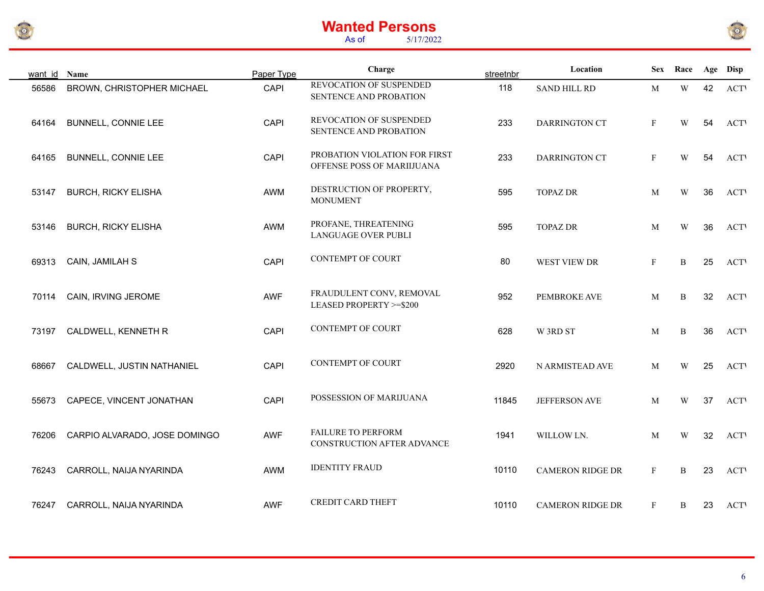



| want id Name |                               | Paper Type  | Charge                                                      | streetnbr | Location                | Sex          | Race                    |    | Age Disp    |
|--------------|-------------------------------|-------------|-------------------------------------------------------------|-----------|-------------------------|--------------|-------------------------|----|-------------|
| 56586        | BROWN, CHRISTOPHER MICHAEL    | <b>CAPI</b> | REVOCATION OF SUSPENDED<br>SENTENCE AND PROBATION           | 118       | <b>SAND HILL RD</b>     | M            | $\ensuremath{\text{W}}$ | 42 | <b>ACTV</b> |
| 64164        | <b>BUNNELL, CONNIE LEE</b>    | CAPI        | REVOCATION OF SUSPENDED<br>SENTENCE AND PROBATION           | 233       | DARRINGTON CT           | $\mathbf{F}$ | W                       | 54 | <b>ACTV</b> |
| 64165        | BUNNELL, CONNIE LEE           | CAPI        | PROBATION VIOLATION FOR FIRST<br>OFFENSE POSS OF MARIIJUANA | 233       | DARRINGTON CT           | $\mathbf{F}$ | W                       | 54 | <b>ACT</b>  |
| 53147        | <b>BURCH, RICKY ELISHA</b>    | AWM         | DESTRUCTION OF PROPERTY,<br><b>MONUMENT</b>                 | 595       | <b>TOPAZ DR</b>         | M            | W                       | 36 | <b>ACT</b>  |
| 53146        | <b>BURCH, RICKY ELISHA</b>    | AWM         | PROFANE, THREATENING<br>LANGUAGE OVER PUBLI                 | 595       | <b>TOPAZ DR</b>         | M            | $\ensuremath{\text{W}}$ | 36 | <b>ACTV</b> |
| 69313        | CAIN, JAMILAH S               | CAPI        | CONTEMPT OF COURT                                           | 80        | WEST VIEW DR            | $\mathbf{F}$ | $\, {\bf B}$            | 25 | <b>ACTV</b> |
| 70114        | CAIN, IRVING JEROME           | AWF         | FRAUDULENT CONV, REMOVAL<br>LEASED PROPERTY >=\$200         | 952       | PEMBROKE AVE            | M            | B                       | 32 | <b>ACT</b>  |
| 73197        | CALDWELL, KENNETH R           | CAPI        | <b>CONTEMPT OF COURT</b>                                    | 628       | W 3RD ST                | M            | $\, {\bf B}$            | 36 | <b>ACT</b>  |
| 68667        | CALDWELL, JUSTIN NATHANIEL    | CAPI        | <b>CONTEMPT OF COURT</b>                                    | 2920      | N ARMISTEAD AVE         | M            | W                       | 25 | <b>ACTV</b> |
| 55673        | CAPECE, VINCENT JONATHAN      | CAPI        | POSSESSION OF MARIJUANA                                     | 11845     | JEFFERSON AVE           | M            | W                       | 37 | <b>ACTV</b> |
| 76206        | CARPIO ALVARADO, JOSE DOMINGO | <b>AWF</b>  | <b>FAILURE TO PERFORM</b><br>CONSTRUCTION AFTER ADVANCE     | 1941      | WILLOW LN.              | M            | W                       | 32 | <b>ACTV</b> |
| 76243        | CARROLL, NAIJA NYARINDA       | AWM         | <b>IDENTITY FRAUD</b>                                       | 10110     | <b>CAMERON RIDGE DR</b> | $\mathbf{F}$ | $\, {\bf B}$            | 23 | <b>ACTV</b> |
| 76247        | CARROLL, NAIJA NYARINDA       | <b>AWF</b>  | <b>CREDIT CARD THEFT</b>                                    | 10110     | <b>CAMERON RIDGE DR</b> | $\mathbf{F}$ | B                       | 23 | <b>ACTV</b> |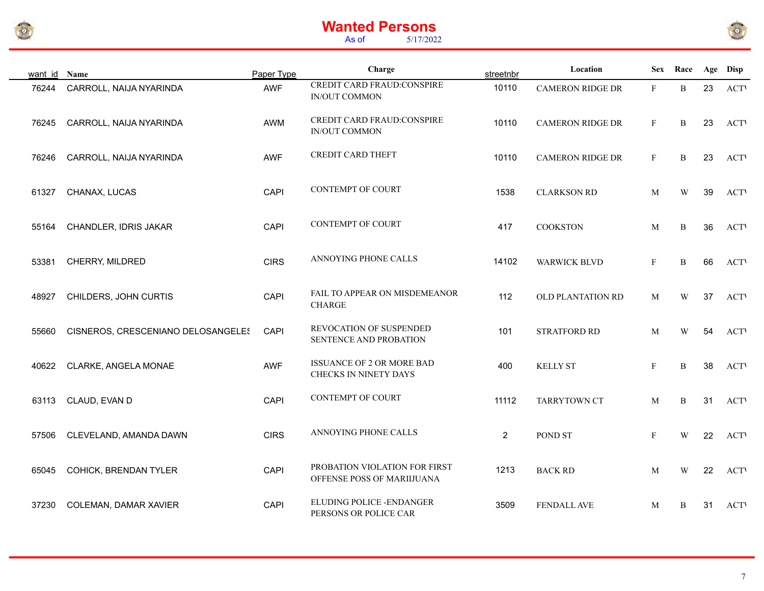



| want id Name |                                    | Paper Type  | Charge                                                      | streetnbr      | Location                |              | Sex Race                |    | Age Disp    |
|--------------|------------------------------------|-------------|-------------------------------------------------------------|----------------|-------------------------|--------------|-------------------------|----|-------------|
| 76244        | CARROLL, NAIJA NYARINDA            | AWF         | <b>CREDIT CARD FRAUD:CONSPIRE</b><br>IN/OUT COMMON          | 10110          | <b>CAMERON RIDGE DR</b> | $\mathbf{F}$ | B                       | 23 | <b>ACTV</b> |
| 76245        | CARROLL, NAIJA NYARINDA            | AWM         | CREDIT CARD FRAUD:CONSPIRE<br>IN/OUT COMMON                 | 10110          | <b>CAMERON RIDGE DR</b> | $\mathbf{F}$ | B                       | 23 | <b>ACTV</b> |
| 76246        | CARROLL, NAIJA NYARINDA            | <b>AWF</b>  | CREDIT CARD THEFT                                           | 10110          | <b>CAMERON RIDGE DR</b> | $\mathbf{F}$ | B                       | 23 | <b>ACT</b>  |
| 61327        | CHANAX, LUCAS                      | CAPI        | CONTEMPT OF COURT                                           | 1538           | <b>CLARKSON RD</b>      | M            | W                       | 39 | <b>ACTV</b> |
| 55164        | CHANDLER, IDRIS JAKAR              | CAPI        | <b>CONTEMPT OF COURT</b>                                    | 417            | <b>COOKSTON</b>         | M            | $\, {\bf B}$            | 36 | <b>ACT</b>  |
| 53381        | CHERRY, MILDRED                    | <b>CIRS</b> | ANNOYING PHONE CALLS                                        | 14102          | <b>WARWICK BLVD</b>     | $\mathbf{F}$ | B                       | 66 | <b>ACT</b>  |
| 48927        | CHILDERS, JOHN CURTIS              | CAPI        | FAIL TO APPEAR ON MISDEMEANOR<br><b>CHARGE</b>              | 112            | OLD PLANTATION RD       | M            | $\ensuremath{\text{W}}$ | 37 | <b>ACTV</b> |
| 55660        | CISNEROS, CRESCENIANO DELOSANGELES | CAPI        | REVOCATION OF SUSPENDED<br>SENTENCE AND PROBATION           | 101            | STRATFORD RD            | M            | W                       | 54 | <b>ACTV</b> |
| 40622        | CLARKE, ANGELA MONAE               | <b>AWF</b>  | <b>ISSUANCE OF 2 OR MORE BAD</b><br>CHECKS IN NINETY DAYS   | 400            | <b>KELLY ST</b>         | $\mathbf{F}$ | B                       | 38 | <b>ACTV</b> |
| 63113        | CLAUD, EVAN D                      | CAPI        | CONTEMPT OF COURT                                           | 11112          | <b>TARRYTOWN CT</b>     | M            | B                       | 31 | <b>ACTV</b> |
| 57506        | CLEVELAND, AMANDA DAWN             | <b>CIRS</b> | ANNOYING PHONE CALLS                                        | $\overline{2}$ | POND ST                 | $\mathbf{F}$ | $\ensuremath{\text{W}}$ | 22 | <b>ACTV</b> |
| 65045        | COHICK, BRENDAN TYLER              | CAPI        | PROBATION VIOLATION FOR FIRST<br>OFFENSE POSS OF MARIIJUANA | 1213           | <b>BACK RD</b>          | M            | $\ensuremath{\text{W}}$ | 22 | <b>ACT</b>  |
| 37230        | COLEMAN, DAMAR XAVIER              | CAPI        | ELUDING POLICE - ENDANGER<br>PERSONS OR POLICE CAR          | 3509           | FENDALL AVE             | M            | B                       | 31 | <b>ACTV</b> |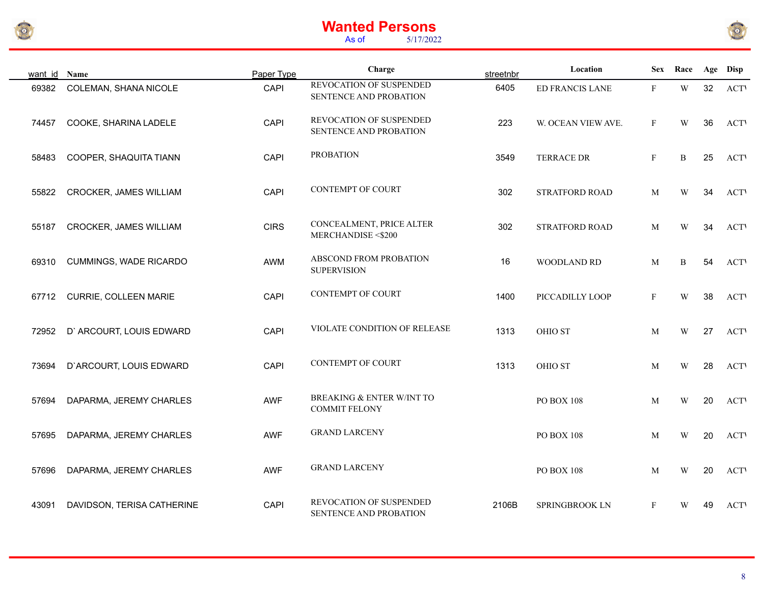



| want id Name |                            | Paper Type  | Charge                                            | streetnbr | Location           | Sex          | Race                    |    | Age Disp    |
|--------------|----------------------------|-------------|---------------------------------------------------|-----------|--------------------|--------------|-------------------------|----|-------------|
| 69382        | COLEMAN, SHANA NICOLE      | CAPI        | REVOCATION OF SUSPENDED<br>SENTENCE AND PROBATION | 6405      | ED FRANCIS LANE    | $\mathbf{F}$ | W                       | 32 | <b>ACT</b>  |
| 74457        | COOKE, SHARINA LADELE      | CAPI        | REVOCATION OF SUSPENDED<br>SENTENCE AND PROBATION | 223       | W. OCEAN VIEW AVE. | $\mathbf F$  | W                       | 36 | <b>ACTV</b> |
| 58483        | COOPER, SHAQUITA TIANN     | CAPI        | <b>PROBATION</b>                                  | 3549      | <b>TERRACE DR</b>  | $\mathbf{F}$ | $\mathbf B$             | 25 | <b>ACT</b>  |
| 55822        | CROCKER, JAMES WILLIAM     | CAPI        | <b>CONTEMPT OF COURT</b>                          | 302       | STRATFORD ROAD     | M            | $\ensuremath{\text{W}}$ | 34 | <b>ACT</b>  |
| 55187        | CROCKER, JAMES WILLIAM     | <b>CIRS</b> | CONCEALMENT, PRICE ALTER<br>MERCHANDISE <\$200    | 302       | STRATFORD ROAD     | M            | W                       | 34 | <b>ACTV</b> |
| 69310        | CUMMINGS, WADE RICARDO     | AWM         | ABSCOND FROM PROBATION<br><b>SUPERVISION</b>      | 16        | WOODLAND RD        | M            | B                       | 54 | <b>ACT</b>  |
| 67712        | CURRIE, COLLEEN MARIE      | CAPI        | CONTEMPT OF COURT                                 | 1400      | PICCADILLY LOOP    | $\mathbf F$  | W                       | 38 | <b>ACT</b>  |
| 72952        | D' ARCOURT, LOUIS EDWARD   | CAPI        | VIOLATE CONDITION OF RELEASE                      | 1313      | <b>OHIO ST</b>     | M            | W                       | 27 | <b>ACT</b>  |
| 73694        | D'ARCOURT, LOUIS EDWARD    | CAPI        | <b>CONTEMPT OF COURT</b>                          | 1313      | OHIO ST            | M            | W                       | 28 | <b>ACTV</b> |
| 57694        | DAPARMA, JEREMY CHARLES    | <b>AWF</b>  | BREAKING & ENTER W/INT TO<br><b>COMMIT FELONY</b> |           | PO BOX 108         | M            | W                       | 20 | <b>ACT</b>  |
| 57695        | DAPARMA, JEREMY CHARLES    | <b>AWF</b>  | <b>GRAND LARCENY</b>                              |           | PO BOX 108         | M            | W                       | 20 | <b>ACTV</b> |
| 57696        | DAPARMA, JEREMY CHARLES    | <b>AWF</b>  | <b>GRAND LARCENY</b>                              |           | <b>PO BOX 108</b>  | M            | W                       | 20 | <b>ACT</b>  |
| 43091        | DAVIDSON, TERISA CATHERINE | CAPI        | REVOCATION OF SUSPENDED<br>SENTENCE AND PROBATION | 2106B     | SPRINGBROOK LN     | $\mathbf{F}$ | W                       | 49 | <b>ACT</b>  |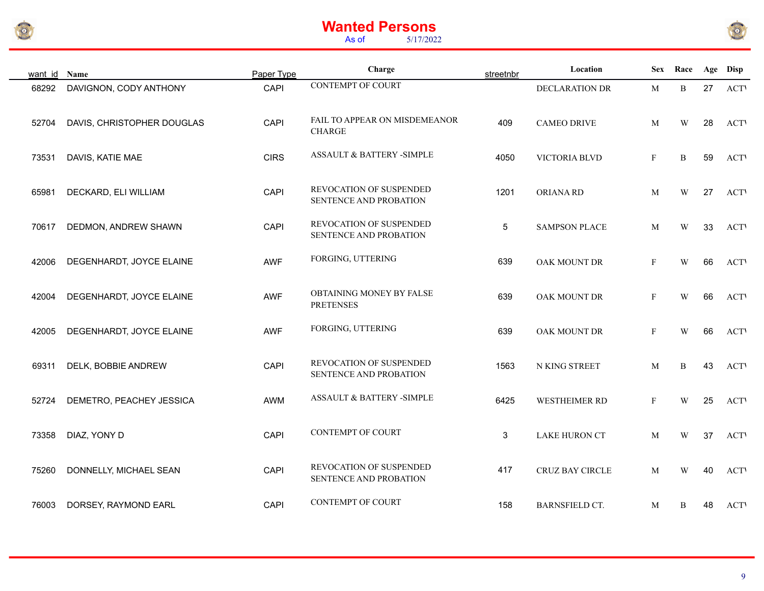



| want id Name |                            | Paper Type  | Charge                                            | streetnbr   | Location              | <b>Sex</b>   | Race                    |    | Age Disp    |
|--------------|----------------------------|-------------|---------------------------------------------------|-------------|-----------------------|--------------|-------------------------|----|-------------|
| 68292        | DAVIGNON, CODY ANTHONY     | CAPI        | <b>CONTEMPT OF COURT</b>                          |             | DECLARATION DR        | M            | $\, {\bf B}$            | 27 | <b>ACTV</b> |
| 52704        | DAVIS, CHRISTOPHER DOUGLAS | CAPI        | FAIL TO APPEAR ON MISDEMEANOR<br><b>CHARGE</b>    | 409         | <b>CAMEO DRIVE</b>    | M            | W                       | 28 | <b>ACTV</b> |
| 73531        | DAVIS, KATIE MAE           | <b>CIRS</b> | ASSAULT & BATTERY -SIMPLE                         | 4050        | VICTORIA BLVD         | $\mathbf{F}$ | B                       | 59 | <b>ACTV</b> |
| 65981        | DECKARD, ELI WILLIAM       | CAPI        | REVOCATION OF SUSPENDED<br>SENTENCE AND PROBATION | 1201        | ORIANA RD             | M            | W                       | 27 | <b>ACTV</b> |
| 70617        | DEDMON, ANDREW SHAWN       | CAPI        | REVOCATION OF SUSPENDED<br>SENTENCE AND PROBATION | $\,$ 5 $\,$ | <b>SAMPSON PLACE</b>  | M            | W                       | 33 | <b>ACTV</b> |
| 42006        | DEGENHARDT, JOYCE ELAINE   | AWF         | FORGING, UTTERING                                 | 639         | OAK MOUNT DR          | $\mathbf{F}$ | $\ensuremath{\text{W}}$ | 66 | <b>ACTV</b> |
| 42004        | DEGENHARDT, JOYCE ELAINE   | <b>AWF</b>  | OBTAINING MONEY BY FALSE<br><b>PRETENSES</b>      | 639         | OAK MOUNT DR          | F            | W                       | 66 | <b>ACTV</b> |
| 42005        | DEGENHARDT, JOYCE ELAINE   | AWF         | FORGING, UTTERING                                 | 639         | OAK MOUNT DR          | $\mathbf{F}$ | W                       | 66 | <b>ACTV</b> |
| 69311        | DELK, BOBBIE ANDREW        | CAPI        | REVOCATION OF SUSPENDED<br>SENTENCE AND PROBATION | 1563        | N KING STREET         | M            | B                       | 43 | <b>ACTV</b> |
| 52724        | DEMETRO, PEACHEY JESSICA   | AWM         | ASSAULT & BATTERY -SIMPLE                         | 6425        | WESTHEIMER RD         | $\mathbf{F}$ | W                       | 25 | <b>ACTV</b> |
| 73358        | DIAZ, YONY D               | CAPI        | <b>CONTEMPT OF COURT</b>                          | 3           | <b>LAKE HURON CT</b>  | M            | W                       | 37 | <b>ACTV</b> |
| 75260        | DONNELLY, MICHAEL SEAN     | CAPI        | REVOCATION OF SUSPENDED<br>SENTENCE AND PROBATION | 417         | CRUZ BAY CIRCLE       | M            | W                       | 40 | <b>ACT</b>  |
| 76003        | DORSEY, RAYMOND EARL       | CAPI        | <b>CONTEMPT OF COURT</b>                          | 158         | <b>BARNSFIELD CT.</b> | M            | B                       | 48 | <b>ACTV</b> |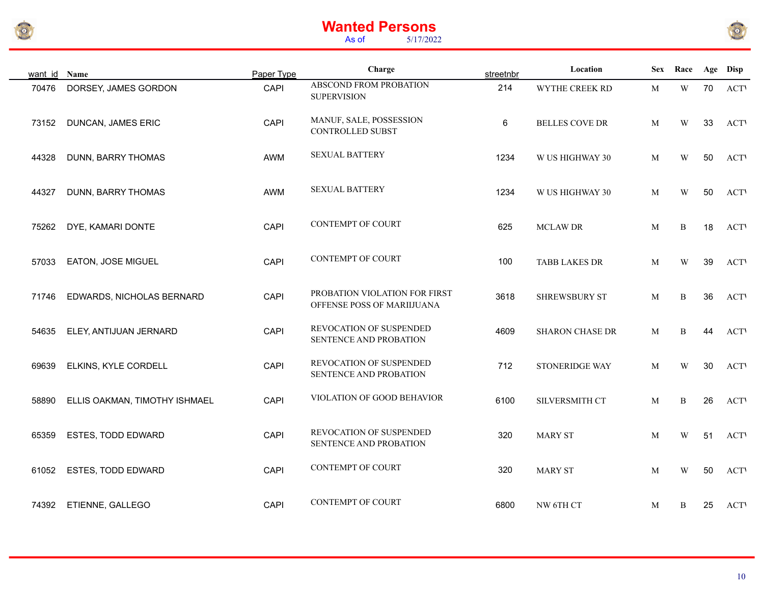



| want id Name |                               | Paper Type  | Charge                                                      | streetnbr | Location               | <b>Sex</b> | Race                    |    | Age Disp    |
|--------------|-------------------------------|-------------|-------------------------------------------------------------|-----------|------------------------|------------|-------------------------|----|-------------|
| 70476        | DORSEY, JAMES GORDON          | CAPI        | ABSCOND FROM PROBATION<br><b>SUPERVISION</b>                | 214       | WYTHE CREEK RD         | M          | $\ensuremath{\text{W}}$ | 70 | <b>ACT</b>  |
| 73152        | <b>DUNCAN, JAMES ERIC</b>     | CAPI        | MANUF, SALE, POSSESSION<br>CONTROLLED SUBST                 | $\,6\,$   | <b>BELLES COVE DR</b>  | M          | W                       | 33 | <b>ACTV</b> |
| 44328        | DUNN, BARRY THOMAS            | AWM         | <b>SEXUAL BATTERY</b>                                       | 1234      | W US HIGHWAY 30        | M          | W                       | 50 | <b>ACTV</b> |
| 44327        | DUNN, BARRY THOMAS            | AWM         | <b>SEXUAL BATTERY</b>                                       | 1234      | W US HIGHWAY 30        | M          | W                       | 50 | <b>ACT</b>  |
| 75262        | DYE, KAMARI DONTE             | <b>CAPI</b> | CONTEMPT OF COURT                                           | 625       | <b>MCLAW DR</b>        | M          | $\mathbf B$             | 18 | <b>ACT</b>  |
| 57033        | EATON, JOSE MIGUEL            | CAPI        | <b>CONTEMPT OF COURT</b>                                    | 100       | <b>TABB LAKES DR</b>   | M          | W                       | 39 | <b>ACT</b>  |
| 71746        | EDWARDS, NICHOLAS BERNARD     | CAPI        | PROBATION VIOLATION FOR FIRST<br>OFFENSE POSS OF MARIIJUANA | 3618      | SHREWSBURY ST          | M          | $\mathbf B$             | 36 | <b>ACT</b>  |
| 54635        | ELEY, ANTIJUAN JERNARD        | CAPI        | REVOCATION OF SUSPENDED<br>SENTENCE AND PROBATION           | 4609      | <b>SHARON CHASE DR</b> | M          | B                       | 44 | <b>ACT</b>  |
| 69639        | ELKINS, KYLE CORDELL          | CAPI        | REVOCATION OF SUSPENDED<br>SENTENCE AND PROBATION           | 712       | STONERIDGE WAY         | M          | $\ensuremath{\text{W}}$ | 30 | <b>ACT</b>  |
| 58890        | ELLIS OAKMAN, TIMOTHY ISHMAEL | CAPI        | VIOLATION OF GOOD BEHAVIOR                                  | 6100      | SILVERSMITH CT         | M          | B                       | 26 | <b>ACT</b>  |
| 65359        | ESTES, TODD EDWARD            | CAPI        | REVOCATION OF SUSPENDED<br>SENTENCE AND PROBATION           | 320       | <b>MARY ST</b>         | M          | W                       | 51 | <b>ACT</b>  |
| 61052        | ESTES, TODD EDWARD            | CAPI        | CONTEMPT OF COURT                                           | 320       | <b>MARY ST</b>         | M          | W                       | 50 | <b>ACT</b>  |
| 74392        | ETIENNE, GALLEGO              | <b>CAPI</b> | <b>CONTEMPT OF COURT</b>                                    | 6800      | NW 6TH CT              | M          | B                       | 25 | <b>ACT</b>  |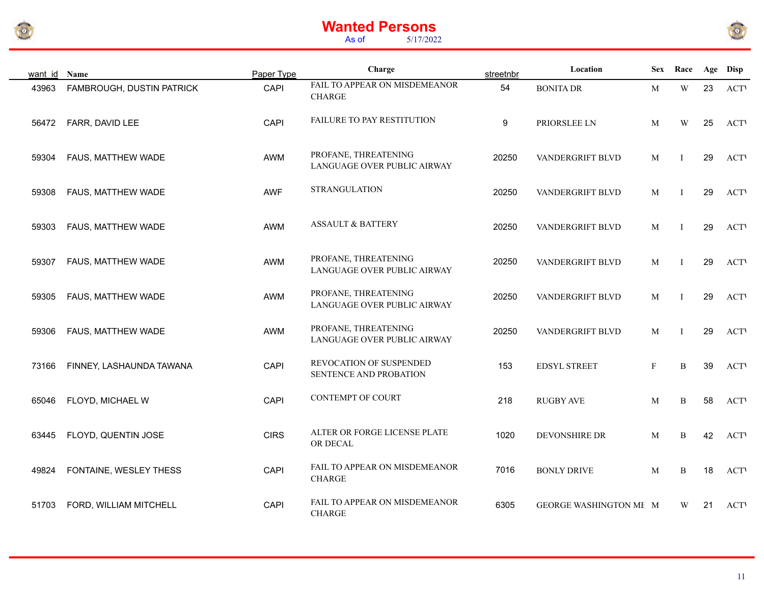



| want id Name |                           | Paper Type  | Charge                                              | streetnbr | Location               | <b>Sex</b>   | Race                    |    | Age Disp    |
|--------------|---------------------------|-------------|-----------------------------------------------------|-----------|------------------------|--------------|-------------------------|----|-------------|
| 43963        | FAMBROUGH, DUSTIN PATRICK | <b>CAPI</b> | FAIL TO APPEAR ON MISDEMEANOR<br><b>CHARGE</b>      | 54        | <b>BONITA DR</b>       | M            | $\ensuremath{\text{W}}$ | 23 | <b>ACTV</b> |
| 56472        | FARR, DAVID LEE           | <b>CAPI</b> | FAILURE TO PAY RESTITUTION                          | 9         | PRIORSLEE LN           | M            | W                       | 25 | <b>ACTV</b> |
| 59304        | FAUS, MATTHEW WADE        | AWM         | PROFANE, THREATENING<br>LANGUAGE OVER PUBLIC AIRWAY | 20250     | VANDERGRIFT BLVD       | M            | Τ                       | 29 | <b>ACTV</b> |
| 59308        | FAUS, MATTHEW WADE        | AWF         | <b>STRANGULATION</b>                                | 20250     | VANDERGRIFT BLVD       | M            | Ι.                      | 29 | <b>ACTV</b> |
| 59303        | FAUS, MATTHEW WADE        | AWM         | <b>ASSAULT &amp; BATTERY</b>                        | 20250     | VANDERGRIFT BLVD       | M            | Ι                       | 29 | <b>ACTV</b> |
| 59307        | FAUS, MATTHEW WADE        | AWM         | PROFANE, THREATENING<br>LANGUAGE OVER PUBLIC AIRWAY | 20250     | VANDERGRIFT BLVD       | M            | $\mathbf{I}$            | 29 | <b>ACTV</b> |
| 59305        | FAUS, MATTHEW WADE        | AWM         | PROFANE, THREATENING<br>LANGUAGE OVER PUBLIC AIRWAY | 20250     | VANDERGRIFT BLVD       | M            | $\mathbf{I}$            | 29 | <b>ACTV</b> |
| 59306        | FAUS, MATTHEW WADE        | AWM         | PROFANE, THREATENING<br>LANGUAGE OVER PUBLIC AIRWAY | 20250     | VANDERGRIFT BLVD       | M            | Ι                       | 29 | <b>ACTV</b> |
| 73166        | FINNEY, LASHAUNDA TAWANA  | CAPI        | REVOCATION OF SUSPENDED<br>SENTENCE AND PROBATION   | 153       | <b>EDSYL STREET</b>    | $\mathbf{F}$ | B                       | 39 | <b>ACTV</b> |
| 65046        | FLOYD, MICHAEL W          | CAPI        | <b>CONTEMPT OF COURT</b>                            | 218       | <b>RUGBY AVE</b>       | M            | B                       | 58 | <b>ACTV</b> |
| 63445        | FLOYD, QUENTIN JOSE       | <b>CIRS</b> | ALTER OR FORGE LICENSE PLATE<br>OR DECAL            | 1020      | DEVONSHIRE DR          | M            | B                       | 42 | <b>ACTV</b> |
| 49824        | FONTAINE, WESLEY THESS    | CAPI        | FAIL TO APPEAR ON MISDEMEANOR<br><b>CHARGE</b>      | 7016      | <b>BONLY DRIVE</b>     | M            | B                       | 18 | <b>ACTV</b> |
| 51703        | FORD, WILLIAM MITCHELL    | CAPI        | FAIL TO APPEAR ON MISDEMEANOR<br><b>CHARGE</b>      | 6305      | GEORGE WASHINGTON ME M |              | W                       | 21 | <b>ACT</b>  |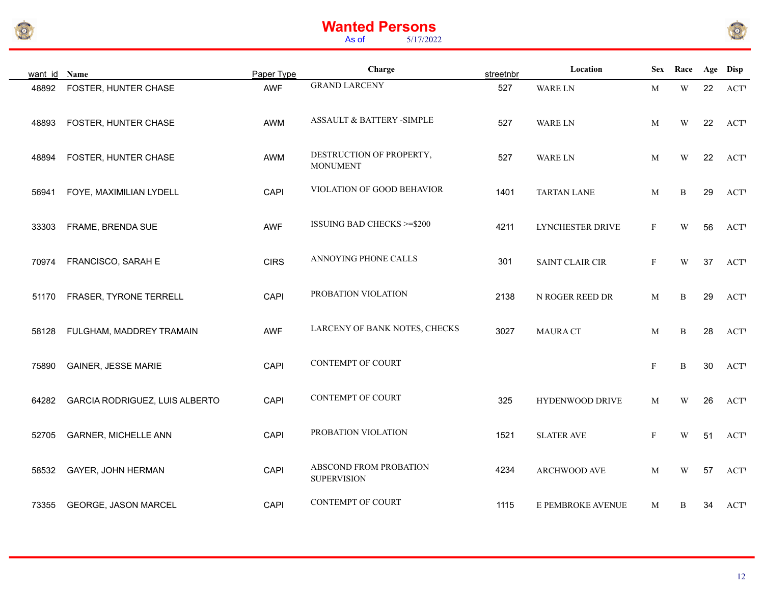



| want id | Name                           | Paper Type  | Charge                                       | streetnbr | Location               | <b>Sex</b>   | Race         |    | Age Disp    |
|---------|--------------------------------|-------------|----------------------------------------------|-----------|------------------------|--------------|--------------|----|-------------|
| 48892   | FOSTER, HUNTER CHASE           | <b>AWF</b>  | <b>GRAND LARCENY</b>                         | 527       | WARE LN                | $\mathbf M$  | $\mathbf W$  | 22 | <b>ACTV</b> |
| 48893   | FOSTER, HUNTER CHASE           | AWM         | ASSAULT & BATTERY -SIMPLE                    | 527       | <b>WARE LN</b>         | M            | W            | 22 | <b>ACTV</b> |
| 48894   | FOSTER, HUNTER CHASE           | AWM         | DESTRUCTION OF PROPERTY,<br><b>MONUMENT</b>  | 527       | WARE LN                | M            | W            | 22 | <b>ACTV</b> |
| 56941   | FOYE, MAXIMILIAN LYDELL        | CAPI        | VIOLATION OF GOOD BEHAVIOR                   | 1401      | <b>TARTAN LANE</b>     | M            | B            | 29 | <b>ACTV</b> |
| 33303   | FRAME, BRENDA SUE              | <b>AWF</b>  | <b>ISSUING BAD CHECKS &gt;=\$200</b>         | 4211      | LYNCHESTER DRIVE       | $\mathbf{F}$ | W            | 56 | <b>ACTV</b> |
| 70974   | FRANCISCO, SARAH E             | <b>CIRS</b> | ANNOYING PHONE CALLS                         | 301       | <b>SAINT CLAIR CIR</b> | $\mathbf F$  | W            | 37 | <b>ACTV</b> |
| 51170   | FRASER, TYRONE TERRELL         | CAPI        | PROBATION VIOLATION                          | 2138      | N ROGER REED DR        | M            | B            | 29 | <b>ACTV</b> |
| 58128   | FULGHAM, MADDREY TRAMAIN       | <b>AWF</b>  | LARCENY OF BANK NOTES, CHECKS                | 3027      | <b>MAURA CT</b>        | M            | B            | 28 | <b>ACT</b>  |
| 75890   | <b>GAINER, JESSE MARIE</b>     | CAPI        | <b>CONTEMPT OF COURT</b>                     |           |                        | $\mathbf{F}$ | $\, {\bf B}$ | 30 | <b>ACTV</b> |
| 64282   | GARCIA RODRIGUEZ, LUIS ALBERTO | CAPI        | <b>CONTEMPT OF COURT</b>                     | 325       | HYDENWOOD DRIVE        | M            | W            | 26 | <b>ACTV</b> |
| 52705   | <b>GARNER, MICHELLE ANN</b>    | CAPI        | PROBATION VIOLATION                          | 1521      | <b>SLATER AVE</b>      | $\mathbf{F}$ | W            | 51 | <b>ACTV</b> |
| 58532   | GAYER, JOHN HERMAN             | CAPI        | ABSCOND FROM PROBATION<br><b>SUPERVISION</b> | 4234      | ARCHWOOD AVE           | M            | W            | 57 | <b>ACTV</b> |
| 73355   | GEORGE, JASON MARCEL           | CAPI        | <b>CONTEMPT OF COURT</b>                     | 1115      | E PEMBROKE AVENUE      | M            | B            | 34 | <b>ACT</b>  |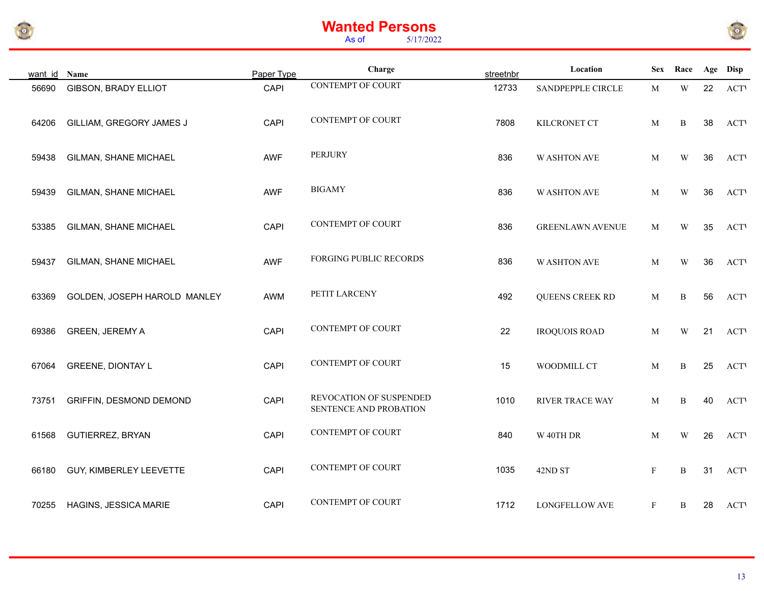



| want id Name |                              | Paper Type | Charge                                            | streetnbr | Location                |              | Sex Race                |    | Age Disp   |
|--------------|------------------------------|------------|---------------------------------------------------|-----------|-------------------------|--------------|-------------------------|----|------------|
| 56690        | GIBSON, BRADY ELLIOT         | CAPI       | <b>CONTEMPT OF COURT</b>                          | 12733     | SANDPEPPLE CIRCLE       | M            | $\ensuremath{\text{W}}$ | 22 | <b>ACT</b> |
| 64206        | GILLIAM, GREGORY JAMES J     | CAPI       | <b>CONTEMPT OF COURT</b>                          | 7808      | KILCRONET CT            | M            | B                       | 38 | <b>ACT</b> |
| 59438        | GILMAN, SHANE MICHAEL        | <b>AWF</b> | <b>PERJURY</b>                                    | 836       | <b>W ASHTON AVE</b>     | M            | W                       | 36 | <b>ACT</b> |
| 59439        | GILMAN, SHANE MICHAEL        | AWF        | <b>BIGAMY</b>                                     | 836       | <b>WASHTON AVE</b>      | M            | W                       | 36 | <b>ACT</b> |
| 53385        | GILMAN, SHANE MICHAEL        | CAPI       | <b>CONTEMPT OF COURT</b>                          | 836       | <b>GREENLAWN AVENUE</b> | M            | W                       | 35 | <b>ACT</b> |
| 59437        | GILMAN, SHANE MICHAEL        | AWF        | FORGING PUBLIC RECORDS                            | 836       | <b>W ASHTON AVE</b>     | M            | W                       | 36 | <b>ACT</b> |
| 63369        | GOLDEN, JOSEPH HAROLD MANLEY | AWM        | PETIT LARCENY                                     | 492       | QUEENS CREEK RD         | M            | $\, {\bf B}$            | 56 | <b>ACT</b> |
| 69386        | GREEN, JEREMY A              | CAPI       | <b>CONTEMPT OF COURT</b>                          | 22        | <b>IROQUOIS ROAD</b>    | M            | W                       | 21 | <b>ACT</b> |
| 67064        | <b>GREENE, DIONTAY L</b>     | CAPI       | <b>CONTEMPT OF COURT</b>                          | 15        | WOODMILL CT             | M            | B                       | 25 | <b>ACT</b> |
| 73751        | GRIFFIN, DESMOND DEMOND      | CAPI       | REVOCATION OF SUSPENDED<br>SENTENCE AND PROBATION | 1010      | RIVER TRACE WAY         | M            | B                       | 40 | <b>ACT</b> |
| 61568        | <b>GUTIERREZ, BRYAN</b>      | CAPI       | <b>CONTEMPT OF COURT</b>                          | 840       | W 40TH DR               | M            | W                       | 26 | <b>ACT</b> |
| 66180        | GUY, KIMBERLEY LEEVETTE      | CAPI       | <b>CONTEMPT OF COURT</b>                          | 1035      | 42ND ST                 | $\mathbf{F}$ | B                       | 31 | <b>ACT</b> |
| 70255        | HAGINS, JESSICA MARIE        | CAPI       | <b>CONTEMPT OF COURT</b>                          | 1712      | <b>LONGFELLOW AVE</b>   | $\mathbf{F}$ | B                       | 28 | <b>ACT</b> |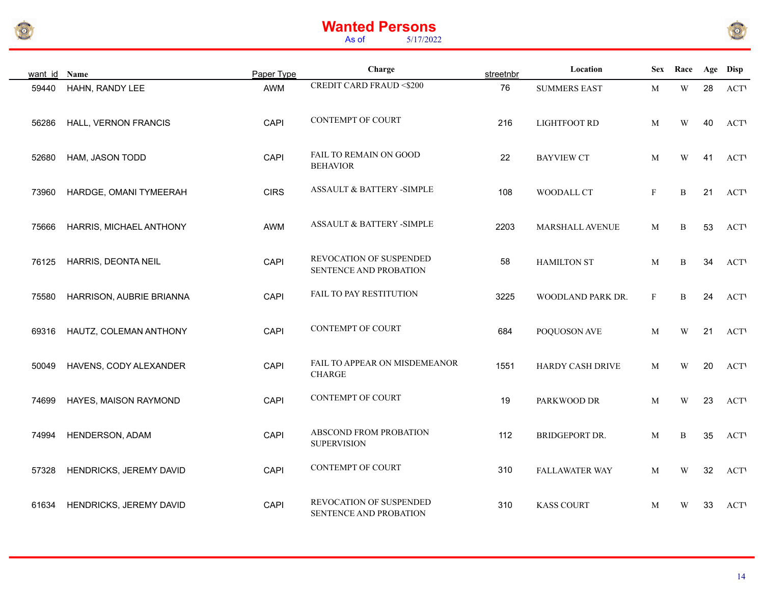



| want id Name |                          | Paper Type  | Charge                                            | streetnbr | Location            | <b>Sex</b> | Race                    |    | Age Disp    |
|--------------|--------------------------|-------------|---------------------------------------------------|-----------|---------------------|------------|-------------------------|----|-------------|
| 59440        | HAHN, RANDY LEE          | AWM         | <b>CREDIT CARD FRAUD &lt;\$200</b>                | 76        | <b>SUMMERS EAST</b> | M          | $\mathbf W$             | 28 | <b>ACTV</b> |
| 56286        | HALL, VERNON FRANCIS     | CAPI        | <b>CONTEMPT OF COURT</b>                          | 216       | <b>LIGHTFOOT RD</b> | M          | W                       | 40 | <b>ACTV</b> |
| 52680        | HAM, JASON TODD          | CAPI        | FAIL TO REMAIN ON GOOD<br><b>BEHAVIOR</b>         | 22        | <b>BAYVIEW CT</b>   | M          | W                       | 41 | <b>ACTV</b> |
| 73960        | HARDGE, OMANI TYMEERAH   | <b>CIRS</b> | ASSAULT & BATTERY -SIMPLE                         | 108       | WOODALL CT          | F          | $\, {\bf B}$            | 21 | <b>ACTV</b> |
| 75666        | HARRIS, MICHAEL ANTHONY  | AWM         | ASSAULT & BATTERY -SIMPLE                         | 2203      | MARSHALL AVENUE     | M          | $\, {\bf B}$            | 53 | <b>ACTV</b> |
| 76125        | HARRIS, DEONTA NEIL      | CAPI        | REVOCATION OF SUSPENDED<br>SENTENCE AND PROBATION | 58        | <b>HAMILTON ST</b>  | M          | B                       | 34 | <b>ACTV</b> |
| 75580        | HARRISON, AUBRIE BRIANNA | CAPI        | FAIL TO PAY RESTITUTION                           | 3225      | WOODLAND PARK DR.   | F          | $\, {\bf B}$            | 24 | <b>ACTV</b> |
| 69316        | HAUTZ, COLEMAN ANTHONY   | CAPI        | <b>CONTEMPT OF COURT</b>                          | 684       | POQUOSON AVE        | M          | W                       | 21 | <b>ACTV</b> |
| 50049        | HAVENS, CODY ALEXANDER   | CAPI        | FAIL TO APPEAR ON MISDEMEANOR<br><b>CHARGE</b>    | 1551      | HARDY CASH DRIVE    | M          | W                       | 20 | <b>ACT</b>  |
| 74699        | HAYES, MAISON RAYMOND    | CAPI        | <b>CONTEMPT OF COURT</b>                          | 19        | PARKWOOD DR         | M          | W                       | 23 | <b>ACTV</b> |
| 74994        | HENDERSON, ADAM          | CAPI        | ABSCOND FROM PROBATION<br><b>SUPERVISION</b>      | 112       | BRIDGEPORT DR.      | M          | B                       | 35 | <b>ACTV</b> |
| 57328        | HENDRICKS, JEREMY DAVID  | CAPI        | <b>CONTEMPT OF COURT</b>                          | 310       | FALLAWATER WAY      | M          | $\ensuremath{\text{W}}$ | 32 | <b>ACT</b>  |
| 61634        | HENDRICKS, JEREMY DAVID  | CAPI        | REVOCATION OF SUSPENDED<br>SENTENCE AND PROBATION | 310       | <b>KASS COURT</b>   | M          | W                       | 33 | <b>ACTV</b> |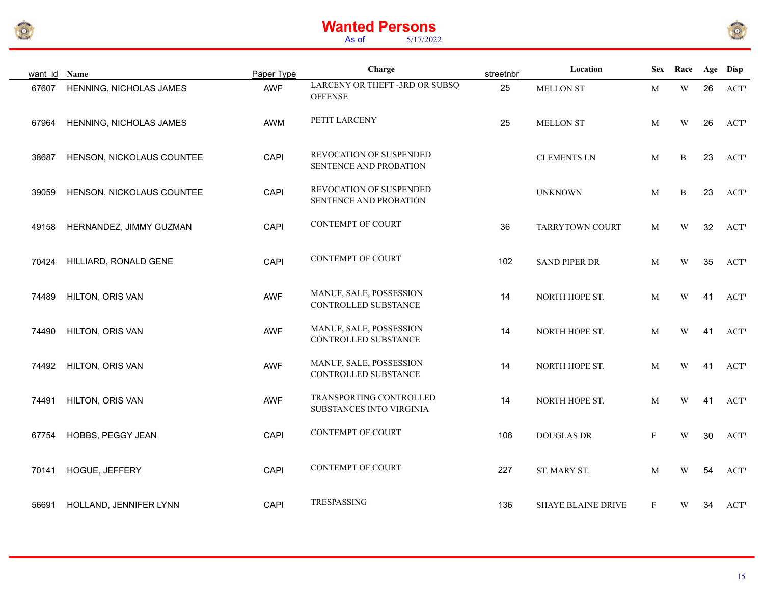



| want id Name |                           | Paper Type | Charge                                              | streetnbr | Location                  | <b>Sex</b>   | Race                    |    | Age Disp    |
|--------------|---------------------------|------------|-----------------------------------------------------|-----------|---------------------------|--------------|-------------------------|----|-------------|
| 67607        | HENNING, NICHOLAS JAMES   | <b>AWF</b> | LARCENY OR THEFT -3RD OR SUBSQ<br><b>OFFENSE</b>    | 25        | MELLON ST                 | M            | $\mathbf W$             | 26 | <b>ACTV</b> |
| 67964        | HENNING, NICHOLAS JAMES   | AWM        | PETIT LARCENY                                       | 25        | <b>MELLON ST</b>          | M            | W                       | 26 | <b>ACTV</b> |
| 38687        | HENSON, NICKOLAUS COUNTEE | CAPI       | REVOCATION OF SUSPENDED<br>SENTENCE AND PROBATION   |           | <b>CLEMENTS LN</b>        | M            | $\, {\bf B}$            | 23 | <b>ACT</b>  |
| 39059        | HENSON, NICKOLAUS COUNTEE | CAPI       | REVOCATION OF SUSPENDED<br>SENTENCE AND PROBATION   |           | <b>UNKNOWN</b>            | M            | B                       | 23 | <b>ACTV</b> |
| 49158        | HERNANDEZ, JIMMY GUZMAN   | CAPI       | <b>CONTEMPT OF COURT</b>                            | 36        | TARRYTOWN COURT           | M            | W                       | 32 | <b>ACTV</b> |
| 70424        | HILLIARD, RONALD GENE     | CAPI       | <b>CONTEMPT OF COURT</b>                            | 102       | SAND PIPER DR             | M            | $\ensuremath{\text{W}}$ | 35 | <b>ACTV</b> |
| 74489        | HILTON, ORIS VAN          | AWF        | MANUF, SALE, POSSESSION<br>CONTROLLED SUBSTANCE     | 14        | NORTH HOPE ST.            | M            | $\ensuremath{\text{W}}$ | 41 | <b>ACT</b>  |
| 74490        | HILTON, ORIS VAN          | AWF        | MANUF, SALE, POSSESSION<br>CONTROLLED SUBSTANCE     | 14        | NORTH HOPE ST.            | M            | $\ensuremath{\text{W}}$ | 41 | <b>ACT</b>  |
| 74492        | HILTON, ORIS VAN          | <b>AWF</b> | MANUF, SALE, POSSESSION<br>CONTROLLED SUBSTANCE     | 14        | NORTH HOPE ST.            | M            | $\ensuremath{\text{W}}$ | 41 | <b>ACTV</b> |
| 74491        | HILTON, ORIS VAN          | <b>AWF</b> | TRANSPORTING CONTROLLED<br>SUBSTANCES INTO VIRGINIA | 14        | NORTH HOPE ST.            | M            | W                       | 41 | <b>ACTV</b> |
| 67754        | HOBBS, PEGGY JEAN         | CAPI       | <b>CONTEMPT OF COURT</b>                            | 106       | <b>DOUGLAS DR</b>         | $\mathbf{F}$ | W                       | 30 | <b>ACTV</b> |
| 70141        | HOGUE, JEFFERY            | CAPI       | <b>CONTEMPT OF COURT</b>                            | 227       | ST. MARY ST.              | M            | W                       | 54 | <b>ACT</b>  |
| 56691        | HOLLAND, JENNIFER LYNN    | CAPI       | TRESPASSING                                         | 136       | <b>SHAYE BLAINE DRIVE</b> | F            | W                       | 34 | <b>ACTV</b> |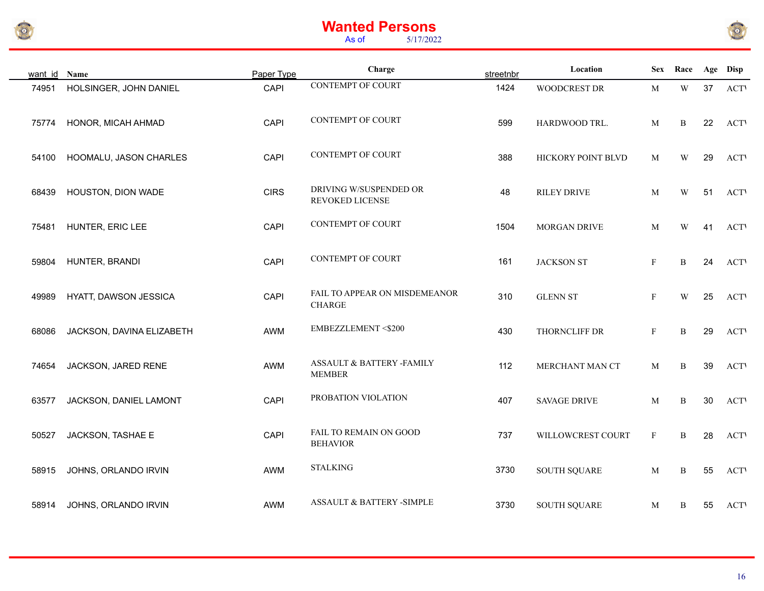



| want id Name |                           | Paper Type  | Charge                                         | streetnbr | Location            | <b>Sex</b>   | Race                    |    | Age Disp    |
|--------------|---------------------------|-------------|------------------------------------------------|-----------|---------------------|--------------|-------------------------|----|-------------|
| 74951        | HOLSINGER, JOHN DANIEL    | <b>CAPI</b> | <b>CONTEMPT OF COURT</b>                       | 1424      | WOODCREST DR        | M            | $\mathbf W$             | 37 | <b>ACT</b>  |
| 75774        | HONOR, MICAH AHMAD        | CAPI        | <b>CONTEMPT OF COURT</b>                       | 599       | HARDWOOD TRL.       | M            | B                       | 22 | <b>ACTV</b> |
| 54100        | HOOMALU, JASON CHARLES    | <b>CAPI</b> | <b>CONTEMPT OF COURT</b>                       | 388       | HICKORY POINT BLVD  | M            | W                       | 29 | <b>ACT</b>  |
| 68439        | HOUSTON, DION WADE        | <b>CIRS</b> | DRIVING W/SUSPENDED OR<br>REVOKED LICENSE      | 48        | <b>RILEY DRIVE</b>  | M            | W                       | 51 | <b>ACTV</b> |
| 75481        | HUNTER, ERIC LEE          | CAPI        | <b>CONTEMPT OF COURT</b>                       | 1504      | MORGAN DRIVE        | M            | W                       | 41 | <b>ACTV</b> |
| 59804        | HUNTER, BRANDI            | CAPI        | <b>CONTEMPT OF COURT</b>                       | 161       | <b>JACKSON ST</b>   | $\mathbf{F}$ | B                       | 24 | <b>ACTV</b> |
| 49989        | HYATT, DAWSON JESSICA     | CAPI        | FAIL TO APPEAR ON MISDEMEANOR<br><b>CHARGE</b> | 310       | <b>GLENN ST</b>     | $\mathbf{F}$ | $\ensuremath{\text{W}}$ | 25 | <b>ACT</b>  |
| 68086        | JACKSON, DAVINA ELIZABETH | AWM         | <b>EMBEZZLEMENT &lt;\$200</b>                  | 430       | THORNCLIFF DR       | $\mathbf{F}$ | $\, {\bf B}$            | 29 | <b>ACT</b>  |
| 74654        | JACKSON, JARED RENE       | AWM         | ASSAULT & BATTERY -FAMILY<br><b>MEMBER</b>     | 112       | MERCHANT MAN CT     | M            | B                       | 39 | <b>ACT</b>  |
| 63577        | JACKSON, DANIEL LAMONT    | CAPI        | PROBATION VIOLATION                            | 407       | <b>SAVAGE DRIVE</b> | M            | B                       | 30 | <b>ACT</b>  |
| 50527        | JACKSON, TASHAE E         | CAPI        | FAIL TO REMAIN ON GOOD<br><b>BEHAVIOR</b>      | 737       | WILLOWCREST COURT   | $\mathbf{F}$ | $\, {\bf B}$            | 28 | <b>ACTV</b> |
| 58915        | JOHNS, ORLANDO IRVIN      | AWM         | <b>STALKING</b>                                | 3730      | <b>SOUTH SQUARE</b> | M            | $\, {\bf B}$            | 55 | <b>ACTV</b> |
| 58914        | JOHNS, ORLANDO IRVIN      | <b>AWM</b>  | <b>ASSAULT &amp; BATTERY -SIMPLE</b>           | 3730      | <b>SOUTH SQUARE</b> | M            | B                       | 55 | <b>ACTV</b> |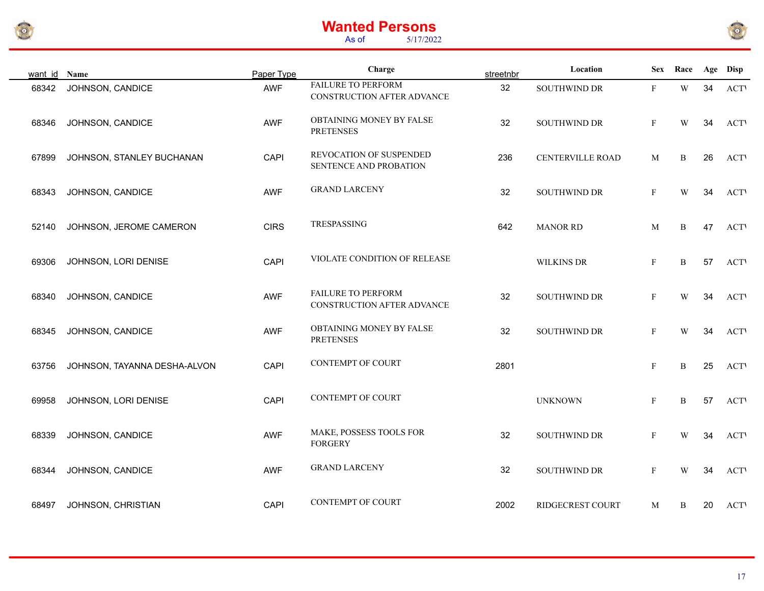



| want id Name |                              | Paper Type  | Charge                                                  | streetnbr | Location          | <b>Sex</b>   | Race                    |    | Age Disp    |
|--------------|------------------------------|-------------|---------------------------------------------------------|-----------|-------------------|--------------|-------------------------|----|-------------|
| 68342        | JOHNSON, CANDICE             | <b>AWF</b>  | <b>FAILURE TO PERFORM</b><br>CONSTRUCTION AFTER ADVANCE | 32        | SOUTHWIND DR      | $\mathbf{F}$ | W                       | 34 | <b>ACT</b>  |
| 68346        | JOHNSON, CANDICE             | <b>AWF</b>  | OBTAINING MONEY BY FALSE<br><b>PRETENSES</b>            | 32        | SOUTHWIND DR      | $\mathbf{F}$ | W                       | 34 | <b>ACTV</b> |
| 67899        | JOHNSON, STANLEY BUCHANAN    | CAPI        | REVOCATION OF SUSPENDED<br>SENTENCE AND PROBATION       | 236       | CENTERVILLE ROAD  | M            | B                       | 26 | <b>ACT</b>  |
| 68343        | JOHNSON, CANDICE             | <b>AWF</b>  | <b>GRAND LARCENY</b>                                    | 32        | SOUTHWIND DR      | $\mathbf F$  | W                       | 34 | <b>ACTV</b> |
| 52140        | JOHNSON, JEROME CAMERON      | <b>CIRS</b> | TRESPASSING                                             | 642       | <b>MANOR RD</b>   | M            | B                       | 47 | <b>ACT</b>  |
| 69306        | JOHNSON, LORI DENISE         | CAPI        | VIOLATE CONDITION OF RELEASE                            |           | <b>WILKINS DR</b> | $\mathbf{F}$ | $\, {\bf B}$            | 57 | <b>ACTV</b> |
| 68340        | JOHNSON, CANDICE             | <b>AWF</b>  | <b>FAILURE TO PERFORM</b><br>CONSTRUCTION AFTER ADVANCE | 32        | SOUTHWIND DR      | $\mathbf{F}$ | $\ensuremath{\text{W}}$ | 34 | <b>ACT</b>  |
| 68345        | JOHNSON, CANDICE             | <b>AWF</b>  | OBTAINING MONEY BY FALSE<br><b>PRETENSES</b>            | 32        | SOUTHWIND DR      | $\mathbf{F}$ | W                       | 34 | <b>ACTV</b> |
| 63756        | JOHNSON, TAYANNA DESHA-ALVON | CAPI        | <b>CONTEMPT OF COURT</b>                                | 2801      |                   | $\mathbf{F}$ | $\, {\bf B}$            | 25 | <b>ACTV</b> |
| 69958        | JOHNSON, LORI DENISE         | CAPI        | <b>CONTEMPT OF COURT</b>                                |           | <b>UNKNOWN</b>    | $\mathbf{F}$ | B                       | 57 | <b>ACTV</b> |
| 68339        | JOHNSON, CANDICE             | <b>AWF</b>  | MAKE, POSSESS TOOLS FOR<br><b>FORGERY</b>               | 32        | SOUTHWIND DR      | $\mathbf{F}$ | W                       | 34 | <b>ACT</b>  |
| 68344        | JOHNSON, CANDICE             | <b>AWF</b>  | <b>GRAND LARCENY</b>                                    | 32        | SOUTHWIND DR      | $\mathbf{F}$ | W                       | 34 | <b>ACT</b>  |
| 68497        | JOHNSON, CHRISTIAN           | CAPI        | <b>CONTEMPT OF COURT</b>                                | 2002      | RIDGECREST COURT  | M            | B                       | 20 | <b>ACTV</b> |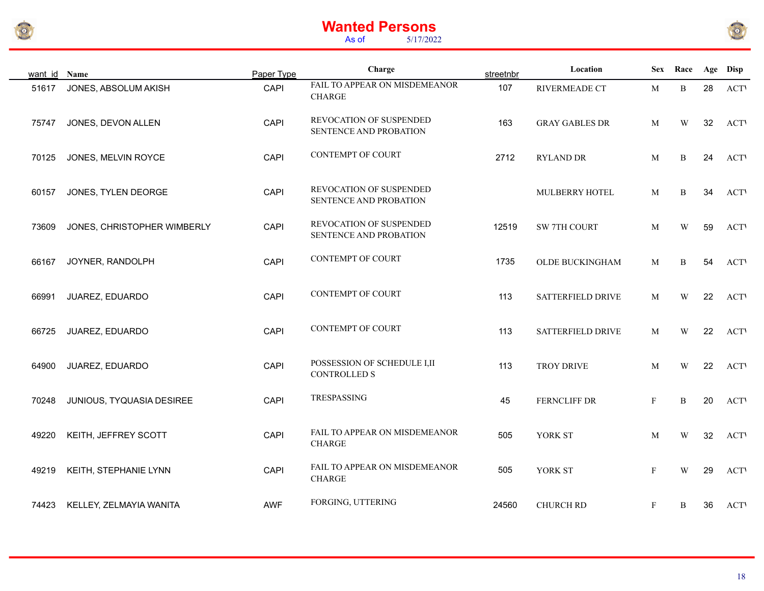



| want id Name |                             | Paper Type | Charge                                             | streetnbr | Location                 |              | Sex Race |    | Age Disp   |
|--------------|-----------------------------|------------|----------------------------------------------------|-----------|--------------------------|--------------|----------|----|------------|
| 51617        | JONES, ABSOLUM AKISH        | CAPI       | FAIL TO APPEAR ON MISDEMEANOR<br><b>CHARGE</b>     | 107       | RIVERMEADE CT            | M            | B        | 28 | <b>ACT</b> |
| 75747        | JONES, DEVON ALLEN          | CAPI       | REVOCATION OF SUSPENDED<br>SENTENCE AND PROBATION  | 163       | <b>GRAY GABLES DR</b>    | M            | W        | 32 | <b>ACT</b> |
| 70125        | JONES, MELVIN ROYCE         | CAPI       | <b>CONTEMPT OF COURT</b>                           | 2712      | <b>RYLAND DR</b>         | M            | B        | 24 | <b>ACT</b> |
| 60157        | JONES, TYLEN DEORGE         | CAPI       | REVOCATION OF SUSPENDED<br>SENTENCE AND PROBATION  |           | MULBERRY HOTEL           | M            | B        | 34 | <b>ACT</b> |
| 73609        | JONES, CHRISTOPHER WIMBERLY | CAPI       | REVOCATION OF SUSPENDED<br>SENTENCE AND PROBATION  | 12519     | SW 7TH COURT             | M            | W        | 59 | <b>ACT</b> |
| 66167        | JOYNER, RANDOLPH            | CAPI       | <b>CONTEMPT OF COURT</b>                           | 1735      | OLDE BUCKINGHAM          | M            | B        | 54 | <b>ACT</b> |
| 66991        | JUAREZ, EDUARDO             | CAPI       | <b>CONTEMPT OF COURT</b>                           | 113       | <b>SATTERFIELD DRIVE</b> | M            | W        | 22 | <b>ACT</b> |
| 66725        | JUAREZ, EDUARDO             | CAPI       | <b>CONTEMPT OF COURT</b>                           | 113       | SATTERFIELD DRIVE        | M            | W        | 22 | <b>ACT</b> |
| 64900        | JUAREZ, EDUARDO             | CAPI       | POSSESSION OF SCHEDULE I,II<br><b>CONTROLLED S</b> | 113       | <b>TROY DRIVE</b>        | M            | W        | 22 | <b>ACT</b> |
| 70248        | JUNIOUS, TYQUASIA DESIREE   | CAPI       | TRESPASSING                                        | 45        | FERNCLIFF DR             | $\mathbf{F}$ | B        | 20 | <b>ACT</b> |
| 49220        | KEITH, JEFFREY SCOTT        | CAPI       | FAIL TO APPEAR ON MISDEMEANOR<br><b>CHARGE</b>     | 505       | YORK ST                  | M            | W        | 32 | <b>ACT</b> |
| 49219        | KEITH, STEPHANIE LYNN       | CAPI       | FAIL TO APPEAR ON MISDEMEANOR<br><b>CHARGE</b>     | 505       | YORK ST                  | $\mathbf F$  | W        | 29 | <b>ACT</b> |
| 74423        | KELLEY, ZELMAYIA WANITA     | <b>AWF</b> | FORGING, UTTERING                                  | 24560     | <b>CHURCH RD</b>         | $\mathbf{F}$ | B        | 36 | <b>ACT</b> |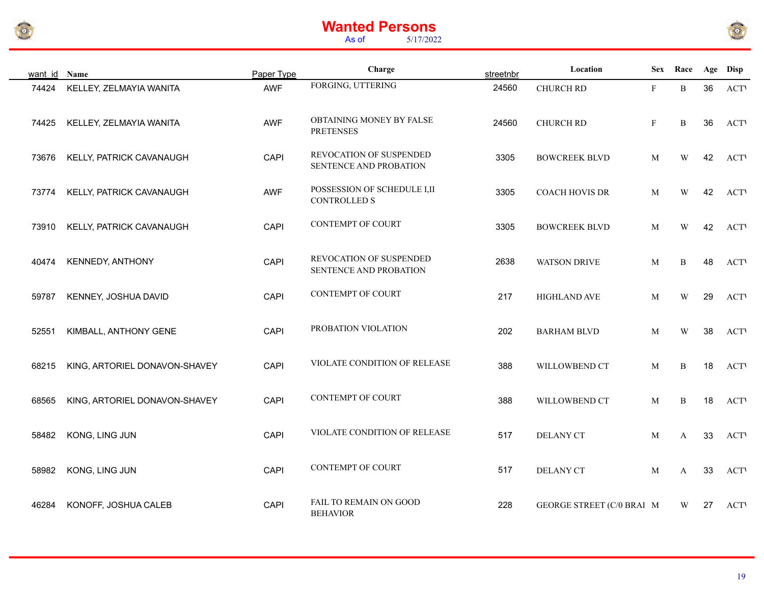



| want id | Name                          | Paper Type | Charge                                             | streetnbr | Location                  | <b>Sex</b>   | Race         |    | Age Disp   |
|---------|-------------------------------|------------|----------------------------------------------------|-----------|---------------------------|--------------|--------------|----|------------|
| 74424   | KELLEY, ZELMAYIA WANITA       | AWF        | FORGING, UTTERING                                  | 24560     | <b>CHURCH RD</b>          | $\mathbf{F}$ | $\, {\bf B}$ | 36 | <b>ACT</b> |
| 74425   | KELLEY, ZELMAYIA WANITA       | <b>AWF</b> | OBTAINING MONEY BY FALSE<br><b>PRETENSES</b>       | 24560     | CHURCH RD                 | $\mathbf{F}$ | B            | 36 | <b>ACT</b> |
| 73676   | KELLY, PATRICK CAVANAUGH      | CAPI       | REVOCATION OF SUSPENDED<br>SENTENCE AND PROBATION  | 3305      | <b>BOWCREEK BLVD</b>      | M            | W            | 42 | <b>ACT</b> |
| 73774   | KELLY, PATRICK CAVANAUGH      | <b>AWF</b> | POSSESSION OF SCHEDULE I,II<br><b>CONTROLLED S</b> | 3305      | <b>COACH HOVIS DR</b>     | M            | W            | 42 | <b>ACT</b> |
| 73910   | KELLY, PATRICK CAVANAUGH      | CAPI       | <b>CONTEMPT OF COURT</b>                           | 3305      | <b>BOWCREEK BLVD</b>      | M            | W            | 42 | <b>ACT</b> |
| 40474   | <b>KENNEDY, ANTHONY</b>       | CAPI       | REVOCATION OF SUSPENDED<br>SENTENCE AND PROBATION  | 2638      | <b>WATSON DRIVE</b>       | M            | B            | 48 | <b>ACT</b> |
| 59787   | KENNEY, JOSHUA DAVID          | CAPI       | <b>CONTEMPT OF COURT</b>                           | 217       | <b>HIGHLAND AVE</b>       | M            | W            | 29 | <b>ACT</b> |
| 52551   | KIMBALL, ANTHONY GENE         | CAPI       | PROBATION VIOLATION                                | 202       | <b>BARHAM BLVD</b>        | M            | W            | 38 | <b>ACT</b> |
| 68215   | KING, ARTORIEL DONAVON-SHAVEY | CAPI       | VIOLATE CONDITION OF RELEASE                       | 388       | WILLOWBEND CT             | M            | B            | 18 | <b>ACT</b> |
| 68565   | KING, ARTORIEL DONAVON-SHAVEY | CAPI       | <b>CONTEMPT OF COURT</b>                           | 388       | WILLOWBEND CT             | M            | B            | 18 | <b>ACT</b> |
| 58482   | KONG, LING JUN                | CAPI       | VIOLATE CONDITION OF RELEASE                       | 517       | <b>DELANY CT</b>          | M            | A            | 33 | <b>ACT</b> |
| 58982   | KONG, LING JUN                | CAPI       | CONTEMPT OF COURT                                  | 517       | <b>DELANY CT</b>          | M            | A            | 33 | <b>ACT</b> |
| 46284   | KONOFF, JOSHUA CALEB          | CAPI       | FAIL TO REMAIN ON GOOD<br><b>BEHAVIOR</b>          | 228       | GEORGE STREET (C/0 BRAI M |              | W            | 27 | <b>ACT</b> |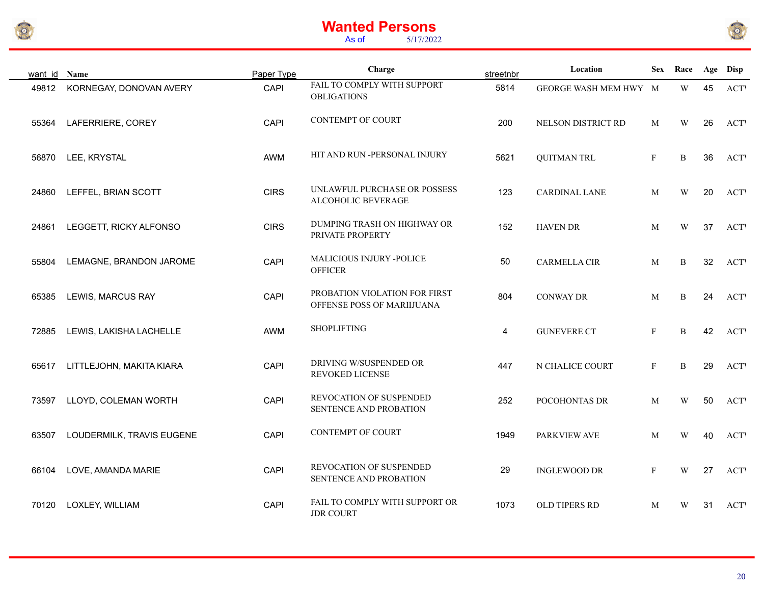



| want id | Name                      | Paper Type  | Charge                                                      | streetnbr | Location              | <b>Sex</b>   | Race                    |    | Age Disp    |
|---------|---------------------------|-------------|-------------------------------------------------------------|-----------|-----------------------|--------------|-------------------------|----|-------------|
| 49812   | KORNEGAY, DONOVAN AVERY   | CAPI        | FAIL TO COMPLY WITH SUPPORT<br><b>OBLIGATIONS</b>           | 5814      | GEORGE WASH MEM HWY M |              | $\ensuremath{\text{W}}$ | 45 | <b>ACT</b>  |
| 55364   | LAFERRIERE, COREY         | CAPI        | <b>CONTEMPT OF COURT</b>                                    | 200       | NELSON DISTRICT RD    | M            | W                       | 26 | <b>ACTV</b> |
| 56870   | LEE, KRYSTAL              | AWM         | HIT AND RUN -PERSONAL INJURY                                | 5621      | <b>QUITMAN TRL</b>    | F            | $\, {\bf B}$            | 36 | <b>ACTV</b> |
| 24860   | LEFFEL, BRIAN SCOTT       | <b>CIRS</b> | UNLAWFUL PURCHASE OR POSSESS<br>ALCOHOLIC BEVERAGE          | 123       | <b>CARDINAL LANE</b>  | M            | W                       | 20 | <b>ACTV</b> |
| 24861   | LEGGETT, RICKY ALFONSO    | <b>CIRS</b> | DUMPING TRASH ON HIGHWAY OR<br>PRIVATE PROPERTY             | 152       | <b>HAVEN DR</b>       | M            | $\ensuremath{\text{W}}$ | 37 | <b>ACTV</b> |
| 55804   | LEMAGNE, BRANDON JAROME   | CAPI        | <b>MALICIOUS INJURY -POLICE</b><br><b>OFFICER</b>           | 50        | <b>CARMELLA CIR</b>   | M            | $\, {\bf B}$            | 32 | <b>ACTV</b> |
| 65385   | LEWIS, MARCUS RAY         | CAPI        | PROBATION VIOLATION FOR FIRST<br>OFFENSE POSS OF MARIIJUANA | 804       | <b>CONWAY DR</b>      | M            | B                       | 24 | <b>ACTV</b> |
| 72885   | LEWIS, LAKISHA LACHELLE   | AWM         | <b>SHOPLIFTING</b>                                          | 4         | <b>GUNEVERE CT</b>    | $\mathbf{F}$ | $\, {\bf B}$            | 42 | <b>ACTV</b> |
| 65617   | LITTLEJOHN, MAKITA KIARA  | CAPI        | DRIVING W/SUSPENDED OR<br>REVOKED LICENSE                   | 447       | N CHALICE COURT       | $\mathbf{F}$ | B                       | 29 | <b>ACTV</b> |
| 73597   | LLOYD, COLEMAN WORTH      | CAPI        | REVOCATION OF SUSPENDED<br>SENTENCE AND PROBATION           | 252       | POCOHONTAS DR         | M            | W                       | 50 | <b>ACT</b>  |
| 63507   | LOUDERMILK, TRAVIS EUGENE | CAPI        | <b>CONTEMPT OF COURT</b>                                    | 1949      | PARKVIEW AVE          | M            | W                       | 40 | <b>ACTV</b> |
| 66104   | LOVE, AMANDA MARIE        | CAPI        | REVOCATION OF SUSPENDED<br>SENTENCE AND PROBATION           | 29        | <b>INGLEWOOD DR</b>   | $\mathbf{F}$ | W                       | 27 | <b>ACT</b>  |
| 70120   | LOXLEY, WILLIAM           | CAPI        | FAIL TO COMPLY WITH SUPPORT OR<br><b>JDR COURT</b>          | 1073      | OLD TIPERS RD         | M            | W                       | 31 | <b>ACTV</b> |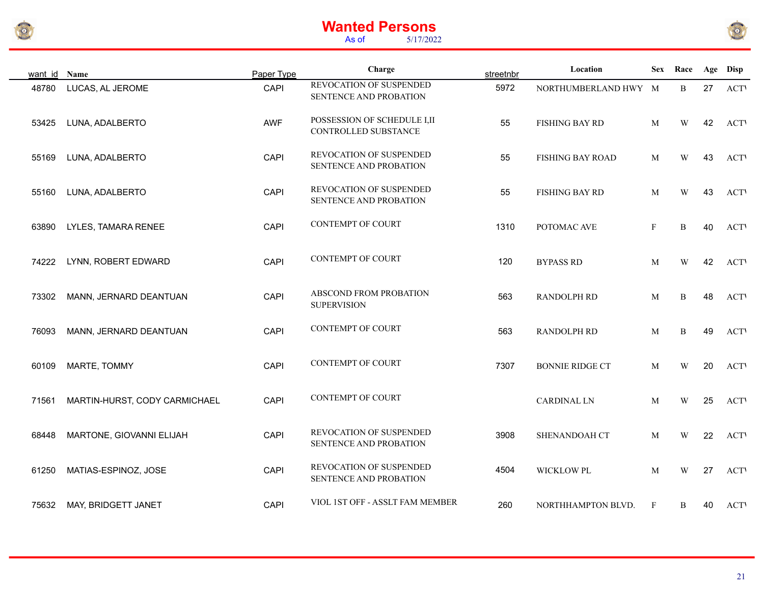



| want id Name |                               | Paper Type | Charge                                               | streetnbr | Location               |              | Sex Race                |    | Age Disp   |
|--------------|-------------------------------|------------|------------------------------------------------------|-----------|------------------------|--------------|-------------------------|----|------------|
| 48780        | LUCAS, AL JEROME              | CAPI       | REVOCATION OF SUSPENDED<br>SENTENCE AND PROBATION    | 5972      | NORTHUMBERLAND HWY M   |              | B                       | 27 | <b>ACT</b> |
| 53425        | LUNA, ADALBERTO               | AWF        | POSSESSION OF SCHEDULE I, II<br>CONTROLLED SUBSTANCE | 55        | FISHING BAY RD         | M            | W                       | 42 | <b>ACT</b> |
| 55169        | LUNA, ADALBERTO               | CAPI       | REVOCATION OF SUSPENDED<br>SENTENCE AND PROBATION    | 55        | FISHING BAY ROAD       | M            | W                       | 43 | <b>ACT</b> |
| 55160        | LUNA, ADALBERTO               | CAPI       | REVOCATION OF SUSPENDED<br>SENTENCE AND PROBATION    | 55        | FISHING BAY RD         | M            | W                       | 43 | <b>ACT</b> |
| 63890        | LYLES, TAMARA RENEE           | CAPI       | <b>CONTEMPT OF COURT</b>                             | 1310      | POTOMAC AVE            | $\mathbf{F}$ | B                       | 40 | <b>ACT</b> |
| 74222        | LYNN, ROBERT EDWARD           | CAPI       | <b>CONTEMPT OF COURT</b>                             | 120       | <b>BYPASS RD</b>       | M            | $\ensuremath{\text{W}}$ | 42 | <b>ACT</b> |
| 73302        | MANN, JERNARD DEANTUAN        | CAPI       | ABSCOND FROM PROBATION<br><b>SUPERVISION</b>         | 563       | <b>RANDOLPH RD</b>     | M            | B                       | 48 | <b>ACT</b> |
| 76093        | MANN, JERNARD DEANTUAN        | CAPI       | <b>CONTEMPT OF COURT</b>                             | 563       | RANDOLPH RD            | M            | B                       | 49 | <b>ACT</b> |
| 60109        | MARTE, TOMMY                  | CAPI       | <b>CONTEMPT OF COURT</b>                             | 7307      | <b>BONNIE RIDGE CT</b> | M            | W                       | 20 | <b>ACT</b> |
| 71561        | MARTIN-HURST, CODY CARMICHAEL | CAPI       | <b>CONTEMPT OF COURT</b>                             |           | CARDINAL LN            | M            | W                       | 25 | <b>ACT</b> |
| 68448        | MARTONE, GIOVANNI ELIJAH      | CAPI       | REVOCATION OF SUSPENDED<br>SENTENCE AND PROBATION    | 3908      | SHENANDOAH CT          | M            | W                       | 22 | <b>ACT</b> |
| 61250        | MATIAS-ESPINOZ, JOSE          | CAPI       | REVOCATION OF SUSPENDED<br>SENTENCE AND PROBATION    | 4504      | WICKLOW PL             | M            | W                       | 27 | <b>ACT</b> |
| 75632        | MAY, BRIDGETT JANET           | CAPI       | VIOL 1ST OFF - ASSLT FAM MEMBER                      | 260       | NORTHHAMPTON BLVD.     | $\mathbf{F}$ | B                       | 40 | <b>ACT</b> |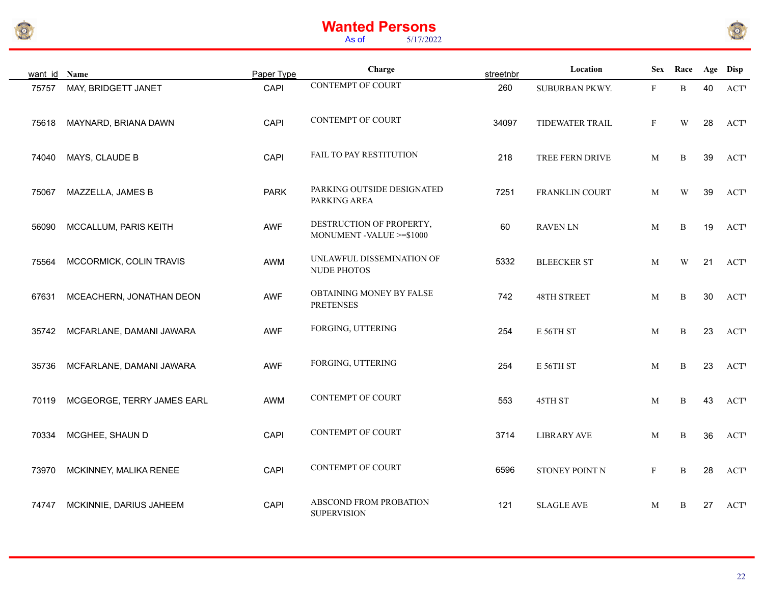



| want id Name |                            | Paper Type  | Charge                                               | streetnbr | Location           | <b>Sex</b>   | Race         |    | Age Disp    |
|--------------|----------------------------|-------------|------------------------------------------------------|-----------|--------------------|--------------|--------------|----|-------------|
| 75757        | MAY, BRIDGETT JANET        | CAPI        | <b>CONTEMPT OF COURT</b>                             | 260       | SUBURBAN PKWY.     | $\mathbf{F}$ | $\mathbf B$  | 40 | <b>ACT</b>  |
| 75618        | MAYNARD, BRIANA DAWN       | CAPI        | <b>CONTEMPT OF COURT</b>                             | 34097     | TIDEWATER TRAIL    | $\mathbf F$  | W            | 28 | <b>ACT</b>  |
| 74040        | MAYS, CLAUDE B             | CAPI        | FAIL TO PAY RESTITUTION                              | 218       | TREE FERN DRIVE    | M            | $\mathbf B$  | 39 | <b>ACT</b>  |
| 75067        | MAZZELLA, JAMES B          | <b>PARK</b> | PARKING OUTSIDE DESIGNATED<br>PARKING AREA           | 7251      | FRANKLIN COURT     | M            | W            | 39 | <b>ACT</b>  |
| 56090        | MCCALLUM, PARIS KEITH      | <b>AWF</b>  | DESTRUCTION OF PROPERTY,<br>MONUMENT -VALUE >=\$1000 | 60        | <b>RAVEN LN</b>    | M            | B            | 19 | <b>ACTV</b> |
| 75564        | MCCORMICK, COLIN TRAVIS    | AWM         | UNLAWFUL DISSEMINATION OF<br>NUDE PHOTOS             | 5332      | <b>BLEECKER ST</b> | M            | W            | 21 | <b>ACT</b>  |
| 67631        | MCEACHERN, JONATHAN DEON   | <b>AWF</b>  | OBTAINING MONEY BY FALSE<br><b>PRETENSES</b>         | 742       | <b>48TH STREET</b> | $\mathbf M$  | $\mathbf B$  | 30 | <b>ACT</b>  |
| 35742        | MCFARLANE, DAMANI JAWARA   | <b>AWF</b>  | FORGING, UTTERING                                    | 254       | E 56TH ST          | M            | B            | 23 | <b>ACTV</b> |
| 35736        | MCFARLANE, DAMANI JAWARA   | <b>AWF</b>  | FORGING, UTTERING                                    | 254       | E 56TH ST          | M            | B            | 23 | <b>ACT</b>  |
| 70119        | MCGEORGE, TERRY JAMES EARL | AWM         | <b>CONTEMPT OF COURT</b>                             | 553       | 45TH ST            | M            | B            | 43 | <b>ACT</b>  |
| 70334        | MCGHEE, SHAUN D            | CAPI        | <b>CONTEMPT OF COURT</b>                             | 3714      | <b>LIBRARY AVE</b> | M            | B            | 36 | <b>ACT</b>  |
| 73970        | MCKINNEY, MALIKA RENEE     | CAPI        | <b>CONTEMPT OF COURT</b>                             | 6596      | STONEY POINT N     | $\mathbf{F}$ | $\, {\bf B}$ | 28 | <b>ACT</b>  |
| 74747        | MCKINNIE, DARIUS JAHEEM    | CAPI        | ABSCOND FROM PROBATION<br><b>SUPERVISION</b>         | 121       | <b>SLAGLE AVE</b>  | M            | B            | 27 | <b>ACT</b>  |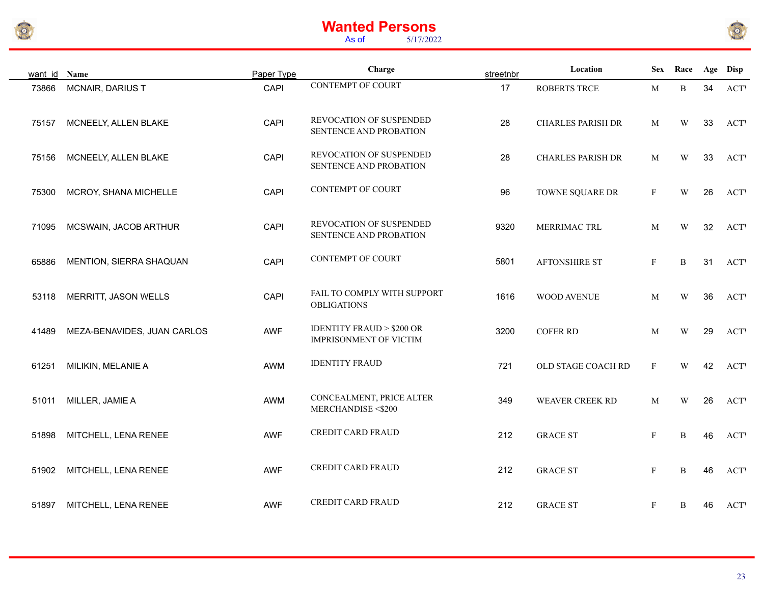



| want id Name |                             | Paper Type | Charge                                                               | streetnbr | Location                 | <b>Sex</b>   | Race                    |    | Age Disp    |
|--------------|-----------------------------|------------|----------------------------------------------------------------------|-----------|--------------------------|--------------|-------------------------|----|-------------|
| 73866        | MCNAIR, DARIUS T            | CAPI       | <b>CONTEMPT OF COURT</b>                                             | 17        | <b>ROBERTS TRCE</b>      | M            | B                       | 34 | <b>ACT</b>  |
| 75157        | MCNEELY, ALLEN BLAKE        | CAPI       | REVOCATION OF SUSPENDED<br>SENTENCE AND PROBATION                    | 28        | <b>CHARLES PARISH DR</b> | M            | W                       | 33 | <b>ACTV</b> |
| 75156        | MCNEELY, ALLEN BLAKE        | CAPI       | REVOCATION OF SUSPENDED<br>SENTENCE AND PROBATION                    | 28        | <b>CHARLES PARISH DR</b> | M            | W                       | 33 | <b>ACT</b>  |
| 75300        | MCROY, SHANA MICHELLE       | CAPI       | <b>CONTEMPT OF COURT</b>                                             | 96        | TOWNE SQUARE DR          | $\mathbf{F}$ | W                       | 26 | <b>ACTV</b> |
| 71095        | MCSWAIN, JACOB ARTHUR       | CAPI       | REVOCATION OF SUSPENDED<br>SENTENCE AND PROBATION                    | 9320      | MERRIMAC TRL             | M            | W                       | 32 | <b>ACTV</b> |
| 65886        | MENTION, SIERRA SHAQUAN     | CAPI       | <b>CONTEMPT OF COURT</b>                                             | 5801      | AFTONSHIRE ST            | $\mathbf{F}$ | B                       | 31 | <b>ACT</b>  |
| 53118        | MERRITT, JASON WELLS        | CAPI       | FAIL TO COMPLY WITH SUPPORT<br><b>OBLIGATIONS</b>                    | 1616      | WOOD AVENUE              | M            | $\ensuremath{\text{W}}$ | 36 | <b>ACT</b>  |
| 41489        | MEZA-BENAVIDES, JUAN CARLOS | <b>AWF</b> | <b>IDENTITY FRAUD &gt; \$200 OR</b><br><b>IMPRISONMENT OF VICTIM</b> | 3200      | <b>COFER RD</b>          | M            | W                       | 29 | <b>ACTV</b> |
| 61251        | MILIKIN, MELANIE A          | AWM        | <b>IDENTITY FRAUD</b>                                                | 721       | OLD STAGE COACH RD       | $\mathbf{F}$ | W                       | 42 | <b>ACTV</b> |
| 51011        | MILLER, JAMIE A             | AWM        | CONCEALMENT, PRICE ALTER<br>MERCHANDISE <\$200                       | 349       | WEAVER CREEK RD          | M            | W                       | 26 | <b>ACT</b>  |
| 51898        | MITCHELL, LENA RENEE        | <b>AWF</b> | <b>CREDIT CARD FRAUD</b>                                             | 212       | <b>GRACE ST</b>          | $\mathbf{F}$ | B                       | 46 | <b>ACT</b>  |
| 51902        | MITCHELL, LENA RENEE        | <b>AWF</b> | <b>CREDIT CARD FRAUD</b>                                             | 212       | <b>GRACE ST</b>          | $\mathbf{F}$ | B                       | 46 | <b>ACT</b>  |
| 51897        | MITCHELL, LENA RENEE        | AWF        | <b>CREDIT CARD FRAUD</b>                                             | 212       | <b>GRACE ST</b>          | $\mathbf{F}$ | B                       | 46 | <b>ACTV</b> |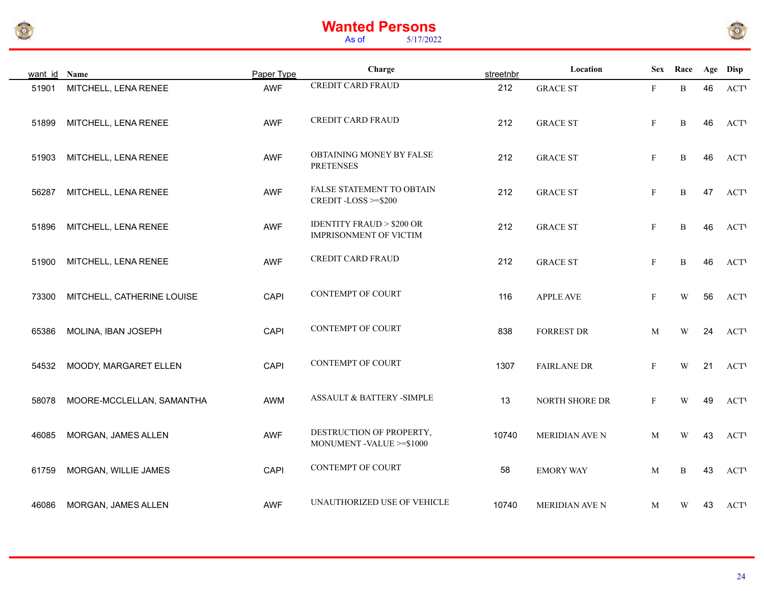



| want id Name |                            | Paper Type | Charge                                                               | streetnbr | Location           |              | Sex Race |    | Age Disp   |
|--------------|----------------------------|------------|----------------------------------------------------------------------|-----------|--------------------|--------------|----------|----|------------|
| 51901        | MITCHELL, LENA RENEE       | AWF        | <b>CREDIT CARD FRAUD</b>                                             | 212       | <b>GRACE ST</b>    | F            | B        | 46 | <b>ACT</b> |
| 51899        | MITCHELL, LENA RENEE       | AWF        | <b>CREDIT CARD FRAUD</b>                                             | 212       | <b>GRACE ST</b>    | $\mathbf F$  | B        | 46 | <b>ACT</b> |
| 51903        | MITCHELL, LENA RENEE       | <b>AWF</b> | OBTAINING MONEY BY FALSE<br><b>PRETENSES</b>                         | 212       | <b>GRACE ST</b>    | $\mathbf F$  | B        | 46 | <b>ACT</b> |
| 56287        | MITCHELL, LENA RENEE       | AWF        | <b>FALSE STATEMENT TO OBTAIN</b><br>CREDIT-LOSS >=\$200              | 212       | <b>GRACE ST</b>    | $\mathbf F$  | B        | 47 | <b>ACT</b> |
| 51896        | MITCHELL, LENA RENEE       | AWF        | <b>IDENTITY FRAUD &gt; \$200 OR</b><br><b>IMPRISONMENT OF VICTIM</b> | 212       | <b>GRACE ST</b>    | $\mathbf F$  | B        | 46 | <b>ACT</b> |
| 51900        | MITCHELL, LENA RENEE       | AWF        | <b>CREDIT CARD FRAUD</b>                                             | 212       | <b>GRACE ST</b>    | F            | B        | 46 | <b>ACT</b> |
| 73300        | MITCHELL, CATHERINE LOUISE | CAPI       | <b>CONTEMPT OF COURT</b>                                             | 116       | <b>APPLE AVE</b>   | $\mathbf F$  | W        | 56 | <b>ACT</b> |
| 65386        | MOLINA, IBAN JOSEPH        | CAPI       | <b>CONTEMPT OF COURT</b>                                             | 838       | <b>FORREST DR</b>  | M            | W        | 24 | <b>ACT</b> |
| 54532        | MOODY, MARGARET ELLEN      | CAPI       | <b>CONTEMPT OF COURT</b>                                             | 1307      | <b>FAIRLANE DR</b> | $\mathbf{F}$ | W        | 21 | <b>ACT</b> |
| 58078        | MOORE-MCCLELLAN, SAMANTHA  | AWM        | ASSAULT & BATTERY -SIMPLE                                            | 13        | NORTH SHORE DR     | $\mathbf F$  | W        | 49 | <b>ACT</b> |
| 46085        | MORGAN, JAMES ALLEN        | <b>AWF</b> | DESTRUCTION OF PROPERTY,<br>MONUMENT -VALUE >=\$1000                 | 10740     | MERIDIAN AVE N     | M            | W        | 43 | <b>ACT</b> |
| 61759        | MORGAN, WILLIE JAMES       | CAPI       | <b>CONTEMPT OF COURT</b>                                             | 58        | <b>EMORY WAY</b>   | M            | B        | 43 | <b>ACT</b> |
| 46086        | MORGAN, JAMES ALLEN        | AWF        | UNAUTHORIZED USE OF VEHICLE                                          | 10740     | MERIDIAN AVE N     | M            | W        | 43 | <b>ACT</b> |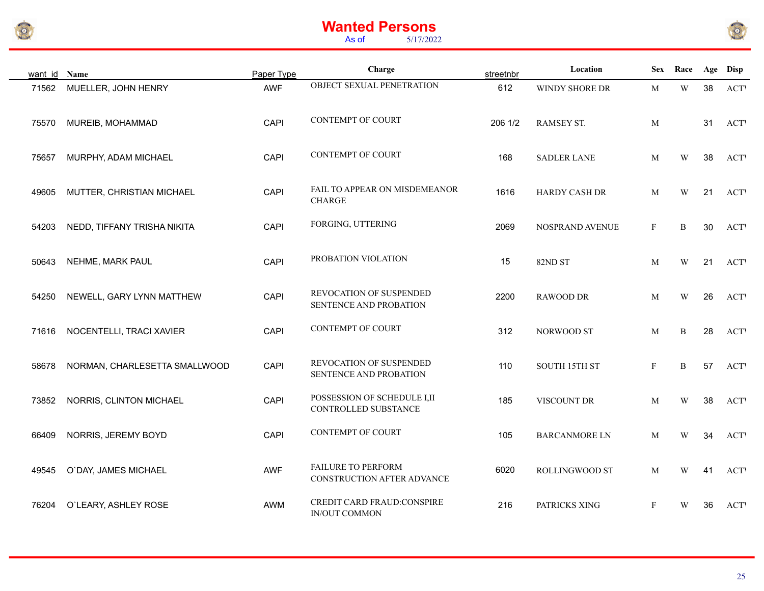



| want id Name |                               | Paper Type | Charge                                              | streetnbr | Location             |              | Sex Race    |    | Age Disp   |
|--------------|-------------------------------|------------|-----------------------------------------------------|-----------|----------------------|--------------|-------------|----|------------|
| 71562        | MUELLER, JOHN HENRY           | AWF        | OBJECT SEXUAL PENETRATION                           | 612       | WINDY SHORE DR       | M            | $\mathbf W$ | 38 | <b>ACT</b> |
| 75570        | MUREIB, MOHAMMAD              | CAPI       | CONTEMPT OF COURT                                   | 206 1/2   | RAMSEY ST.           | M            |             | 31 | <b>ACT</b> |
| 75657        | MURPHY, ADAM MICHAEL          | CAPI       | CONTEMPT OF COURT                                   | 168       | <b>SADLER LANE</b>   | M            | W           | 38 | <b>ACT</b> |
| 49605        | MUTTER, CHRISTIAN MICHAEL     | CAPI       | FAIL TO APPEAR ON MISDEMEANOR<br><b>CHARGE</b>      | 1616      | HARDY CASH DR        | M            | W           | 21 | <b>ACT</b> |
| 54203        | NEDD, TIFFANY TRISHA NIKITA   | CAPI       | FORGING, UTTERING                                   | 2069      | NOSPRAND AVENUE      | $\mathbf{F}$ | B           | 30 | <b>ACT</b> |
| 50643        | NEHME, MARK PAUL              | CAPI       | PROBATION VIOLATION                                 | 15        | 82ND ST              | M            | W           | 21 | <b>ACT</b> |
| 54250        | NEWELL, GARY LYNN MATTHEW     | CAPI       | REVOCATION OF SUSPENDED<br>SENTENCE AND PROBATION   | 2200      | RAWOOD DR            | M            | W           | 26 | <b>ACT</b> |
| 71616        | NOCENTELLI, TRACI XAVIER      | CAPI       | <b>CONTEMPT OF COURT</b>                            | 312       | NORWOOD ST           | M            | B           | 28 | <b>ACT</b> |
| 58678        | NORMAN, CHARLESETTA SMALLWOOD | CAPI       | REVOCATION OF SUSPENDED<br>SENTENCE AND PROBATION   | 110       | SOUTH 15TH ST        | $\mathbf{F}$ | B           | 57 | <b>ACT</b> |
| 73852        | NORRIS, CLINTON MICHAEL       | CAPI       | POSSESSION OF SCHEDULE I,II<br>CONTROLLED SUBSTANCE | 185       | VISCOUNT DR          | M            | W           | 38 | <b>ACT</b> |
| 66409        | NORRIS, JEREMY BOYD           | CAPI       | <b>CONTEMPT OF COURT</b>                            | 105       | <b>BARCANMORE LN</b> | M            | W           | 34 | <b>ACT</b> |
| 49545        | O`DAY, JAMES MICHAEL          | AWF        | FAILURE TO PERFORM<br>CONSTRUCTION AFTER ADVANCE    | 6020      | ROLLINGWOOD ST       | M            | W           | 41 | <b>ACT</b> |
| 76204        | O'LEARY, ASHLEY ROSE          | AWM        | CREDIT CARD FRAUD:CONSPIRE<br>IN/OUT COMMON         | 216       | PATRICKS XING        | F            | W           | 36 | <b>ACT</b> |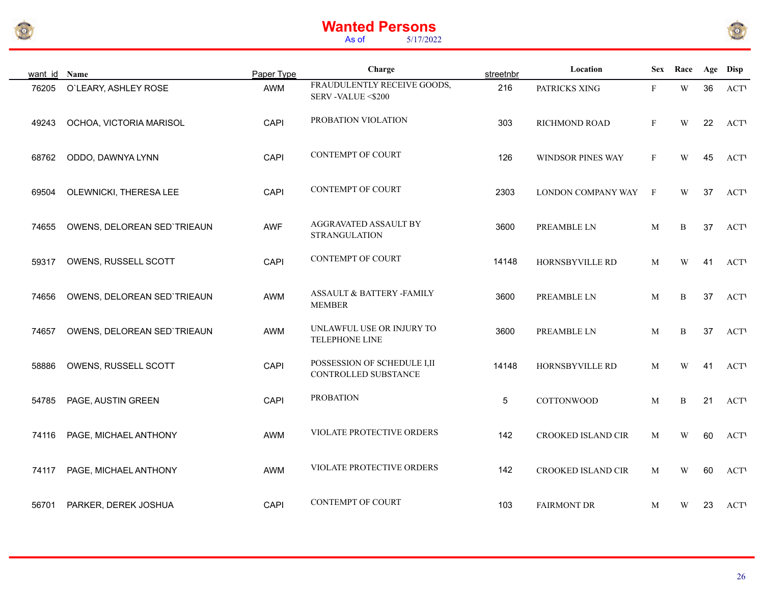



| want id | Name                        | Paper Type | Charge                                              | streetnbr | Location                  | Sex          | Race |    | Age Disp    |
|---------|-----------------------------|------------|-----------------------------------------------------|-----------|---------------------------|--------------|------|----|-------------|
| 76205   | O'LEARY, ASHLEY ROSE        | AWM        | FRAUDULENTLY RECEIVE GOODS,<br>SERV-VALUE <\$200    | 216       | PATRICKS XING             | F            | W    | 36 | <b>ACTV</b> |
| 49243   | OCHOA, VICTORIA MARISOL     | CAPI       | PROBATION VIOLATION                                 | 303       | RICHMOND ROAD             | $\mathbf{F}$ | W    | 22 | <b>ACTV</b> |
| 68762   | ODDO, DAWNYA LYNN           | CAPI       | <b>CONTEMPT OF COURT</b>                            | 126       | <b>WINDSOR PINES WAY</b>  | $\mathbf{F}$ | W    | 45 | <b>ACTV</b> |
| 69504   | OLEWNICKI, THERESA LEE      | CAPI       | <b>CONTEMPT OF COURT</b>                            | 2303      | LONDON COMPANY WAY        | $\mathbf{F}$ | W    | 37 | <b>ACTV</b> |
| 74655   | OWENS, DELOREAN SED`TRIEAUN | <b>AWF</b> | AGGRAVATED ASSAULT BY<br><b>STRANGULATION</b>       | 3600      | PREAMBLE LN               | M            | B    | 37 | <b>ACTV</b> |
| 59317   | OWENS, RUSSELL SCOTT        | CAPI       | <b>CONTEMPT OF COURT</b>                            | 14148     | HORNSBYVILLE RD           | M            | W    | 41 | <b>ACT</b>  |
| 74656   | OWENS, DELOREAN SED`TRIEAUN | AWM        | ASSAULT & BATTERY -FAMILY<br><b>MEMBER</b>          | 3600      | PREAMBLE LN               | M            | B    | 37 | <b>ACTV</b> |
| 74657   | OWENS, DELOREAN SED`TRIEAUN | AWM        | UNLAWFUL USE OR INJURY TO<br>TELEPHONE LINE         | 3600      | PREAMBLE LN               | M            | B    | 37 | <b>ACT</b>  |
| 58886   | OWENS, RUSSELL SCOTT        | CAPI       | POSSESSION OF SCHEDULE I,II<br>CONTROLLED SUBSTANCE | 14148     | HORNSBYVILLE RD           | M            | W    | 41 | <b>ACTV</b> |
| 54785   | PAGE, AUSTIN GREEN          | CAPI       | <b>PROBATION</b>                                    | 5         | <b>COTTONWOOD</b>         | M            | B    | 21 | <b>ACTV</b> |
| 74116   | PAGE, MICHAEL ANTHONY       | AWM        | VIOLATE PROTECTIVE ORDERS                           | 142       | CROOKED ISLAND CIR        | M            | W    | 60 | <b>ACTV</b> |
| 74117   | PAGE, MICHAEL ANTHONY       | AWM        | VIOLATE PROTECTIVE ORDERS                           | 142       | <b>CROOKED ISLAND CIR</b> | M            | W    | 60 | <b>ACTV</b> |
| 56701   | PARKER, DEREK JOSHUA        | CAPI       | <b>CONTEMPT OF COURT</b>                            | 103       | <b>FAIRMONT DR</b>        | M            | W    | 23 | <b>ACTV</b> |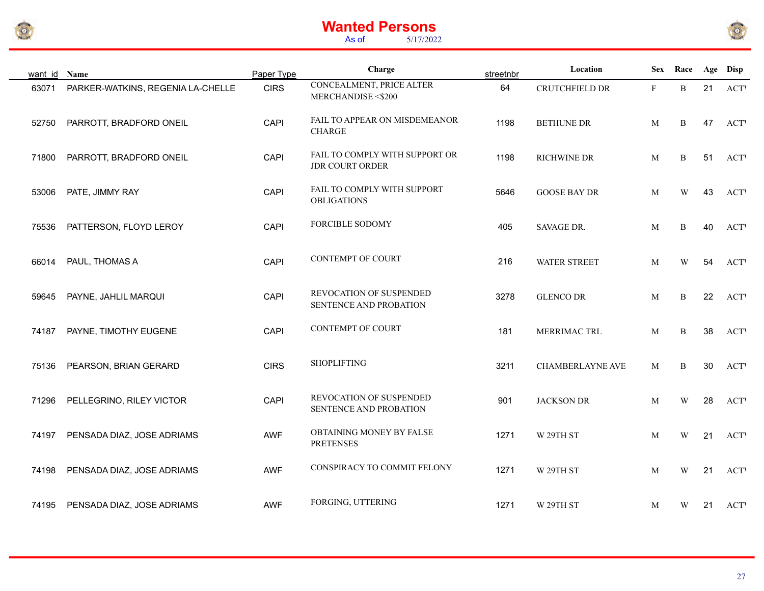



| want id Name |                                   | Paper Type  | Charge                                            | streetnbr | Location            | <b>Sex</b>   | Race        |    | Age Disp    |
|--------------|-----------------------------------|-------------|---------------------------------------------------|-----------|---------------------|--------------|-------------|----|-------------|
| 63071        | PARKER-WATKINS, REGENIA LA-CHELLE | <b>CIRS</b> | CONCEALMENT, PRICE ALTER<br>MERCHANDISE <\$200    | 64        | CRUTCHFIELD DR      | $\mathbf{F}$ | $\mathbf B$ | 21 | <b>ACTV</b> |
| 52750        | PARROTT, BRADFORD ONEIL           | CAPI        | FAIL TO APPEAR ON MISDEMEANOR<br><b>CHARGE</b>    | 1198      | <b>BETHUNE DR</b>   | M            | B           | 47 | <b>ACTV</b> |
| 71800        | PARROTT, BRADFORD ONEIL           | CAPI        | FAIL TO COMPLY WITH SUPPORT OR<br>JDR COURT ORDER | 1198      | RICHWINE DR         | M            | B           | 51 | <b>ACTV</b> |
| 53006        | PATE, JIMMY RAY                   | CAPI        | FAIL TO COMPLY WITH SUPPORT<br><b>OBLIGATIONS</b> | 5646      | <b>GOOSE BAY DR</b> | M            | W           | 43 | <b>ACTV</b> |
| 75536        | PATTERSON, FLOYD LEROY            | CAPI        | <b>FORCIBLE SODOMY</b>                            | 405       | SAVAGE DR.          | M            | B           | 40 | <b>ACTV</b> |
| 66014        | PAUL, THOMAS A                    | CAPI        | <b>CONTEMPT OF COURT</b>                          | 216       | <b>WATER STREET</b> | M            | W           | 54 | <b>ACT</b>  |
| 59645        | PAYNE, JAHLIL MARQUI              | CAPI        | REVOCATION OF SUSPENDED<br>SENTENCE AND PROBATION | 3278      | <b>GLENCO DR</b>    | M            | B           | 22 | <b>ACT</b>  |
| 74187        | PAYNE, TIMOTHY EUGENE             | CAPI        | <b>CONTEMPT OF COURT</b>                          | 181       | MERRIMAC TRL        | M            | B           | 38 | <b>ACTV</b> |
| 75136        | PEARSON, BRIAN GERARD             | <b>CIRS</b> | <b>SHOPLIFTING</b>                                | 3211      | CHAMBERLAYNE AVE    | M            | B           | 30 | <b>ACT</b>  |
| 71296        | PELLEGRINO, RILEY VICTOR          | CAPI        | REVOCATION OF SUSPENDED<br>SENTENCE AND PROBATION | 901       | <b>JACKSON DR</b>   | M            | W           | 28 | <b>ACT</b>  |
| 74197        | PENSADA DIAZ, JOSE ADRIAMS        | <b>AWF</b>  | OBTAINING MONEY BY FALSE<br><b>PRETENSES</b>      | 1271      | W 29TH ST           | M            | W           | 21 | <b>ACTV</b> |
| 74198        | PENSADA DIAZ, JOSE ADRIAMS        | AWF         | CONSPIRACY TO COMMIT FELONY                       | 1271      | W 29TH ST           | M            | W           | 21 | <b>ACTV</b> |
| 74195        | PENSADA DIAZ, JOSE ADRIAMS        | AWF         | FORGING, UTTERING                                 | 1271      | W 29TH ST           | M            | W           | 21 | <b>ACT</b>  |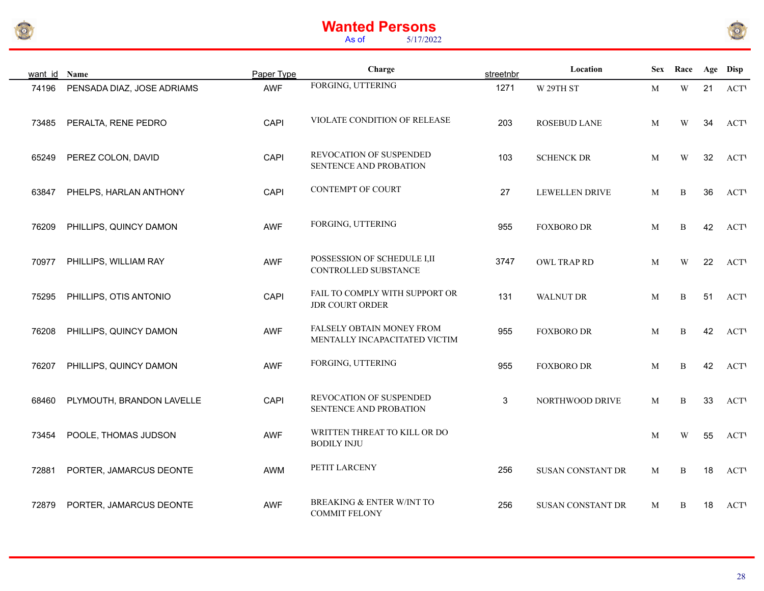



| want id | Name                       | Paper Type | Charge                                                       | streetnbr | Location                 |   | Sex Race Age Disp       |    |             |
|---------|----------------------------|------------|--------------------------------------------------------------|-----------|--------------------------|---|-------------------------|----|-------------|
| 74196   | PENSADA DIAZ, JOSE ADRIAMS | AWF        | FORGING, UTTERING                                            | 1271      | W 29TH ST                | M | $\ensuremath{\text{W}}$ | 21 | <b>ACTV</b> |
| 73485   | PERALTA, RENE PEDRO        | CAPI       | VIOLATE CONDITION OF RELEASE                                 | 203       | ROSEBUD LANE             | M | W                       | 34 | <b>ACTV</b> |
| 65249   | PEREZ COLON, DAVID         | CAPI       | REVOCATION OF SUSPENDED<br>SENTENCE AND PROBATION            | 103       | <b>SCHENCK DR</b>        | M | $\mathbf W$             | 32 | <b>ACTV</b> |
| 63847   | PHELPS, HARLAN ANTHONY     | CAPI       | <b>CONTEMPT OF COURT</b>                                     | 27        | <b>LEWELLEN DRIVE</b>    | M | B                       | 36 | <b>ACTV</b> |
| 76209   | PHILLIPS, QUINCY DAMON     | <b>AWF</b> | FORGING, UTTERING                                            | 955       | <b>FOXBORO DR</b>        | M | B                       | 42 | <b>ACTV</b> |
| 70977   | PHILLIPS, WILLIAM RAY      | AWF        | POSSESSION OF SCHEDULE I, II<br>CONTROLLED SUBSTANCE         | 3747      | OWL TRAP RD              | M | W                       | 22 | <b>ACTV</b> |
| 75295   | PHILLIPS, OTIS ANTONIO     | CAPI       | FAIL TO COMPLY WITH SUPPORT OR<br><b>JDR COURT ORDER</b>     | 131       | <b>WALNUT DR</b>         | M | $\, {\bf B}$            | 51 | <b>ACTV</b> |
| 76208   | PHILLIPS, QUINCY DAMON     | <b>AWF</b> | FALSELY OBTAIN MONEY FROM<br>MENTALLY INCAPACITATED VICTIM   | 955       | <b>FOXBORO DR</b>        | M | B                       | 42 | <b>ACTV</b> |
| 76207   | PHILLIPS, QUINCY DAMON     | <b>AWF</b> | FORGING, UTTERING                                            | 955       | <b>FOXBORO DR</b>        | M | B                       | 42 | <b>ACTV</b> |
| 68460   | PLYMOUTH, BRANDON LAVELLE  | CAPI       | REVOCATION OF SUSPENDED<br>SENTENCE AND PROBATION            | 3         | NORTHWOOD DRIVE          | M | $\, {\bf B}$            | 33 | <b>ACTV</b> |
| 73454   | POOLE, THOMAS JUDSON       | <b>AWF</b> | WRITTEN THREAT TO KILL OR DO<br><b>BODILY INJU</b>           |           |                          | M | W                       | 55 | <b>ACTV</b> |
| 72881   | PORTER, JAMARCUS DEONTE    | AWM        | PETIT LARCENY                                                | 256       | <b>SUSAN CONSTANT DR</b> | M | B                       | 18 | <b>ACTV</b> |
| 72879   | PORTER, JAMARCUS DEONTE    | <b>AWF</b> | <b>BREAKING &amp; ENTER W/INT TO</b><br><b>COMMIT FELONY</b> | 256       | <b>SUSAN CONSTANT DR</b> | M | $\, {\bf B}$            | 18 | <b>ACTV</b> |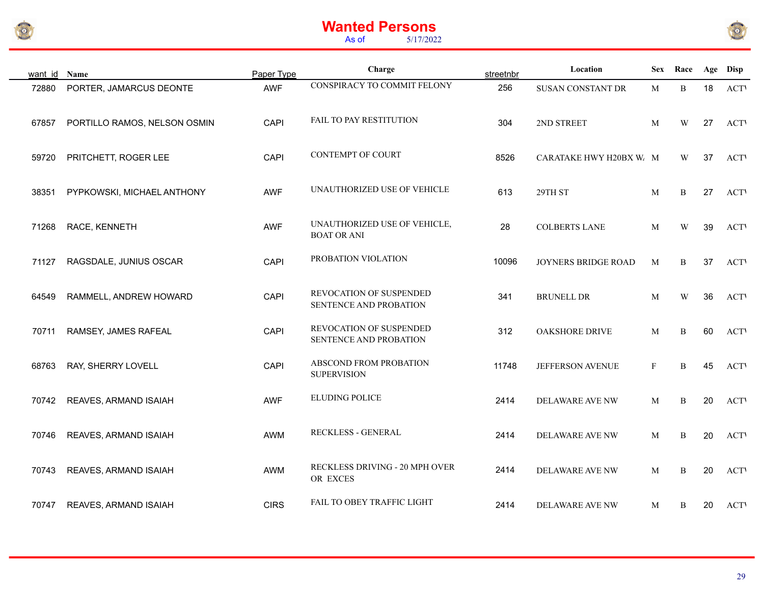



| want id | Name                         | Paper Type  | Charge                                             | streetnbr | Location                 | <b>Sex</b>   | Race |    | Age Disp   |
|---------|------------------------------|-------------|----------------------------------------------------|-----------|--------------------------|--------------|------|----|------------|
| 72880   | PORTER, JAMARCUS DEONTE      | AWF         | CONSPIRACY TO COMMIT FELONY                        | 256       | <b>SUSAN CONSTANT DR</b> | M            | B    | 18 | <b>ACT</b> |
| 67857   | PORTILLO RAMOS, NELSON OSMIN | CAPI        | FAIL TO PAY RESTITUTION                            | 304       | 2ND STREET               | M            | W    | 27 | <b>ACT</b> |
| 59720   | PRITCHETT, ROGER LEE         | CAPI        | CONTEMPT OF COURT                                  | 8526      | CARATAKE HWY H20BX W. M  |              | W    | 37 | <b>ACT</b> |
| 38351   | PYPKOWSKI, MICHAEL ANTHONY   | <b>AWF</b>  | UNAUTHORIZED USE OF VEHICLE                        | 613       | 29TH ST                  | M            | B    | 27 | <b>ACT</b> |
| 71268   | RACE, KENNETH                | AWF         | UNAUTHORIZED USE OF VEHICLE,<br><b>BOAT OR ANI</b> | 28        | <b>COLBERTS LANE</b>     | M            | W    | 39 | <b>ACT</b> |
| 71127   | RAGSDALE, JUNIUS OSCAR       | CAPI        | PROBATION VIOLATION                                | 10096     | JOYNERS BRIDGE ROAD      | M            | B    | 37 | <b>ACT</b> |
| 64549   | RAMMELL, ANDREW HOWARD       | CAPI        | REVOCATION OF SUSPENDED<br>SENTENCE AND PROBATION  | 341       | <b>BRUNELL DR</b>        | M            | W    | 36 | <b>ACT</b> |
| 70711   | RAMSEY, JAMES RAFEAL         | CAPI        | REVOCATION OF SUSPENDED<br>SENTENCE AND PROBATION  | 312       | OAKSHORE DRIVE           | M            | B    | 60 | <b>ACT</b> |
| 68763   | RAY, SHERRY LOVELL           | CAPI        | ABSCOND FROM PROBATION<br><b>SUPERVISION</b>       | 11748     | JEFFERSON AVENUE         | $\mathbf{F}$ | B    | 45 | <b>ACT</b> |
| 70742   | REAVES, ARMAND ISAIAH        | <b>AWF</b>  | ELUDING POLICE                                     | 2414      | DELAWARE AVE NW          | M            | B    | 20 | <b>ACT</b> |
| 70746   | REAVES, ARMAND ISAIAH        | AWM         | RECKLESS - GENERAL                                 | 2414      | DELAWARE AVE NW          | M            | B    | 20 | <b>ACT</b> |
| 70743   | REAVES, ARMAND ISAIAH        | AWM         | RECKLESS DRIVING - 20 MPH OVER<br>OR EXCES         | 2414      | DELAWARE AVE NW          | M            | B    | 20 | <b>ACT</b> |
| 70747   | REAVES, ARMAND ISAIAH        | <b>CIRS</b> | FAIL TO OBEY TRAFFIC LIGHT                         | 2414      | DELAWARE AVE NW          | M            | B    | 20 | <b>ACT</b> |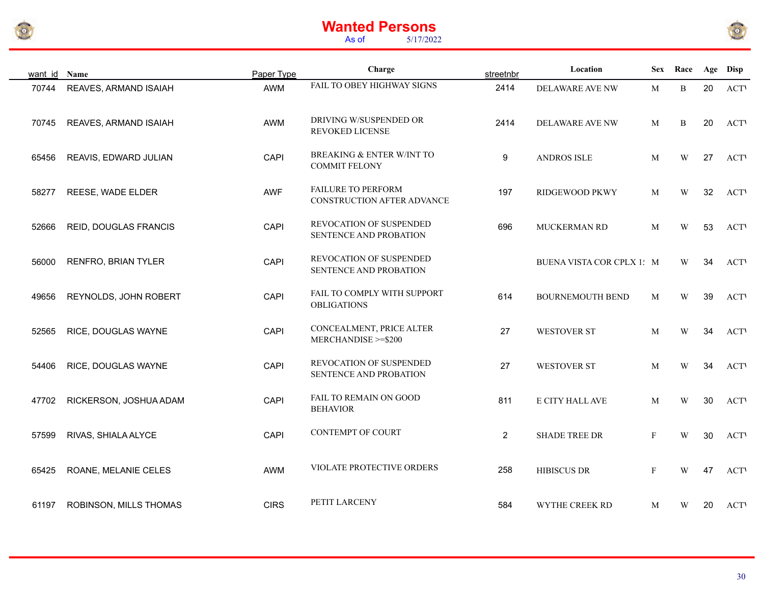



| want id Name |                        | Paper Type  | Charge                                                       | streetnbr        | Location                  |              | Sex Race                |    | Age Disp   |
|--------------|------------------------|-------------|--------------------------------------------------------------|------------------|---------------------------|--------------|-------------------------|----|------------|
| 70744        | REAVES, ARMAND ISAIAH  | AWM         | FAIL TO OBEY HIGHWAY SIGNS                                   | 2414             | DELAWARE AVE NW           | M            | B                       | 20 | <b>ACT</b> |
| 70745        | REAVES, ARMAND ISAIAH  | AWM         | DRIVING W/SUSPENDED OR<br>REVOKED LICENSE                    | 2414             | DELAWARE AVE NW           | M            | B                       | 20 | <b>ACT</b> |
| 65456        | REAVIS, EDWARD JULIAN  | CAPI        | <b>BREAKING &amp; ENTER W/INT TO</b><br><b>COMMIT FELONY</b> | $\boldsymbol{9}$ | <b>ANDROS ISLE</b>        | M            | W                       | 27 | <b>ACT</b> |
| 58277        | REESE, WADE ELDER      | AWF         | <b>FAILURE TO PERFORM</b><br>CONSTRUCTION AFTER ADVANCE      | 197              | RIDGEWOOD PKWY            | M            | W                       | 32 | <b>ACT</b> |
| 52666        | REID, DOUGLAS FRANCIS  | CAPI        | REVOCATION OF SUSPENDED<br>SENTENCE AND PROBATION            | 696              | MUCKERMAN RD              | M            | W                       | 53 | <b>ACT</b> |
| 56000        | RENFRO, BRIAN TYLER    | CAPI        | REVOCATION OF SUSPENDED<br>SENTENCE AND PROBATION            |                  | BUENA VISTA COR CPLX 1: M |              | W                       | 34 | <b>ACT</b> |
| 49656        | REYNOLDS, JOHN ROBERT  | CAPI        | FAIL TO COMPLY WITH SUPPORT<br><b>OBLIGATIONS</b>            | 614              | BOURNEMOUTH BEND          | M            | $\ensuremath{\text{W}}$ | 39 | <b>ACT</b> |
| 52565        | RICE, DOUGLAS WAYNE    | CAPI        | CONCEALMENT, PRICE ALTER<br>MERCHANDISE >=\$200              | 27               | WESTOVER ST               | M            | W                       | 34 | <b>ACT</b> |
| 54406        | RICE, DOUGLAS WAYNE    | CAPI        | REVOCATION OF SUSPENDED<br>SENTENCE AND PROBATION            | 27               | <b>WESTOVER ST</b>        | M            | W                       | 34 | <b>ACT</b> |
| 47702        | RICKERSON, JOSHUA ADAM | CAPI        | FAIL TO REMAIN ON GOOD<br><b>BEHAVIOR</b>                    | 811              | E CITY HALL AVE           | M            | W                       | 30 | <b>ACT</b> |
| 57599        | RIVAS, SHIALA ALYCE    | CAPI        | <b>CONTEMPT OF COURT</b>                                     | $\overline{2}$   | <b>SHADE TREE DR</b>      | $\mathbf{F}$ | W                       | 30 | <b>ACT</b> |
| 65425        | ROANE, MELANIE CELES   | AWM         | VIOLATE PROTECTIVE ORDERS                                    | 258              | HIBISCUS DR               | $\mathbf{F}$ | W                       | 47 | <b>ACT</b> |
| 61197        | ROBINSON, MILLS THOMAS | <b>CIRS</b> | PETIT LARCENY                                                | 584              | WYTHE CREEK RD            | M            | W                       | 20 | <b>ACT</b> |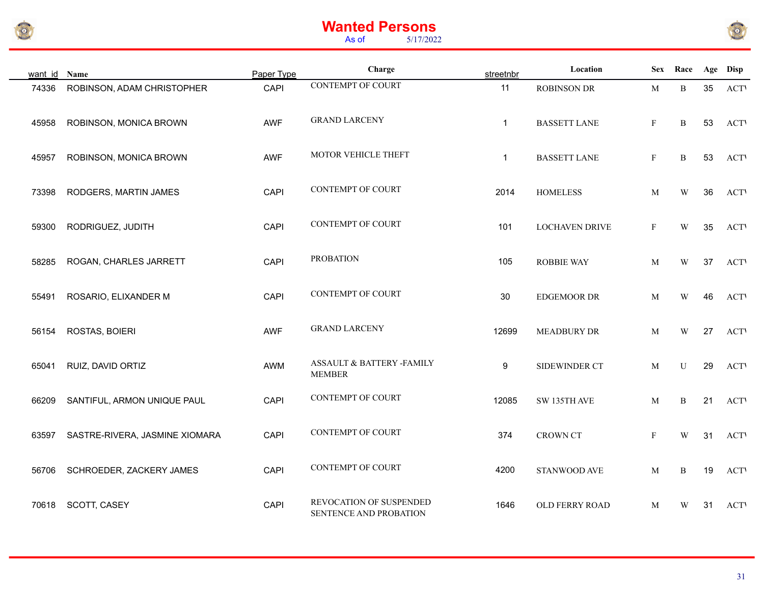



| want id Name |                                | Paper Type  | Charge                                            | streetnbr    | Location            | <b>Sex</b>   | Race                    |    | Age Disp    |
|--------------|--------------------------------|-------------|---------------------------------------------------|--------------|---------------------|--------------|-------------------------|----|-------------|
| 74336        | ROBINSON, ADAM CHRISTOPHER     | CAPI        | <b>CONTEMPT OF COURT</b>                          | 11           | <b>ROBINSON DR</b>  | M            | B                       | 35 | <b>ACTV</b> |
| 45958        | ROBINSON, MONICA BROWN         | <b>AWF</b>  | <b>GRAND LARCENY</b>                              | $\mathbf{1}$ | <b>BASSETT LANE</b> | $\mathbf{F}$ | $\, {\bf B}$            | 53 | <b>ACTV</b> |
| 45957        | ROBINSON, MONICA BROWN         | <b>AWF</b>  | MOTOR VEHICLE THEFT                               | $\mathbf{1}$ | <b>BASSETT LANE</b> | $\mathbf{F}$ | $\, {\bf B}$            | 53 | <b>ACT</b>  |
| 73398        | RODGERS, MARTIN JAMES          | CAPI        | <b>CONTEMPT OF COURT</b>                          | 2014         | <b>HOMELESS</b>     | M            | W                       | 36 | <b>ACT</b>  |
| 59300        | RODRIGUEZ, JUDITH              | <b>CAPI</b> | <b>CONTEMPT OF COURT</b>                          | 101          | LOCHAVEN DRIVE      | $\mathbf F$  | $\mathbf W$             | 35 | <b>ACTV</b> |
| 58285        | ROGAN, CHARLES JARRETT         | CAPI        | <b>PROBATION</b>                                  | 105          | <b>ROBBIE WAY</b>   | M            | W                       | 37 | <b>ACTV</b> |
| 55491        | ROSARIO, ELIXANDER M           | CAPI        | <b>CONTEMPT OF COURT</b>                          | 30           | <b>EDGEMOOR DR</b>  | M            | W                       | 46 | <b>ACTV</b> |
| 56154        | ROSTAS, BOIERI                 | <b>AWF</b>  | <b>GRAND LARCENY</b>                              | 12699        | <b>MEADBURY DR</b>  | M            | $\ensuremath{\text{W}}$ | 27 | <b>ACTV</b> |
| 65041        | RUIZ, DAVID ORTIZ              | AWM         | ASSAULT & BATTERY -FAMILY<br><b>MEMBER</b>        | 9            | SIDEWINDER CT       | M            | U                       | 29 | <b>ACTV</b> |
| 66209        | SANTIFUL, ARMON UNIQUE PAUL    | CAPI        | <b>CONTEMPT OF COURT</b>                          | 12085        | SW 135TH AVE        | M            | B                       | 21 | <b>ACTV</b> |
| 63597        | SASTRE-RIVERA, JASMINE XIOMARA | <b>CAPI</b> | <b>CONTEMPT OF COURT</b>                          | 374          | <b>CROWN CT</b>     | $\mathbf{F}$ | W                       | 31 | <b>ACT</b>  |
| 56706        | SCHROEDER, ZACKERY JAMES       | CAPI        | <b>CONTEMPT OF COURT</b>                          | 4200         | STANWOOD AVE        | M            | $\, {\bf B}$            | 19 | <b>ACTV</b> |
| 70618        | SCOTT, CASEY                   | CAPI        | REVOCATION OF SUSPENDED<br>SENTENCE AND PROBATION | 1646         | OLD FERRY ROAD      | M            | W                       | 31 | <b>ACTV</b> |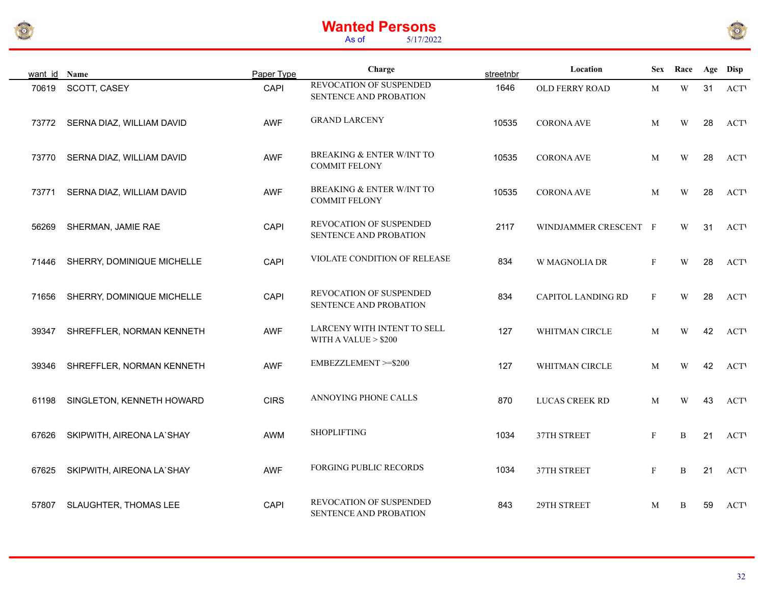



| want id Name |                            | Paper Type  | Charge                                                       | streetnbr | Location                  |              | Sex Race     |    | Age Disp    |
|--------------|----------------------------|-------------|--------------------------------------------------------------|-----------|---------------------------|--------------|--------------|----|-------------|
| 70619        | SCOTT, CASEY               | CAPI        | REVOCATION OF SUSPENDED<br>SENTENCE AND PROBATION            | 1646      | OLD FERRY ROAD            | M            | $\mathbf W$  | 31 | <b>ACTV</b> |
| 73772        | SERNA DIAZ, WILLIAM DAVID  | <b>AWF</b>  | <b>GRAND LARCENY</b>                                         | 10535     | <b>CORONA AVE</b>         | M            | W            | 28 | <b>ACTV</b> |
| 73770        | SERNA DIAZ, WILLIAM DAVID  | <b>AWF</b>  | <b>BREAKING &amp; ENTER W/INT TO</b><br><b>COMMIT FELONY</b> | 10535     | <b>CORONA AVE</b>         | M            | W            | 28 | <b>ACTV</b> |
| 73771        | SERNA DIAZ, WILLIAM DAVID  | <b>AWF</b>  | BREAKING & ENTER W/INT TO<br><b>COMMIT FELONY</b>            | 10535     | <b>CORONA AVE</b>         | M            | W            | 28 | <b>ACTV</b> |
| 56269        | SHERMAN, JAMIE RAE         | CAPI        | REVOCATION OF SUSPENDED<br>SENTENCE AND PROBATION            | 2117      | WINDJAMMER CRESCENT F     |              | W            | 31 | <b>ACTV</b> |
| 71446        | SHERRY, DOMINIQUE MICHELLE | CAPI        | VIOLATE CONDITION OF RELEASE                                 | 834       | W MAGNOLIA DR             | $\mathbf{F}$ | W            | 28 | <b>ACTV</b> |
| 71656        | SHERRY, DOMINIQUE MICHELLE | CAPI        | REVOCATION OF SUSPENDED<br>SENTENCE AND PROBATION            | 834       | <b>CAPITOL LANDING RD</b> | $\mathbf F$  | W            | 28 | <b>ACTV</b> |
| 39347        | SHREFFLER, NORMAN KENNETH  | <b>AWF</b>  | LARCENY WITH INTENT TO SELL<br>WITH A VALUE $> $200$         | 127       | WHITMAN CIRCLE            | M            | W            | 42 | <b>ACTV</b> |
| 39346        | SHREFFLER, NORMAN KENNETH  | <b>AWF</b>  | EMBEZZLEMENT >=\$200                                         | 127       | WHITMAN CIRCLE            | M            | W            | 42 | <b>ACTV</b> |
| 61198        | SINGLETON, KENNETH HOWARD  | <b>CIRS</b> | ANNOYING PHONE CALLS                                         | 870       | LUCAS CREEK RD            | M            | W            | 43 | <b>ACTV</b> |
| 67626        | SKIPWITH, AIREONA LA'SHAY  | <b>AWM</b>  | <b>SHOPLIFTING</b>                                           | 1034      | 37TH STREET               | F            | B            | 21 | <b>ACTV</b> |
| 67625        | SKIPWITH, AIREONA LA'SHAY  | <b>AWF</b>  | FORGING PUBLIC RECORDS                                       | 1034      | 37TH STREET               | $\mathbf F$  | $\, {\bf B}$ | 21 | <b>ACTV</b> |
| 57807        | SLAUGHTER, THOMAS LEE      | CAPI        | REVOCATION OF SUSPENDED<br>SENTENCE AND PROBATION            | 843       | 29TH STREET               | M            | $\, {\bf B}$ | 59 | <b>ACTV</b> |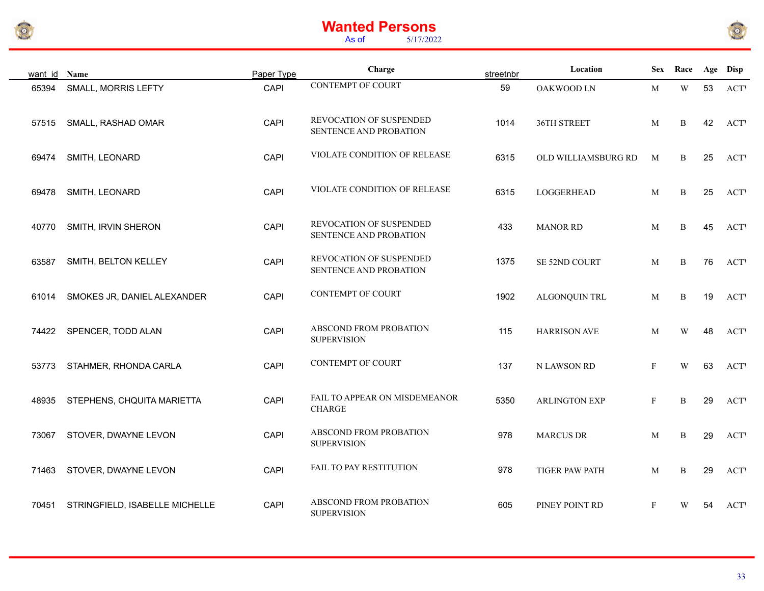



| want id Name |                                | Paper Type | Charge                                            | streetnbr | Location             | <b>Sex</b>   | Race                    |    | Age Disp   |
|--------------|--------------------------------|------------|---------------------------------------------------|-----------|----------------------|--------------|-------------------------|----|------------|
| 65394        | <b>SMALL, MORRIS LEFTY</b>     | CAPI       | <b>CONTEMPT OF COURT</b>                          | 59        | OAKWOOD LN           | M            | $\ensuremath{\text{W}}$ | 53 | <b>ACT</b> |
| 57515        | SMALL, RASHAD OMAR             | CAPI       | REVOCATION OF SUSPENDED<br>SENTENCE AND PROBATION | 1014      | 36TH STREET          | M            | B                       | 42 | <b>ACT</b> |
| 69474        | SMITH, LEONARD                 | CAPI       | VIOLATE CONDITION OF RELEASE                      | 6315      | OLD WILLIAMSBURG RD  | M            | B                       | 25 | <b>ACT</b> |
| 69478        | SMITH, LEONARD                 | CAPI       | VIOLATE CONDITION OF RELEASE                      | 6315      | LOGGERHEAD           | M            | B                       | 25 | <b>ACT</b> |
| 40770        | SMITH, IRVIN SHERON            | CAPI       | REVOCATION OF SUSPENDED<br>SENTENCE AND PROBATION | 433       | <b>MANOR RD</b>      | M            | B                       | 45 | <b>ACT</b> |
| 63587        | SMITH, BELTON KELLEY           | CAPI       | REVOCATION OF SUSPENDED<br>SENTENCE AND PROBATION | 1375      | SE 52ND COURT        | M            | $\, {\bf B}$            | 76 | <b>ACT</b> |
| 61014        | SMOKES JR, DANIEL ALEXANDER    | CAPI       | <b>CONTEMPT OF COURT</b>                          | 1902      | ALGONQUIN TRL        | M            | B                       | 19 | <b>ACT</b> |
| 74422        | SPENCER, TODD ALAN             | CAPI       | ABSCOND FROM PROBATION<br><b>SUPERVISION</b>      | 115       | <b>HARRISON AVE</b>  | M            | W                       | 48 | <b>ACT</b> |
| 53773        | STAHMER, RHONDA CARLA          | CAPI       | <b>CONTEMPT OF COURT</b>                          | 137       | N LAWSON RD          | $\mathbf{F}$ | W                       | 63 | <b>ACT</b> |
| 48935        | STEPHENS, CHQUITA MARIETTA     | CAPI       | FAIL TO APPEAR ON MISDEMEANOR<br><b>CHARGE</b>    | 5350      | <b>ARLINGTON EXP</b> | $\mathbf{F}$ | B                       | 29 | <b>ACT</b> |
| 73067        | STOVER, DWAYNE LEVON           | CAPI       | ABSCOND FROM PROBATION<br><b>SUPERVISION</b>      | 978       | <b>MARCUS DR</b>     | M            | B                       | 29 | <b>ACT</b> |
| 71463        | STOVER, DWAYNE LEVON           | CAPI       | FAIL TO PAY RESTITUTION                           | 978       | TIGER PAW PATH       | M            | B                       | 29 | <b>ACT</b> |
| 70451        | STRINGFIELD, ISABELLE MICHELLE | CAPI       | ABSCOND FROM PROBATION<br><b>SUPERVISION</b>      | 605       | PINEY POINT RD       | $\mathbf{F}$ | W                       | 54 | <b>ACT</b> |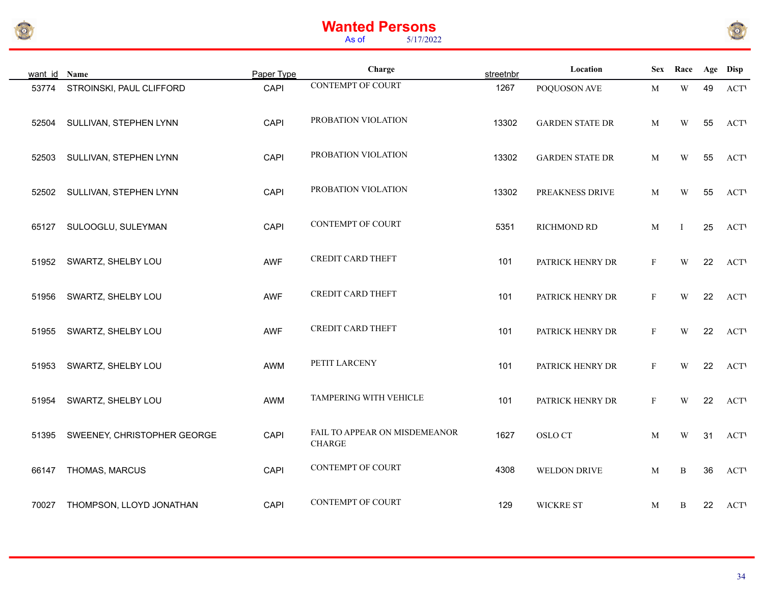



| want id Name |                             | Paper Type | Charge                                         | streetnbr | Location               | <b>Sex</b>   | Race                    |    | Age Disp    |
|--------------|-----------------------------|------------|------------------------------------------------|-----------|------------------------|--------------|-------------------------|----|-------------|
| 53774        | STROINSKI, PAUL CLIFFORD    | CAPI       | <b>CONTEMPT OF COURT</b>                       | 1267      | POQUOSON AVE           | M            | $\ensuremath{\text{W}}$ | 49 | <b>ACTV</b> |
| 52504        | SULLIVAN, STEPHEN LYNN      | CAPI       | PROBATION VIOLATION                            | 13302     | <b>GARDEN STATE DR</b> | M            | W                       | 55 | <b>ACTV</b> |
| 52503        | SULLIVAN, STEPHEN LYNN      | CAPI       | PROBATION VIOLATION                            | 13302     | <b>GARDEN STATE DR</b> | M            | W                       | 55 | <b>ACTV</b> |
| 52502        | SULLIVAN, STEPHEN LYNN      | CAPI       | PROBATION VIOLATION                            | 13302     | PREAKNESS DRIVE        | M            | W                       | 55 | <b>ACTV</b> |
| 65127        | SULOOGLU, SULEYMAN          | CAPI       | <b>CONTEMPT OF COURT</b>                       | 5351      | RICHMOND RD            | M            | $\bf{I}$                | 25 | <b>ACTV</b> |
| 51952        | SWARTZ, SHELBY LOU          | <b>AWF</b> | <b>CREDIT CARD THEFT</b>                       | 101       | PATRICK HENRY DR       | $_{\rm F}$   | W                       | 22 | <b>ACTV</b> |
| 51956        | SWARTZ, SHELBY LOU          | AWF        | <b>CREDIT CARD THEFT</b>                       | 101       | PATRICK HENRY DR       | $_{\rm F}$   | W                       | 22 | <b>ACTV</b> |
| 51955        | SWARTZ, SHELBY LOU          | <b>AWF</b> | <b>CREDIT CARD THEFT</b>                       | 101       | PATRICK HENRY DR       | F            | W                       | 22 | <b>ACT</b>  |
| 51953        | SWARTZ, SHELBY LOU          | AWM        | PETIT LARCENY                                  | 101       | PATRICK HENRY DR       | $\mathbf{F}$ | $\ensuremath{\text{W}}$ | 22 | <b>ACTV</b> |
| 51954        | SWARTZ, SHELBY LOU          | AWM        | TAMPERING WITH VEHICLE                         | 101       | PATRICK HENRY DR       | $\mathbf{F}$ | W                       | 22 | <b>ACTV</b> |
| 51395        | SWEENEY, CHRISTOPHER GEORGE | CAPI       | FAIL TO APPEAR ON MISDEMEANOR<br><b>CHARGE</b> | 1627      | OSLO CT                | M            | W                       | 31 | <b>ACTV</b> |
| 66147        | THOMAS, MARCUS              | CAPI       | <b>CONTEMPT OF COURT</b>                       | 4308      | WELDON DRIVE           | M            | B                       | 36 | <b>ACTV</b> |
| 70027        | THOMPSON, LLOYD JONATHAN    | CAPI       | <b>CONTEMPT OF COURT</b>                       | 129       | <b>WICKRE ST</b>       | M            | B                       | 22 | <b>ACTV</b> |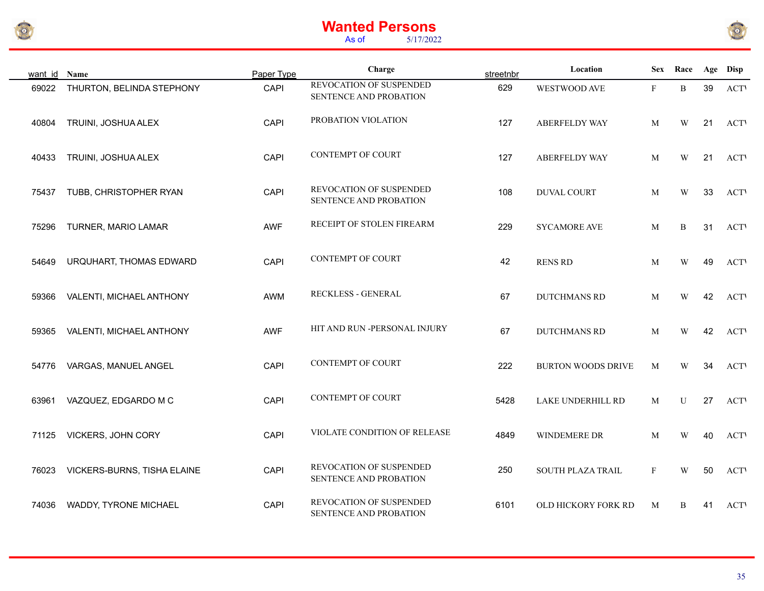



| want id | Name                        | Paper Type | Charge                                            | streetnbr | Location                  |              | Sex Race    |    | Age Disp    |
|---------|-----------------------------|------------|---------------------------------------------------|-----------|---------------------------|--------------|-------------|----|-------------|
| 69022   | THURTON, BELINDA STEPHONY   | CAPI       | REVOCATION OF SUSPENDED<br>SENTENCE AND PROBATION | 629       | WESTWOOD AVE              | $\mathbf{F}$ | B           | 39 | <b>ACT</b>  |
| 40804   | TRUINI, JOSHUA ALEX         | CAPI       | PROBATION VIOLATION                               | 127       | ABERFELDY WAY             | M            | W           | 21 | <b>ACTV</b> |
| 40433   | TRUINI, JOSHUA ALEX         | CAPI       | CONTEMPT OF COURT                                 | 127       | <b>ABERFELDY WAY</b>      | M            | W           | 21 | <b>ACT</b>  |
| 75437   | TUBB, CHRISTOPHER RYAN      | CAPI       | REVOCATION OF SUSPENDED<br>SENTENCE AND PROBATION | 108       | DUVAL COURT               | M            | W           | 33 | <b>ACTV</b> |
| 75296   | TURNER, MARIO LAMAR         | AWF        | RECEIPT OF STOLEN FIREARM                         | 229       | <b>SYCAMORE AVE</b>       | M            | B           | 31 | <b>ACT</b>  |
| 54649   | URQUHART, THOMAS EDWARD     | CAPI       | <b>CONTEMPT OF COURT</b>                          | 42        | <b>RENS RD</b>            | M            | W           | 49 | <b>ACT</b>  |
| 59366   | VALENTI, MICHAEL ANTHONY    | AWM        | RECKLESS - GENERAL                                | 67        | <b>DUTCHMANS RD</b>       | M            | W           | 42 | <b>ACT</b>  |
| 59365   | VALENTI, MICHAEL ANTHONY    | <b>AWF</b> | HIT AND RUN -PERSONAL INJURY                      | 67        | <b>DUTCHMANS RD</b>       | M            | W           | 42 | <b>ACT</b>  |
| 54776   | VARGAS, MANUEL ANGEL        | CAPI       | CONTEMPT OF COURT                                 | 222       | <b>BURTON WOODS DRIVE</b> | M            | W           | 34 | <b>ACT</b>  |
| 63961   | VAZQUEZ, EDGARDO M C        | CAPI       | <b>CONTEMPT OF COURT</b>                          | 5428      | LAKE UNDERHILL RD         | M            | $\mathbf U$ | 27 | <b>ACT</b>  |
| 71125   | VICKERS, JOHN CORY          | CAPI       | VIOLATE CONDITION OF RELEASE                      | 4849      | WINDEMERE DR              | M            | W           | 40 | <b>ACT</b>  |
| 76023   | VICKERS-BURNS, TISHA ELAINE | CAPI       | REVOCATION OF SUSPENDED<br>SENTENCE AND PROBATION | 250       | <b>SOUTH PLAZA TRAIL</b>  | $\mathbf{F}$ | W           | 50 | <b>ACT</b>  |
| 74036   | WADDY, TYRONE MICHAEL       | CAPI       | REVOCATION OF SUSPENDED<br>SENTENCE AND PROBATION | 6101      | OLD HICKORY FORK RD       | $\mathbf M$  | B           | 41 | <b>ACT</b>  |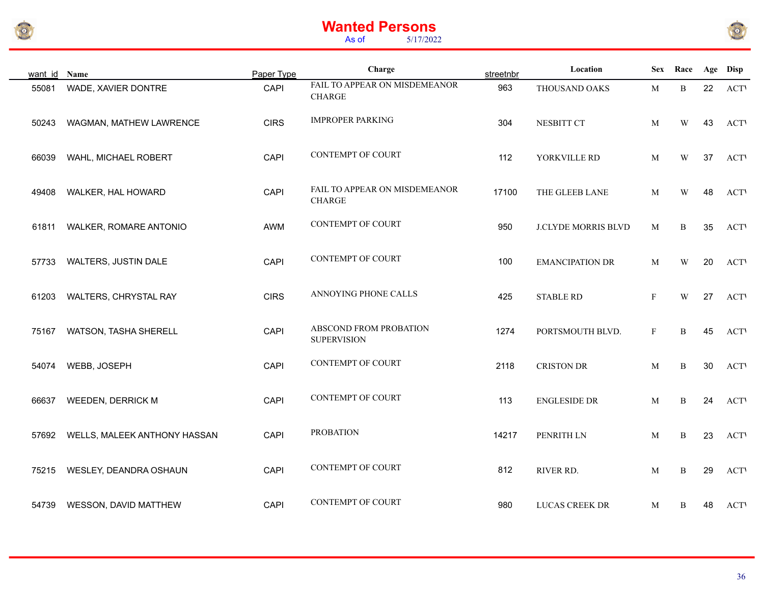



| want id Name |                              | Paper Type  | Charge                                         | streetnbr | Location                   | <b>Sex</b>   | Race                    |    | Age Disp    |
|--------------|------------------------------|-------------|------------------------------------------------|-----------|----------------------------|--------------|-------------------------|----|-------------|
| 55081        | WADE, XAVIER DONTRE          | CAPI        | FAIL TO APPEAR ON MISDEMEANOR<br><b>CHARGE</b> | 963       | THOUSAND OAKS              | M            | $\, {\bf B}$            | 22 | <b>ACTV</b> |
| 50243        | WAGMAN, MATHEW LAWRENCE      | <b>CIRS</b> | <b>IMPROPER PARKING</b>                        | 304       | NESBITT CT                 | M            | W                       | 43 | <b>ACTV</b> |
| 66039        | WAHL, MICHAEL ROBERT         | CAPI        | <b>CONTEMPT OF COURT</b>                       | 112       | YORKVILLE RD               | M            | W                       | 37 | <b>ACT</b>  |
| 49408        | WALKER, HAL HOWARD           | CAPI        | FAIL TO APPEAR ON MISDEMEANOR<br><b>CHARGE</b> | 17100     | THE GLEEB LANE             | M            | W                       | 48 | <b>ACTV</b> |
| 61811        | WALKER, ROMARE ANTONIO       | AWM         | <b>CONTEMPT OF COURT</b>                       | 950       | <b>J.CLYDE MORRIS BLVD</b> | M            | B                       | 35 | <b>ACT</b>  |
| 57733        | WALTERS, JUSTIN DALE         | CAPI        | <b>CONTEMPT OF COURT</b>                       | 100       | <b>EMANCIPATION DR</b>     | M            | $\ensuremath{\text{W}}$ | 20 | <b>ACT</b>  |
| 61203        | WALTERS, CHRYSTAL RAY        | <b>CIRS</b> | ANNOYING PHONE CALLS                           | 425       | <b>STABLE RD</b>           | F            | W                       | 27 | <b>ACTV</b> |
| 75167        | WATSON, TASHA SHERELL        | CAPI        | ABSCOND FROM PROBATION<br><b>SUPERVISION</b>   | 1274      | PORTSMOUTH BLVD.           | $\mathbf{F}$ | B                       | 45 | <b>ACTV</b> |
| 54074        | WEBB, JOSEPH                 | CAPI        | <b>CONTEMPT OF COURT</b>                       | 2118      | <b>CRISTON DR</b>          | M            | B                       | 30 | <b>ACTV</b> |
| 66637        | <b>WEEDEN, DERRICK M</b>     | CAPI        | CONTEMPT OF COURT                              | 113       | <b>ENGLESIDE DR</b>        | M            | B                       | 24 | <b>ACT</b>  |
| 57692        | WELLS, MALEEK ANTHONY HASSAN | CAPI        | <b>PROBATION</b>                               | 14217     | PENRITH LN                 | M            | $\, {\bf B}$            | 23 | <b>ACTV</b> |
| 75215        | WESLEY, DEANDRA OSHAUN       | CAPI        | <b>CONTEMPT OF COURT</b>                       | 812       | RIVER RD.                  | M            | $\, {\bf B}$            | 29 | <b>ACT</b>  |
| 54739        | WESSON, DAVID MATTHEW        | CAPI        | <b>CONTEMPT OF COURT</b>                       | 980       | LUCAS CREEK DR             | M            | B                       | 48 | <b>ACTV</b> |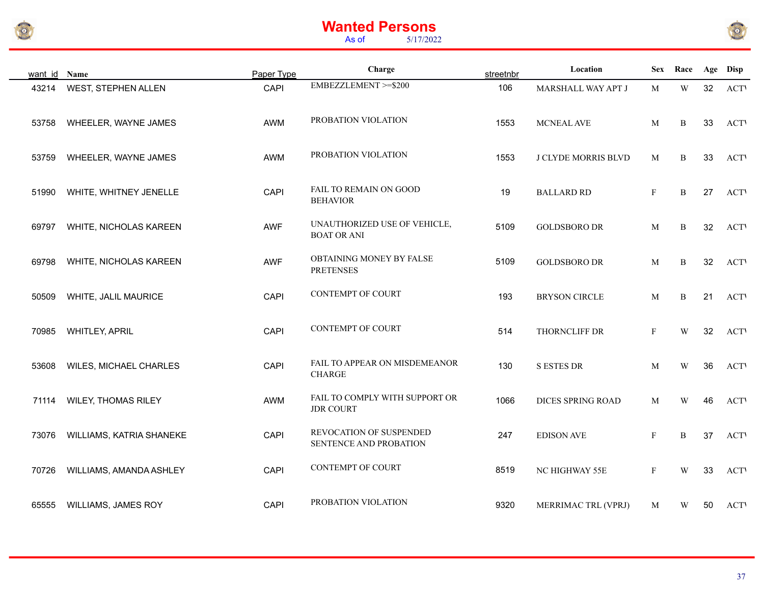



| want id Name |                            | Paper Type  | Charge                                             | streetnbr | Location                 | <b>Sex</b>   | Race                    |    | Age Disp    |
|--------------|----------------------------|-------------|----------------------------------------------------|-----------|--------------------------|--------------|-------------------------|----|-------------|
| 43214        | WEST, STEPHEN ALLEN        | <b>CAPI</b> | EMBEZZLEMENT >=\$200                               | 106       | MARSHALL WAY APT J       | M            | $\ensuremath{\text{W}}$ | 32 | <b>ACTV</b> |
| 53758        | WHEELER, WAYNE JAMES       | AWM         | PROBATION VIOLATION                                | 1553      | MCNEAL AVE               | M            | B                       | 33 | <b>ACTV</b> |
| 53759        | WHEELER, WAYNE JAMES       | AWM         | PROBATION VIOLATION                                | 1553      | J CLYDE MORRIS BLVD      | M            | B                       | 33 | <b>ACTV</b> |
| 51990        | WHITE, WHITNEY JENELLE     | CAPI        | <b>FAIL TO REMAIN ON GOOD</b><br><b>BEHAVIOR</b>   | 19        | <b>BALLARD RD</b>        | $\mathbf{F}$ | $\, {\bf B}$            | 27 | <b>ACTV</b> |
| 69797        | WHITE, NICHOLAS KAREEN     | <b>AWF</b>  | UNAUTHORIZED USE OF VEHICLE,<br><b>BOAT OR ANI</b> | 5109      | <b>GOLDSBORO DR</b>      | M            | $\, {\bf B}$            | 32 | <b>ACTV</b> |
| 69798        | WHITE, NICHOLAS KAREEN     | <b>AWF</b>  | OBTAINING MONEY BY FALSE<br><b>PRETENSES</b>       | 5109      | <b>GOLDSBORO DR</b>      | M            | $\, {\bf B}$            | 32 | <b>ACT</b>  |
| 50509        | WHITE, JALIL MAURICE       | CAPI        | <b>CONTEMPT OF COURT</b>                           | 193       | <b>BRYSON CIRCLE</b>     | M            | $\, {\bf B}$            | 21 | <b>ACTV</b> |
| 70985        | WHITLEY, APRIL             | CAPI        | <b>CONTEMPT OF COURT</b>                           | 514       | THORNCLIFF DR            | $_{\rm F}$   | W                       | 32 | <b>ACTV</b> |
| 53608        | WILES, MICHAEL CHARLES     | CAPI        | FAIL TO APPEAR ON MISDEMEANOR<br><b>CHARGE</b>     | 130       | <b>S ESTES DR</b>        | M            | W                       | 36 | <b>ACTV</b> |
| 71114        | <b>WILEY, THOMAS RILEY</b> | AWM         | FAIL TO COMPLY WITH SUPPORT OR<br><b>JDR COURT</b> | 1066      | <b>DICES SPRING ROAD</b> | M            | W                       | 46 | <b>ACT</b>  |
| 73076        | WILLIAMS, KATRIA SHANEKE   | CAPI        | REVOCATION OF SUSPENDED<br>SENTENCE AND PROBATION  | 247       | <b>EDISON AVE</b>        | $\mathbf{F}$ | B                       | 37 | <b>ACTV</b> |
| 70726        | WILLIAMS, AMANDA ASHLEY    | CAPI        | <b>CONTEMPT OF COURT</b>                           | 8519      | NC HIGHWAY 55E           | $\mathbf{F}$ | W                       | 33 | <b>ACTV</b> |
| 65555        | <b>WILLIAMS, JAMES ROY</b> | <b>CAPI</b> | PROBATION VIOLATION                                | 9320      | MERRIMAC TRL (VPRJ)      | M            | W                       | 50 | <b>ACTV</b> |